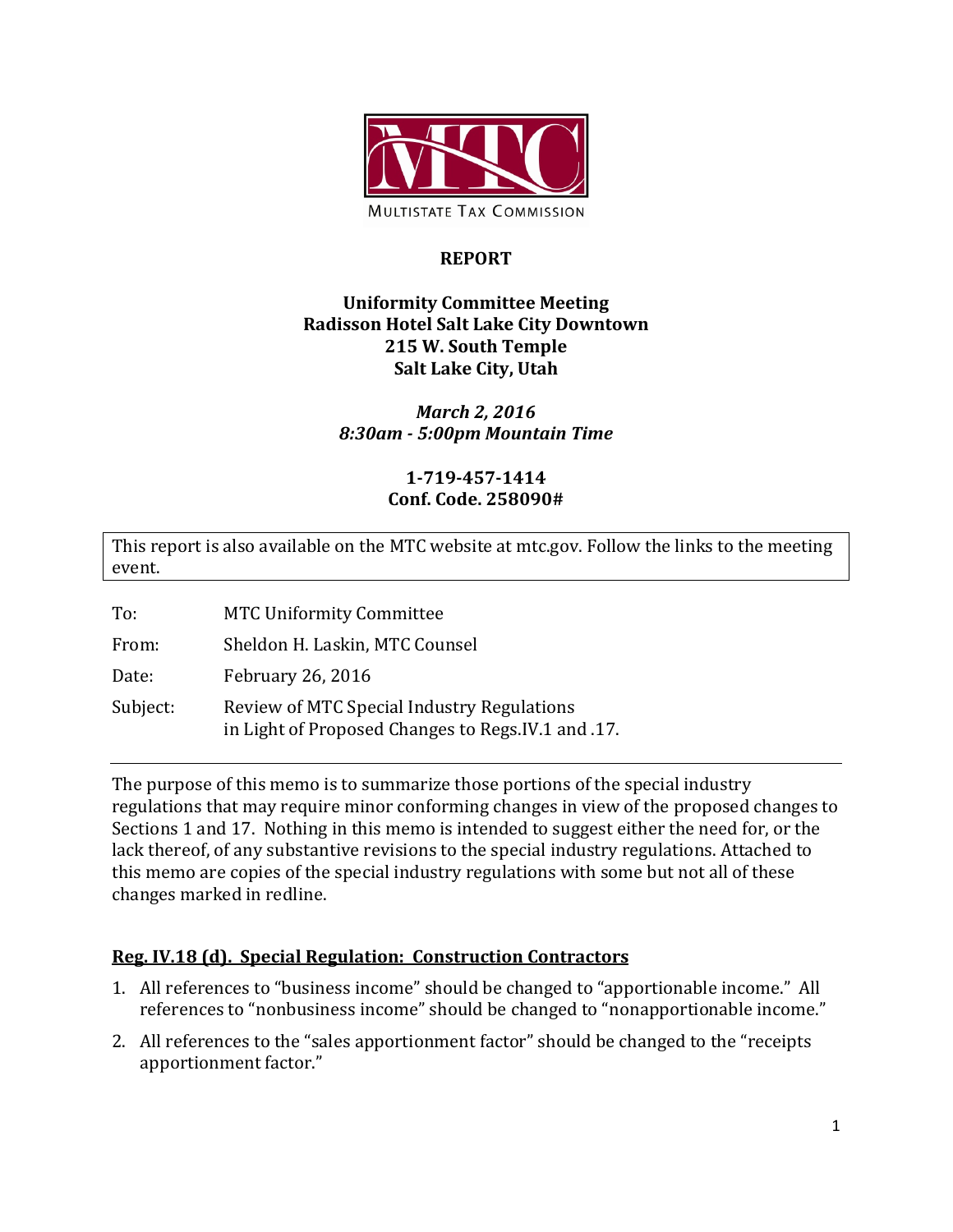

# **REPORT**

# **Uniformity Committee Meeting Radisson Hotel Salt Lake City Downtown 215 W. South Temple Salt Lake City, Utah**

# *March 2, 2016 8:30am - 5:00pm Mountain Time*

# **1-719-457-1414 Conf. Code. 258090#**

This report is also available on the MTC website at mtc.gov. Follow the links to the meeting event.

To: MTC Uniformity Committee

From: Sheldon H. Laskin, MTC Counsel

Date: February 26, 2016

Subject: Review of MTC Special Industry Regulations in Light of Proposed Changes to Regs.IV.1 and .17.

The purpose of this memo is to summarize those portions of the special industry regulations that may require minor conforming changes in view of the proposed changes to Sections 1 and 17. Nothing in this memo is intended to suggest either the need for, or the lack thereof, of any substantive revisions to the special industry regulations. Attached to this memo are copies of the special industry regulations with some but not all of these changes marked in redline.

# **Reg. IV.18 (d). Special Regulation: Construction Contractors**

- 1. All references to "business income" should be changed to "apportionable income." All references to "nonbusiness income" should be changed to "nonapportionable income."
- 2. All references to the "sales apportionment factor" should be changed to the "receipts apportionment factor."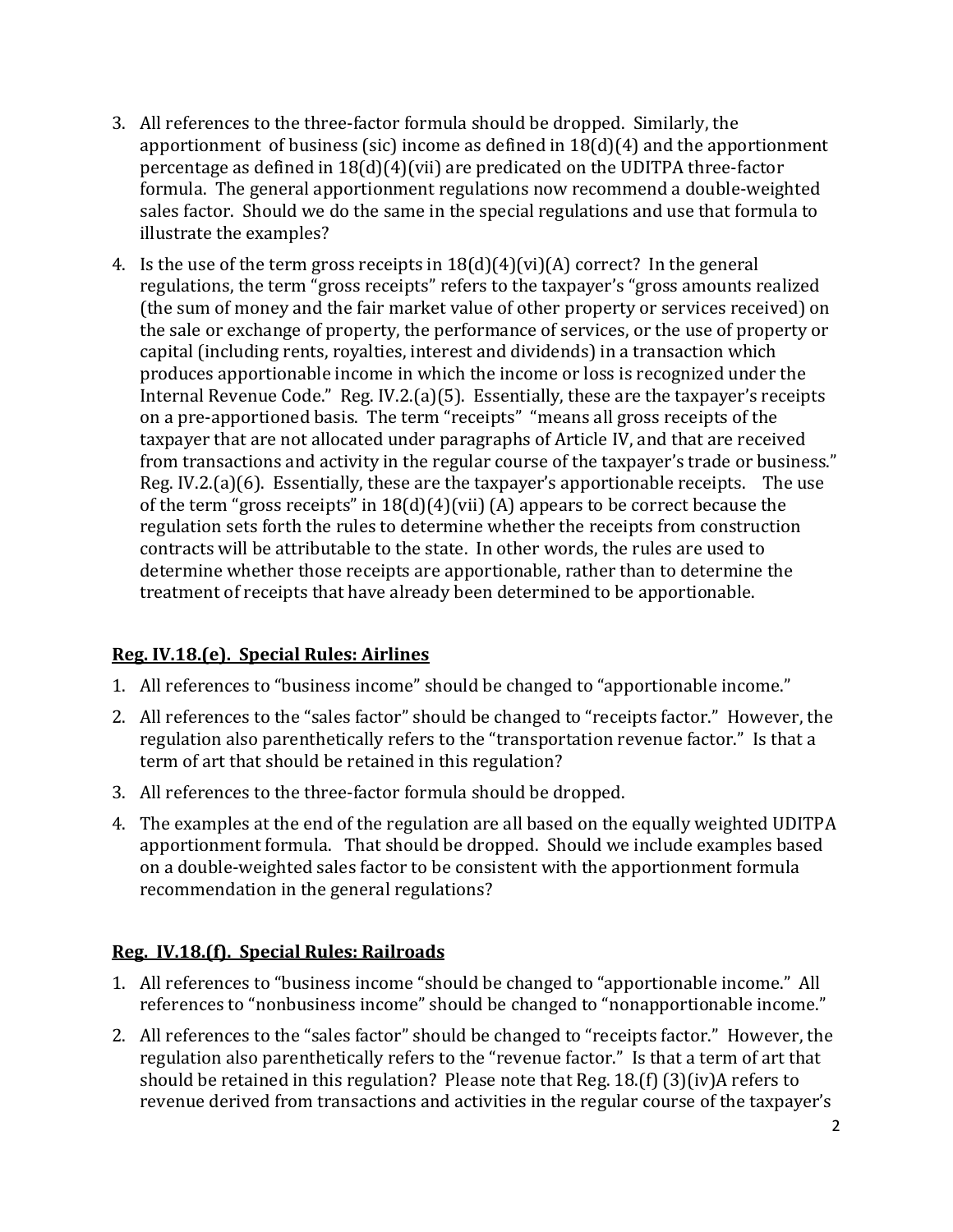- 3. All references to the three-factor formula should be dropped. Similarly, the apportionment of business (sic) income as defined in 18(d)(4) and the apportionment percentage as defined in 18(d)(4)(vii) are predicated on the UDITPA three-factor formula. The general apportionment regulations now recommend a double-weighted sales factor. Should we do the same in the special regulations and use that formula to illustrate the examples?
- 4. Is the use of the term gross receipts in  $18(d)(4)(vi)(A)$  correct? In the general regulations, the term "gross receipts" refers to the taxpayer's "gross amounts realized (the sum of money and the fair market value of other property or services received) on the sale or exchange of property, the performance of services, or the use of property or capital (including rents, royalties, interest and dividends) in a transaction which produces apportionable income in which the income or loss is recognized under the Internal Revenue Code." Reg. IV.2.(a)(5). Essentially, these are the taxpayer's receipts on a pre-apportioned basis. The term "receipts" "means all gross receipts of the taxpayer that are not allocated under paragraphs of Article IV, and that are received from transactions and activity in the regular course of the taxpayer's trade or business." Reg. IV.2.(a)(6). Essentially, these are the taxpayer's apportionable receipts. The use of the term "gross receipts" in  $18(d)(4)(vii)$  (A) appears to be correct because the regulation sets forth the rules to determine whether the receipts from construction contracts will be attributable to the state. In other words, the rules are used to determine whether those receipts are apportionable, rather than to determine the treatment of receipts that have already been determined to be apportionable.

# **Reg. IV.18.(e). Special Rules: Airlines**

- 1. All references to "business income" should be changed to "apportionable income."
- 2. All references to the "sales factor" should be changed to "receipts factor." However, the regulation also parenthetically refers to the "transportation revenue factor." Is that a term of art that should be retained in this regulation?
- 3. All references to the three-factor formula should be dropped.
- 4. The examples at the end of the regulation are all based on the equally weighted UDITPA apportionment formula. That should be dropped. Should we include examples based on a double-weighted sales factor to be consistent with the apportionment formula recommendation in the general regulations?

# **Reg. IV.18.(f). Special Rules: Railroads**

- 1. All references to "business income "should be changed to "apportionable income." All references to "nonbusiness income" should be changed to "nonapportionable income."
- 2. All references to the "sales factor" should be changed to "receipts factor." However, the regulation also parenthetically refers to the "revenue factor." Is that a term of art that should be retained in this regulation? Please note that Reg. 18.(f) (3)(iv)A refers to revenue derived from transactions and activities in the regular course of the taxpayer's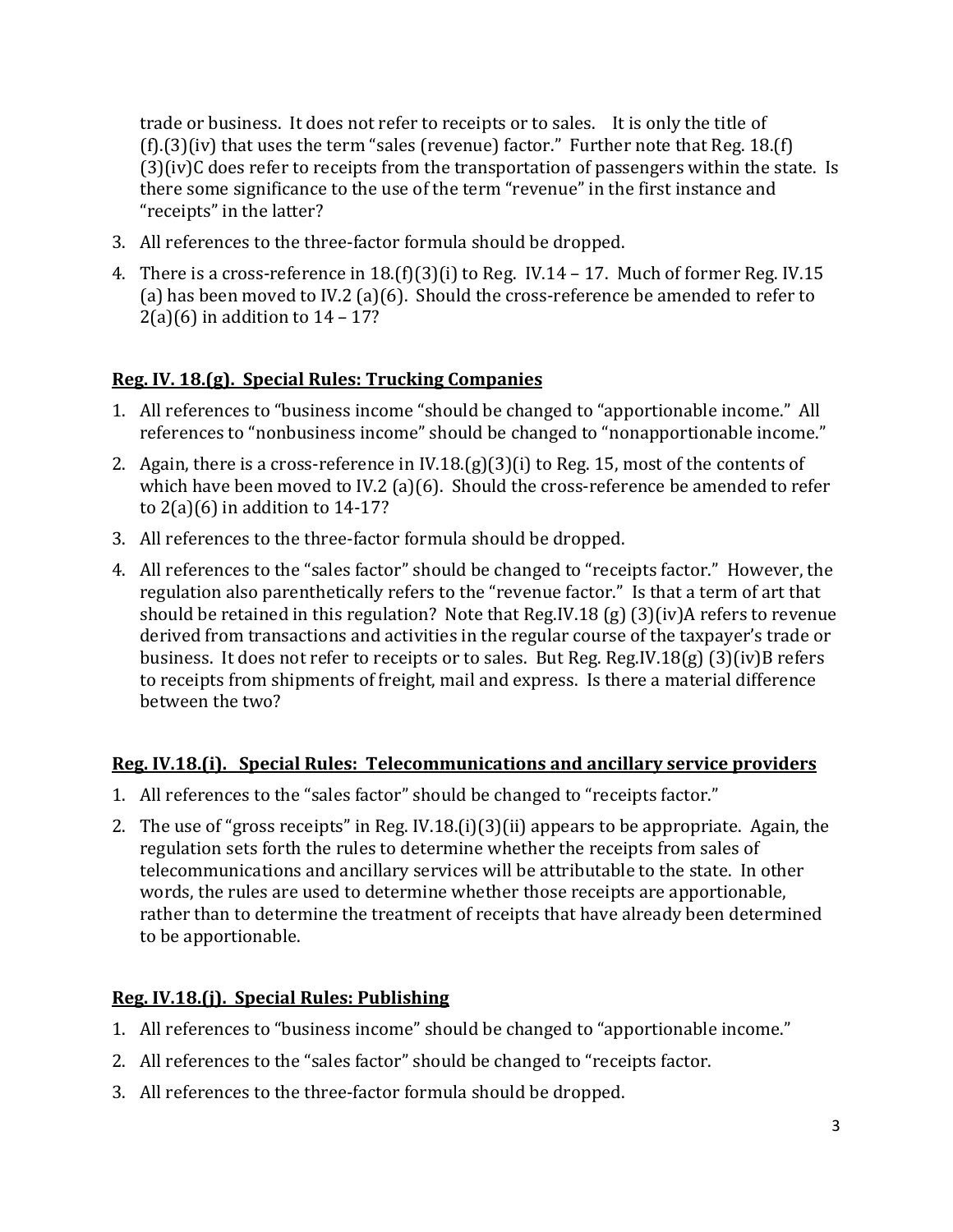trade or business. It does not refer to receipts or to sales. It is only the title of (f).(3)(iv) that uses the term "sales (revenue) factor." Further note that Reg. 18.(f) (3)(iv)C does refer to receipts from the transportation of passengers within the state. Is there some significance to the use of the term "revenue" in the first instance and "receipts" in the latter?

- 3. All references to the three-factor formula should be dropped.
- 4. There is a cross-reference in 18.(f)(3)(i) to Reg. IV.14 17. Much of former Reg. IV.15 (a) has been moved to IV.2 (a)(6). Should the cross-reference be amended to refer to  $2(a)(6)$  in addition to  $14 - 17$ ?

# **Reg. IV. 18.(g). Special Rules: Trucking Companies**

- 1. All references to "business income "should be changed to "apportionable income." All references to "nonbusiness income" should be changed to "nonapportionable income."
- 2. Again, there is a cross-reference in  $W.18(g)(3)(i)$  to Reg. 15, most of the contents of which have been moved to IV.2 (a)(6). Should the cross-reference be amended to refer to  $2(a)(6)$  in addition to  $14-17$ ?
- 3. All references to the three-factor formula should be dropped.
- 4. All references to the "sales factor" should be changed to "receipts factor." However, the regulation also parenthetically refers to the "revenue factor." Is that a term of art that should be retained in this regulation? Note that Reg.IV.18 (g) (3)(iv)A refers to revenue derived from transactions and activities in the regular course of the taxpayer's trade or business. It does not refer to receipts or to sales. But Reg. Reg.IV.18(g) (3)(iv)B refers to receipts from shipments of freight, mail and express. Is there a material difference between the two?

# **Reg. IV.18.(i). Special Rules: Telecommunications and ancillary service providers**

- 1. All references to the "sales factor" should be changed to "receipts factor."
- 2. The use of "gross receipts" in Reg. IV.18.(i)(3)(ii) appears to be appropriate. Again, the regulation sets forth the rules to determine whether the receipts from sales of telecommunications and ancillary services will be attributable to the state. In other words, the rules are used to determine whether those receipts are apportionable, rather than to determine the treatment of receipts that have already been determined to be apportionable.

# **Reg. IV.18.(j). Special Rules: Publishing**

- 1. All references to "business income" should be changed to "apportionable income."
- 2. All references to the "sales factor" should be changed to "receipts factor.
- 3. All references to the three-factor formula should be dropped.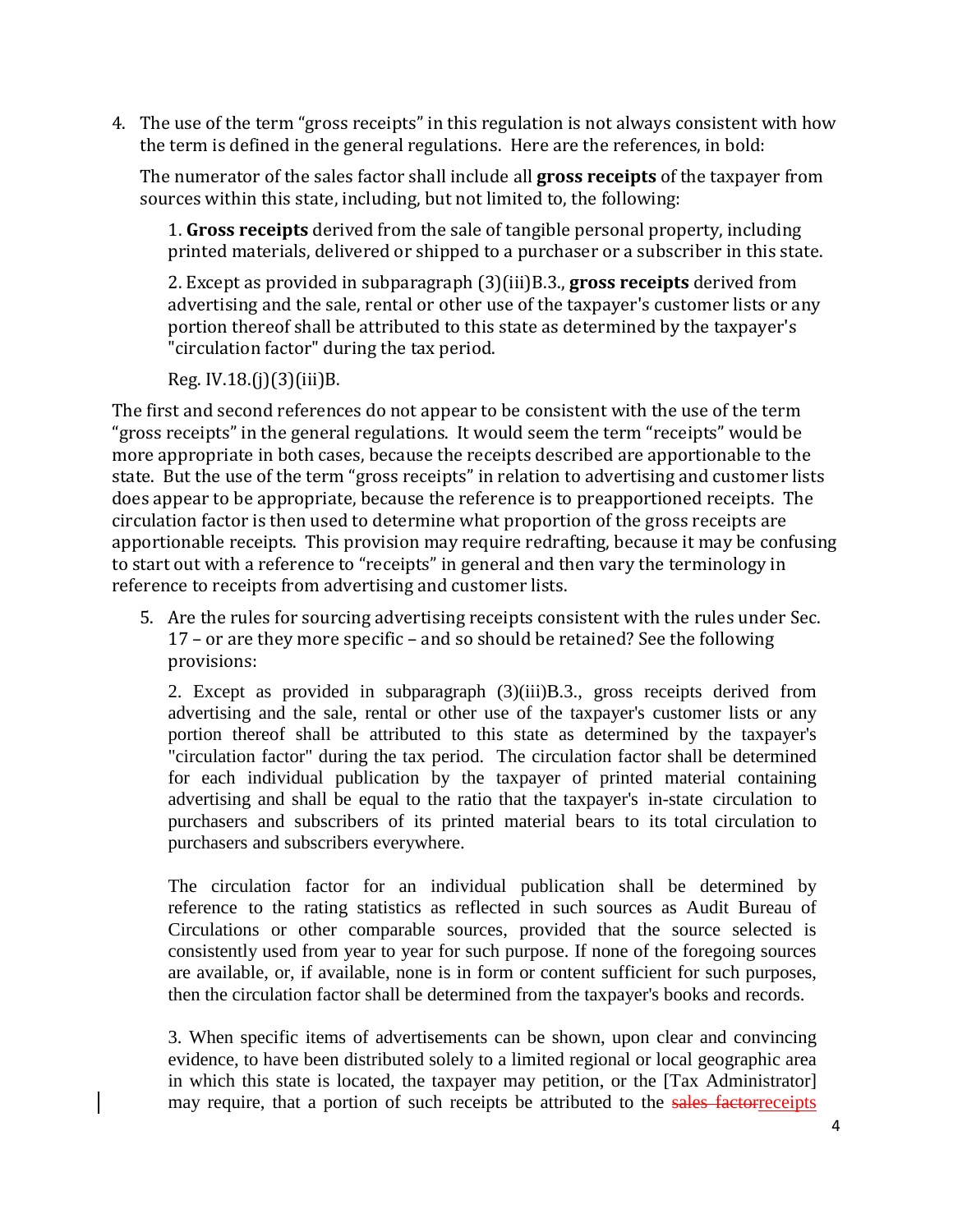4. The use of the term "gross receipts" in this regulation is not always consistent with how the term is defined in the general regulations. Here are the references, in bold:

The numerator of the sales factor shall include all **gross receipts** of the taxpayer from sources within this state, including, but not limited to, the following:

1. **Gross receipts** derived from the sale of tangible personal property, including printed materials, delivered or shipped to a purchaser or a subscriber in this state.

2. Except as provided in subparagraph (3)(iii)B.3., **gross receipts** derived from advertising and the sale, rental or other use of the taxpayer's customer lists or any portion thereof shall be attributed to this state as determined by the taxpayer's "circulation factor" during the tax period.

Reg. IV.18.(j)(3)(iii)B.

The first and second references do not appear to be consistent with the use of the term "gross receipts" in the general regulations. It would seem the term "receipts" would be more appropriate in both cases, because the receipts described are apportionable to the state. But the use of the term "gross receipts" in relation to advertising and customer lists does appear to be appropriate, because the reference is to preapportioned receipts. The circulation factor is then used to determine what proportion of the gross receipts are apportionable receipts. This provision may require redrafting, because it may be confusing to start out with a reference to "receipts" in general and then vary the terminology in reference to receipts from advertising and customer lists.

5. Are the rules for sourcing advertising receipts consistent with the rules under Sec. 17 – or are they more specific – and so should be retained? See the following provisions:

2. Except as provided in subparagraph (3)(iii)B.3., gross receipts derived from advertising and the sale, rental or other use of the taxpayer's customer lists or any portion thereof shall be attributed to this state as determined by the taxpayer's "circulation factor" during the tax period. The circulation factor shall be determined for each individual publication by the taxpayer of printed material containing advertising and shall be equal to the ratio that the taxpayer's in-state circulation to purchasers and subscribers of its printed material bears to its total circulation to purchasers and subscribers everywhere.

The circulation factor for an individual publication shall be determined by reference to the rating statistics as reflected in such sources as Audit Bureau of Circulations or other comparable sources, provided that the source selected is consistently used from year to year for such purpose. If none of the foregoing sources are available, or, if available, none is in form or content sufficient for such purposes, then the circulation factor shall be determined from the taxpayer's books and records.

3. When specific items of advertisements can be shown, upon clear and convincing evidence, to have been distributed solely to a limited regional or local geographic area in which this state is located, the taxpayer may petition, or the [Tax Administrator] may require, that a portion of such receipts be attributed to the sales factorreceipts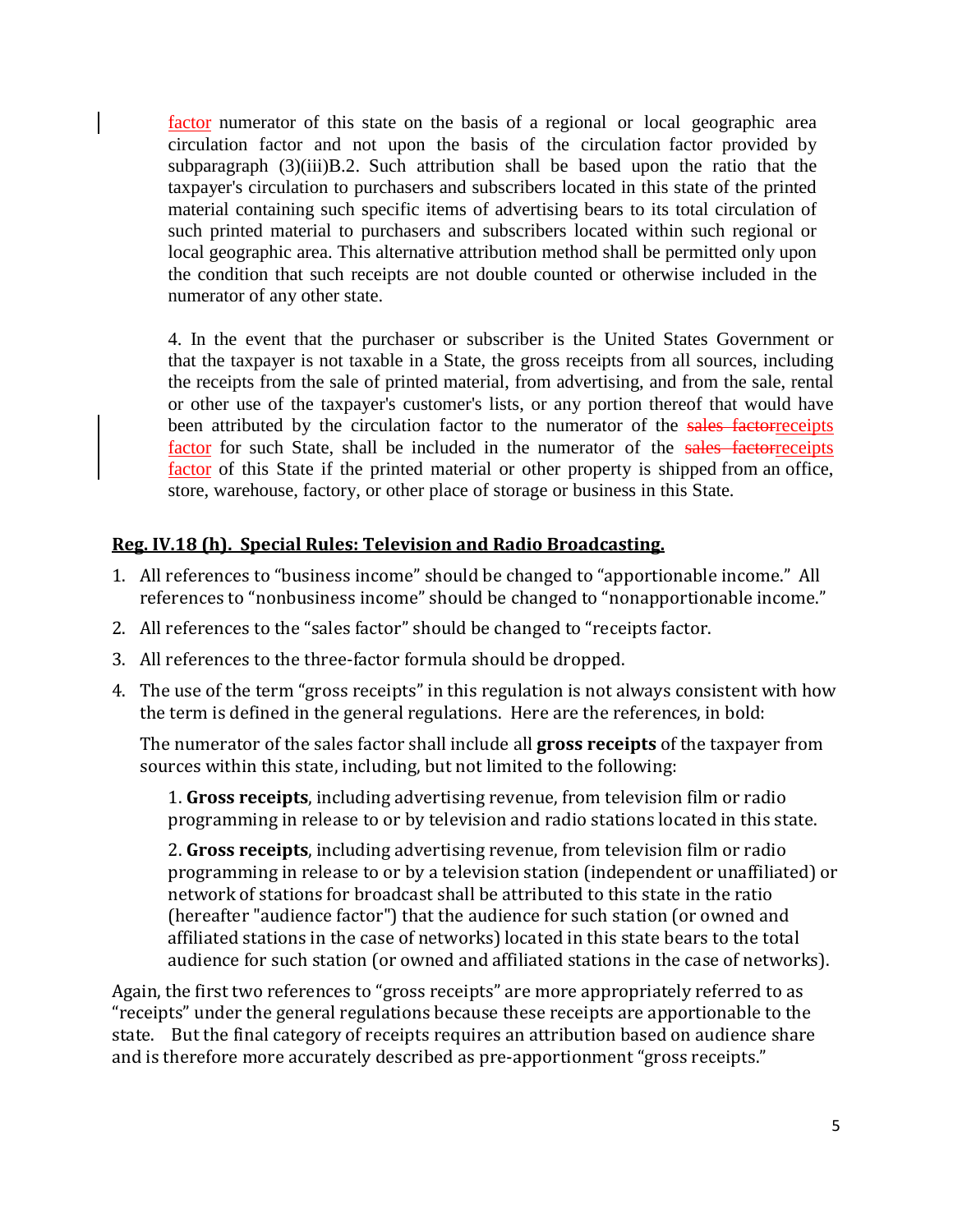factor numerator of this state on the basis of a regional or local geographic area circulation factor and not upon the basis of the circulation factor provided by subparagraph  $(3)(iii)B.2$ . Such attribution shall be based upon the ratio that the taxpayer's circulation to purchasers and subscribers located in this state of the printed material containing such specific items of advertising bears to its total circulation of such printed material to purchasers and subscribers located within such regional or local geographic area. This alternative attribution method shall be permitted only upon the condition that such receipts are not double counted or otherwise included in the numerator of any other state.

4. In the event that the purchaser or subscriber is the United States Government or that the taxpayer is not taxable in a State, the gross receipts from all sources, including the receipts from the sale of printed material, from advertising, and from the sale, rental or other use of the taxpayer's customer's lists, or any portion thereof that would have been attributed by the circulation factor to the numerator of the sales factorreceipts factor for such State, shall be included in the numerator of the sales factorreceipts factor of this State if the printed material or other property is shipped from an office, store, warehouse, factory, or other place of storage or business in this State.

# **Reg. IV.18 (h). Special Rules: Television and Radio Broadcasting.**

- 1. All references to "business income" should be changed to "apportionable income." All references to "nonbusiness income" should be changed to "nonapportionable income."
- 2. All references to the "sales factor" should be changed to "receipts factor.
- 3. All references to the three-factor formula should be dropped.
- 4. The use of the term "gross receipts" in this regulation is not always consistent with how the term is defined in the general regulations. Here are the references, in bold:

The numerator of the sales factor shall include all **gross receipts** of the taxpayer from sources within this state, including, but not limited to the following:

1. **Gross receipts**, including advertising revenue, from television film or radio programming in release to or by television and radio stations located in this state.

2. **Gross receipts**, including advertising revenue, from television film or radio programming in release to or by a television station (independent or unaffiliated) or network of stations for broadcast shall be attributed to this state in the ratio (hereafter "audience factor") that the audience for such station (or owned and affiliated stations in the case of networks) located in this state bears to the total audience for such station (or owned and affiliated stations in the case of networks).

Again, the first two references to "gross receipts" are more appropriately referred to as "receipts" under the general regulations because these receipts are apportionable to the state. But the final category of receipts requires an attribution based on audience share and is therefore more accurately described as pre-apportionment "gross receipts."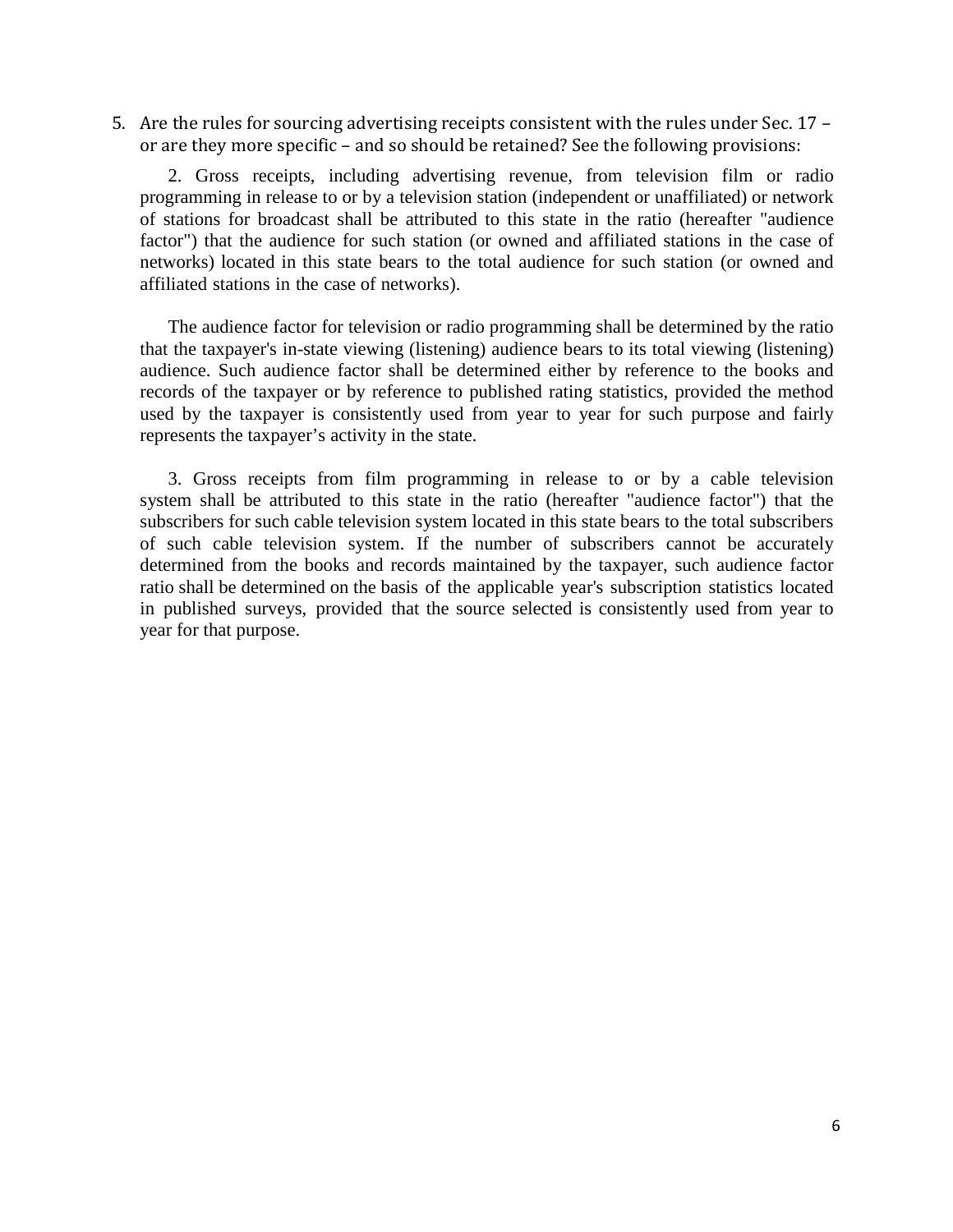5. Are the rules for sourcing advertising receipts consistent with the rules under Sec. 17 – or are they more specific – and so should be retained? See the following provisions:

2. Gross receipts, including advertising revenue, from television film or radio programming in release to or by a television station (independent or unaffiliated) or network of stations for broadcast shall be attributed to this state in the ratio (hereafter "audience factor") that the audience for such station (or owned and affiliated stations in the case of networks) located in this state bears to the total audience for such station (or owned and affiliated stations in the case of networks).

The audience factor for television or radio programming shall be determined by the ratio that the taxpayer's in-state viewing (listening) audience bears to its total viewing (listening) audience. Such audience factor shall be determined either by reference to the books and records of the taxpayer or by reference to published rating statistics, provided the method used by the taxpayer is consistently used from year to year for such purpose and fairly represents the taxpayer's activity in the state.

3. Gross receipts from film programming in release to or by a cable television system shall be attributed to this state in the ratio (hereafter "audience factor") that the subscribers for such cable television system located in this state bears to the total subscribers of such cable television system. If the number of subscribers cannot be accurately determined from the books and records maintained by the taxpayer, such audience factor ratio shall be determined on the basis of the applicable year's subscription statistics located in published surveys, provided that the source selected is consistently used from year to year for that purpose.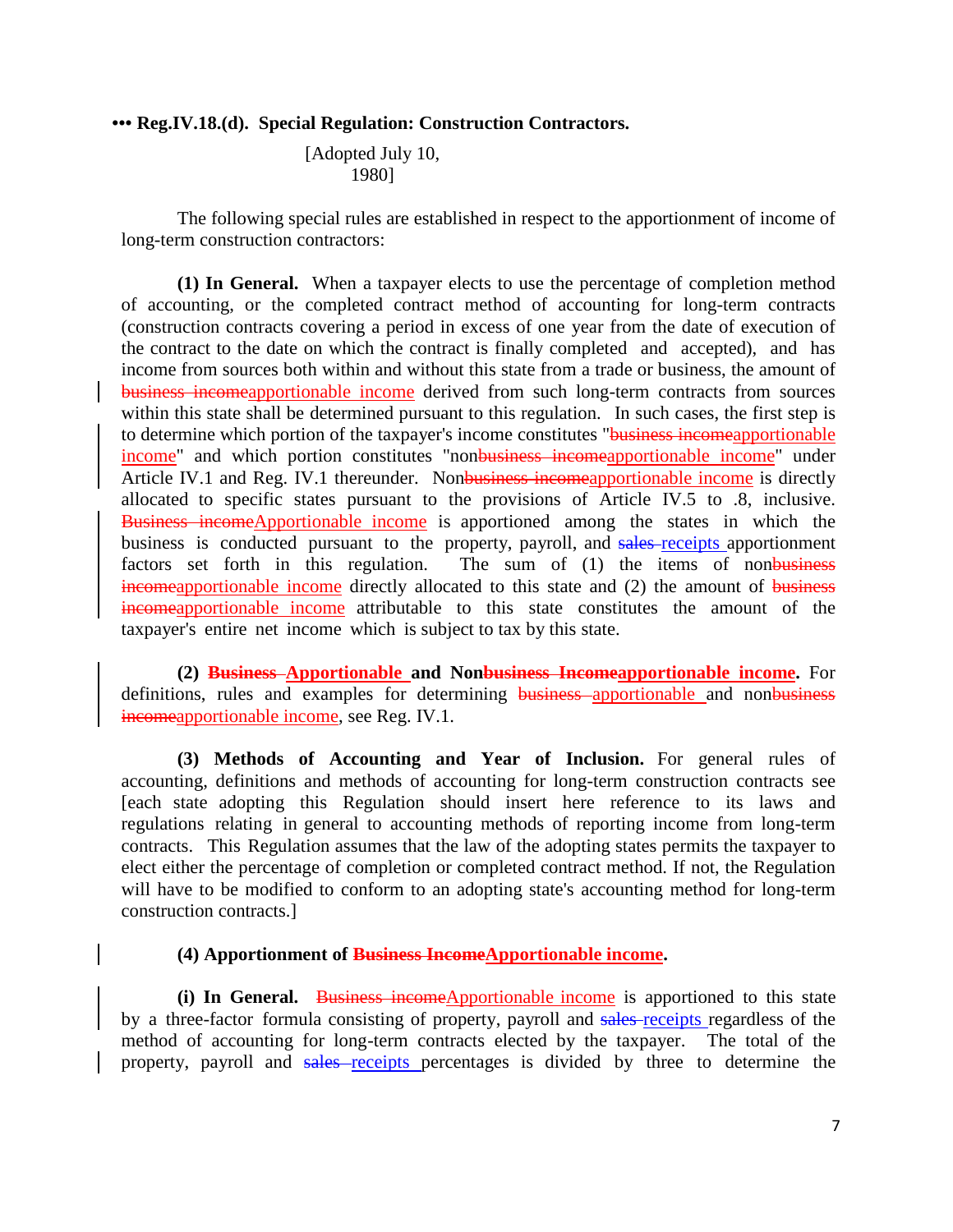### **••• Reg.IV.18.(d). Special Regulation: Construction Contractors.**

[Adopted July 10, 1980]

The following special rules are established in respect to the apportionment of income of long-term construction contractors:

**(1) In General.** When a taxpayer elects to use the percentage of completion method of accounting, or the completed contract method of accounting for long-term contracts (construction contracts covering a period in excess of one year from the date of execution of the contract to the date on which the contract is finally completed and accepted), and has income from sources both within and without this state from a trade or business, the amount of business incomeapportionable income derived from such long-term contracts from sources within this state shall be determined pursuant to this regulation. In such cases, the first step is to determine which portion of the taxpayer's income constitutes "business incomeapportionable income" and which portion constitutes "nonbusiness incomeapportionable income" under Article IV.1 and Reg. IV.1 thereunder. Nonbusiness incomeapportionable income is directly allocated to specific states pursuant to the provisions of Article IV.5 to .8, inclusive. Business incomeApportionable income is apportioned among the states in which the business is conducted pursuant to the property, payroll, and sales-receipts apportionment factors set forth in this regulation. The sum of (1) the items of nonbusiness incomeapportionable income directly allocated to this state and (2) the amount of business incomeapportionable income attributable to this state constitutes the amount of the taxpayer's entire net income which is subject to tax by this state.

**(2) Business Apportionable and Nonbusiness Incomeapportionable income.** For definitions, rules and examples for determining business apportionable and nonbusiness incomeapportionable income, see Reg. IV.1.

**(3) Methods of Accounting and Year of Inclusion.** For general rules of accounting, definitions and methods of accounting for long-term construction contracts see [each state adopting this Regulation should insert here reference to its laws and regulations relating in general to accounting methods of reporting income from long-term contracts. This Regulation assumes that the law of the adopting states permits the taxpayer to elect either the percentage of completion or completed contract method. If not, the Regulation will have to be modified to conform to an adopting state's accounting method for long-term construction contracts.]

# **(4) Apportionment of Business IncomeApportionable income.**

**(i)** In General. Business incomeApportionable income is apportioned to this state by a three-factor formula consisting of property, payroll and sales-receipts regardless of the method of accounting for long-term contracts elected by the taxpayer. The total of the property, payroll and sales receipts percentages is divided by three to determine the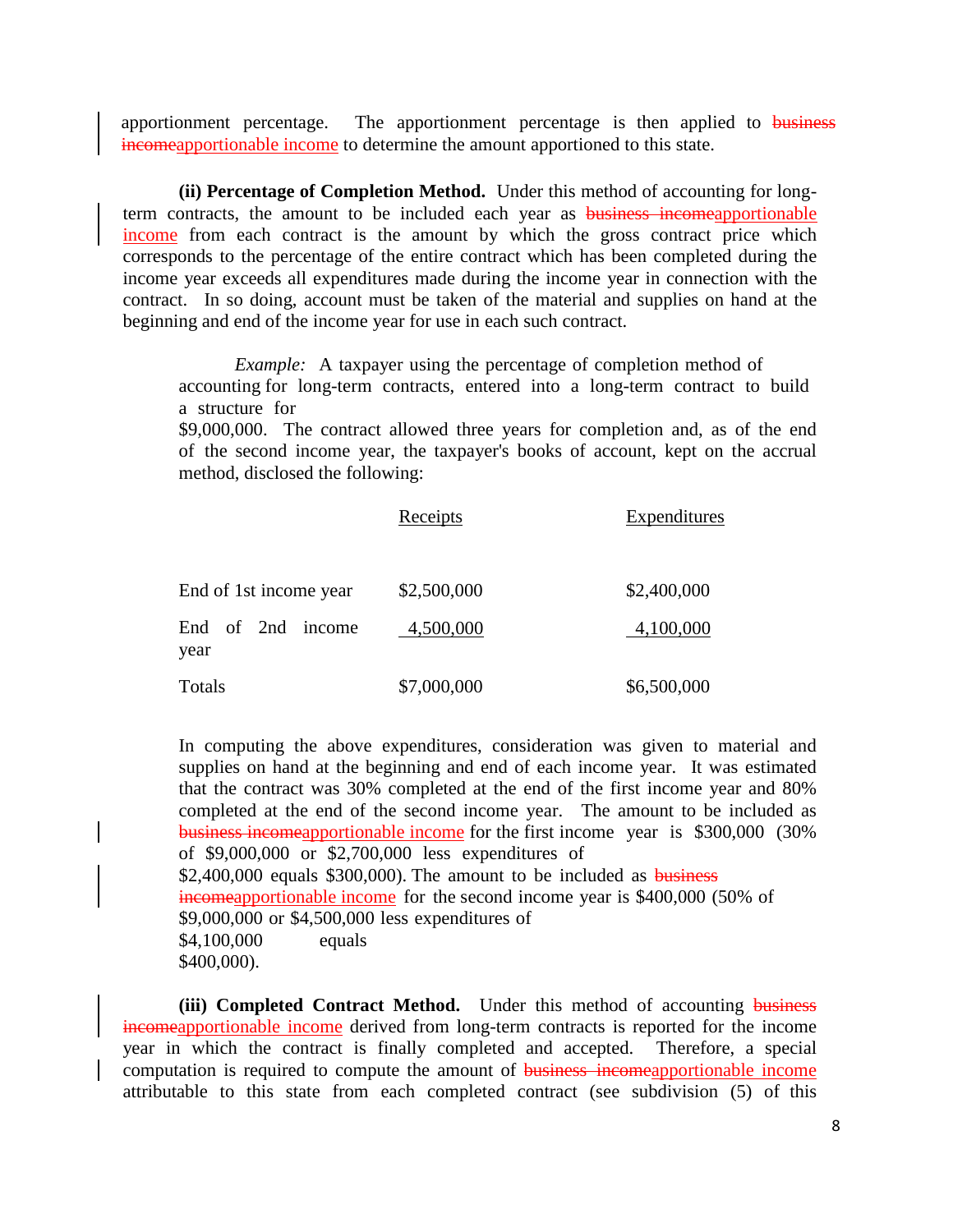apportionment percentage. The apportionment percentage is then applied to business incomeapportionable income to determine the amount apportioned to this state.

**(ii) Percentage of Completion Method.** Under this method of accounting for longterm contracts, the amount to be included each year as **business incomeapportionable** income from each contract is the amount by which the gross contract price which corresponds to the percentage of the entire contract which has been completed during the income year exceeds all expenditures made during the income year in connection with the contract. In so doing, account must be taken of the material and supplies on hand at the beginning and end of the income year for use in each such contract.

*Example:* A taxpayer using the percentage of completion method of accounting for long-term contracts, entered into a long-term contract to build a structure for

\$9,000,000. The contract allowed three years for completion and, as of the end of the second income year, the taxpayer's books of account, kept on the accrual method, disclosed the following:

|                           | Receipts    | <b>Expenditures</b> |  |  |
|---------------------------|-------------|---------------------|--|--|
| End of 1st income year    | \$2,500,000 | \$2,400,000         |  |  |
| End of 2nd income<br>year | 4,500,000   | 4,100,000           |  |  |
| Totals                    | \$7,000,000 | \$6,500,000         |  |  |

In computing the above expenditures, consideration was given to material and supplies on hand at the beginning and end of each income year. It was estimated that the contract was 30% completed at the end of the first income year and 80% completed at the end of the second income year. The amount to be included as business incomeapportionable income for the first income year is \$300,000 (30% of \$9,000,000 or \$2,700,000 less expenditures of  $$2,400,000$  equals  $$300,000$ . The amount to be included as business incomeapportionable income for the second income year is \$400,000 (50% of \$9,000,000 or \$4,500,000 less expenditures of \$4,100,000 equals \$400,000).

**(iii) Completed Contract Method.** Under this method of accounting business incomeapportionable income derived from long-term contracts is reported for the income year in which the contract is finally completed and accepted. Therefore, a special computation is required to compute the amount of business incomeapportionable income attributable to this state from each completed contract (see subdivision (5) of this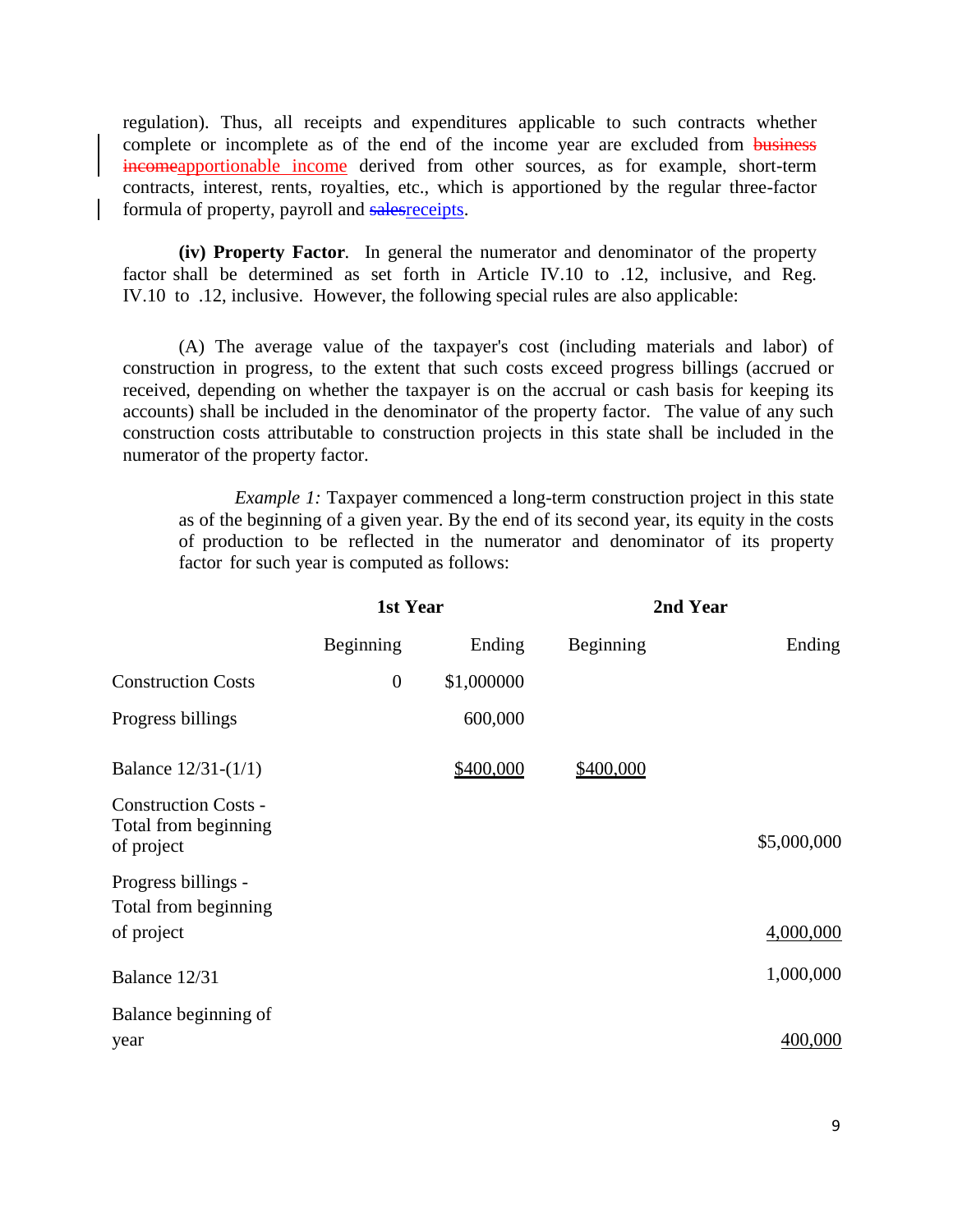regulation). Thus, all receipts and expenditures applicable to such contracts whether complete or incomplete as of the end of the income year are excluded from business incomeapportionable income derived from other sources, as for example, short-term contracts, interest, rents, royalties, etc., which is apportioned by the regular three-factor formula of property, payroll and salesreceipts.

**(iv) Property Factor***.* In general the numerator and denominator of the property factor shall be determined as set forth in Article IV.10 to .12, inclusive, and Reg. IV.10 to .12, inclusive. However, the following special rules are also applicable:

(A) The average value of the taxpayer's cost (including materials and labor) of construction in progress, to the extent that such costs exceed progress billings (accrued or received, depending on whether the taxpayer is on the accrual or cash basis for keeping its accounts) shall be included in the denominator of the property factor. The value of any such construction costs attributable to construction projects in this state shall be included in the numerator of the property factor.

*Example 1:* Taxpayer commenced a long-term construction project in this state as of the beginning of a given year. By the end of its second year, its equity in the costs of production to be reflected in the numerator and denominator of its property factor for such year is computed as follows:

|                                                                   | 1st Year         |            | 2nd Year  |             |
|-------------------------------------------------------------------|------------------|------------|-----------|-------------|
|                                                                   | Beginning        | Ending     | Beginning | Ending      |
| <b>Construction Costs</b>                                         | $\boldsymbol{0}$ | \$1,000000 |           |             |
| Progress billings                                                 |                  | 600,000    |           |             |
| Balance $12/31-(1/1)$                                             |                  | \$400,000  | \$400,000 |             |
| <b>Construction Costs -</b><br>Total from beginning<br>of project |                  |            |           | \$5,000,000 |
| Progress billings -<br>Total from beginning                       |                  |            |           |             |
| of project                                                        |                  |            |           | 4,000,000   |
| Balance 12/31                                                     |                  |            |           | 1,000,000   |
| Balance beginning of                                              |                  |            |           |             |
| year                                                              |                  |            |           | 400,000     |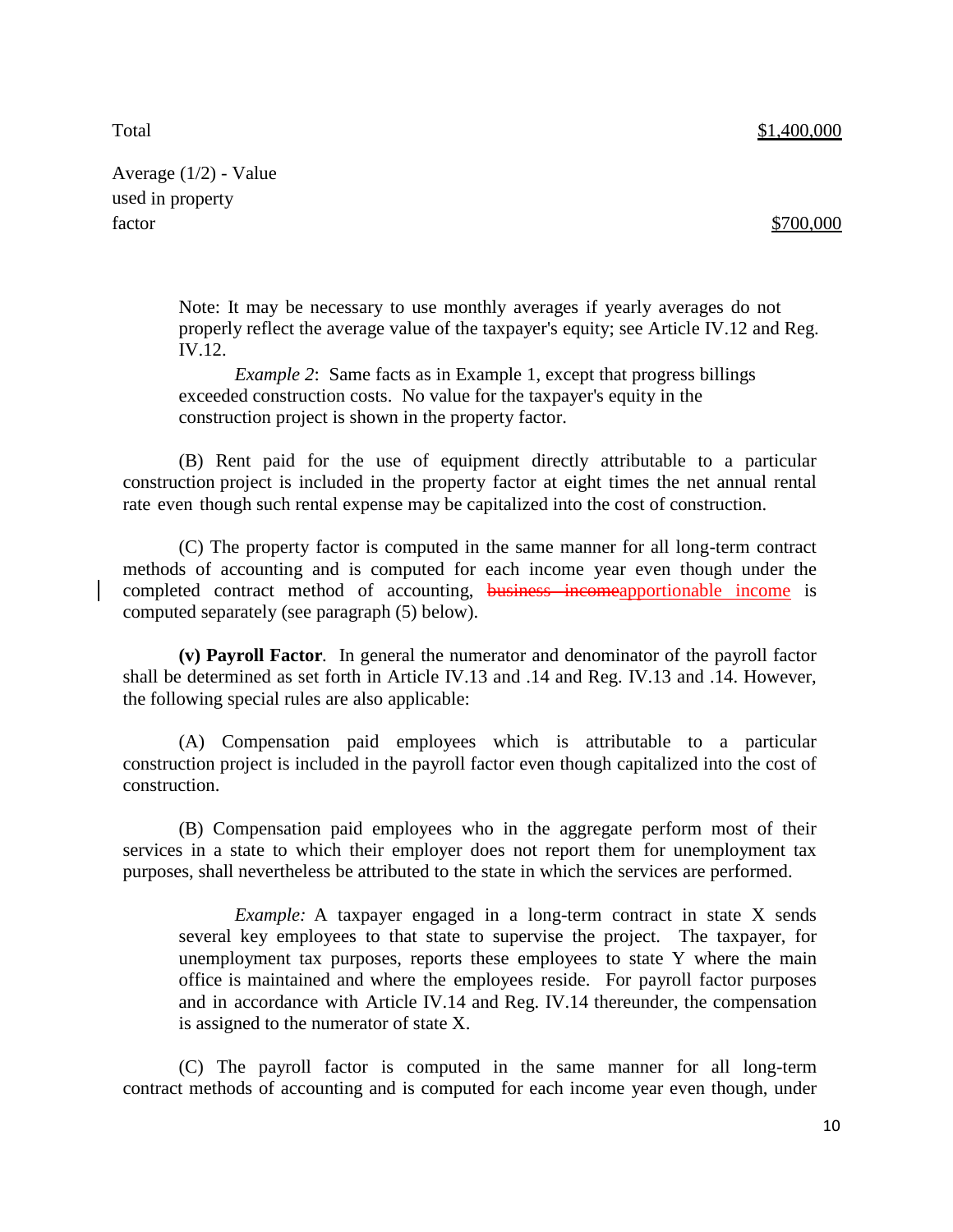Total \$1,400,000

Average (1/2) - Value used in property factor \$700,000

Note: It may be necessary to use monthly averages if yearly averages do not properly reflect the average value of the taxpayer's equity; see Article IV.12 and Reg. IV.12.

*Example* 2: Same facts as in Example 1, except that progress billings exceeded construction costs. No value for the taxpayer's equity in the construction project is shown in the property factor.

(B) Rent paid for the use of equipment directly attributable to a particular construction project is included in the property factor at eight times the net annual rental rate even though such rental expense may be capitalized into the cost of construction.

(C) The property factor is computed in the same manner for all long-term contract methods of accounting and is computed for each income year even though under the completed contract method of accounting, business incomeapportionable income is computed separately (see paragraph (5) below).

**(v) Payroll Factor***.* In general the numerator and denominator of the payroll factor shall be determined as set forth in Article IV.13 and .14 and Reg. IV.13 and .14. However, the following special rules are also applicable:

(A) Compensation paid employees which is attributable to a particular construction project is included in the payroll factor even though capitalized into the cost of construction.

(B) Compensation paid employees who in the aggregate perform most of their services in a state to which their employer does not report them for unemployment tax purposes, shall nevertheless be attributed to the state in which the services are performed.

*Example:* A taxpayer engaged in a long-term contract in state X sends several key employees to that state to supervise the project. The taxpayer, for unemployment tax purposes, reports these employees to state Y where the main office is maintained and where the employees reside. For payroll factor purposes and in accordance with Article IV.14 and Reg. IV.14 thereunder, the compensation is assigned to the numerator of state X.

(C) The payroll factor is computed in the same manner for all long-term contract methods of accounting and is computed for each income year even though, under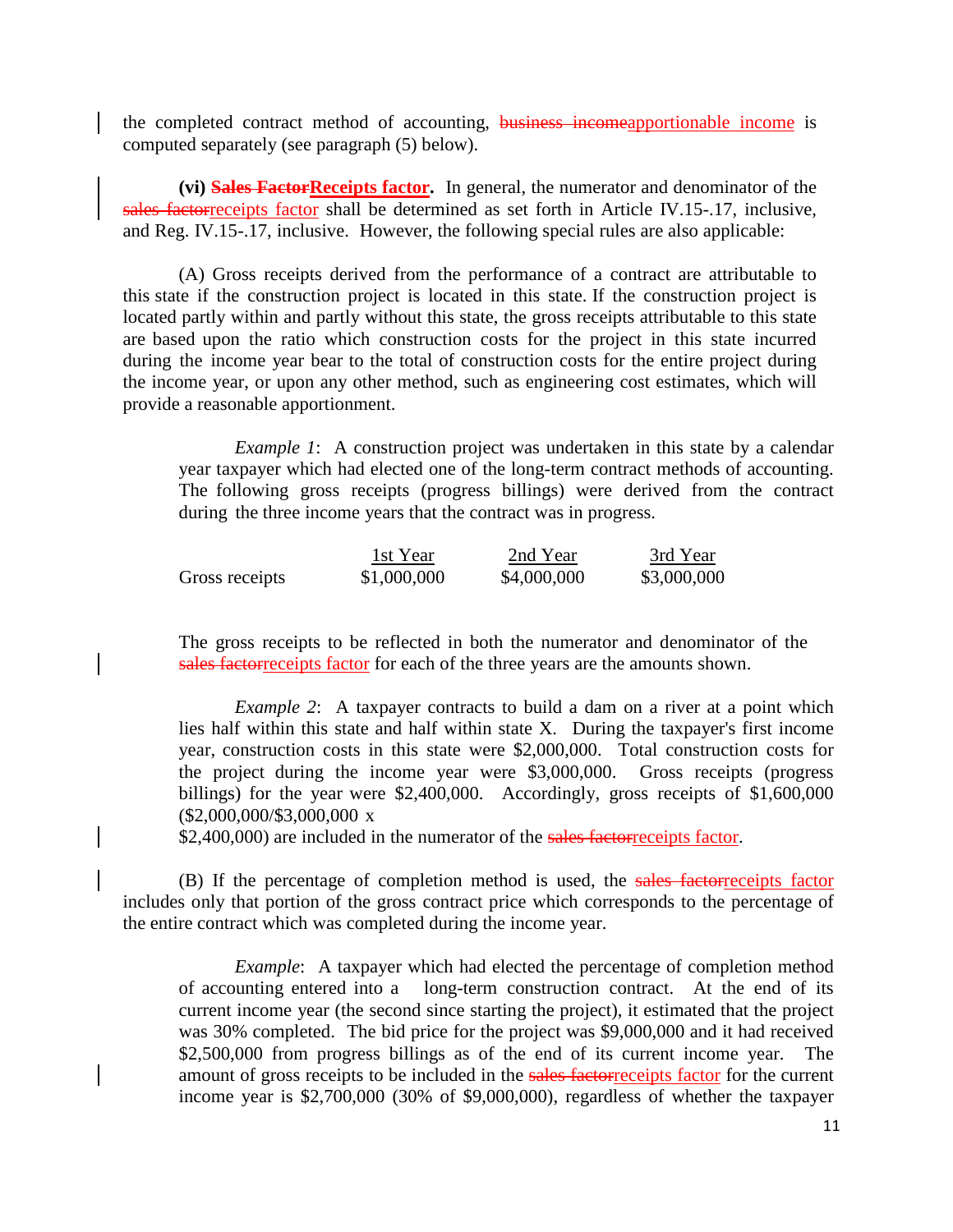the completed contract method of accounting, **business incomeapportionable income** is computed separately (see paragraph (5) below).

**(vi) Sales FactorReceipts factor.** In general, the numerator and denominator of the sales factorreceipts factor shall be determined as set forth in Article IV.15-.17, inclusive, and Reg. IV.15-.17, inclusive. However, the following special rules are also applicable:

(A) Gross receipts derived from the performance of a contract are attributable to this state if the construction project is located in this state. If the construction project is located partly within and partly without this state, the gross receipts attributable to this state are based upon the ratio which construction costs for the project in this state incurred during the income year bear to the total of construction costs for the entire project during the income year, or upon any other method, such as engineering cost estimates, which will provide a reasonable apportionment.

*Example 1*: A construction project was undertaken in this state by a calendar year taxpayer which had elected one of the long-term contract methods of accounting. The following gross receipts (progress billings) were derived from the contract during the three income years that the contract was in progress.

|                | 1st Year    | 2nd Year    | 3rd Year    |
|----------------|-------------|-------------|-------------|
| Gross receipts | \$1,000,000 | \$4,000,000 | \$3,000,000 |

The gross receipts to be reflected in both the numerator and denominator of the sales factorreceipts factor for each of the three years are the amounts shown.

*Example 2*: A taxpayer contracts to build a dam on a river at a point which lies half within this state and half within state X. During the taxpayer's first income year, construction costs in this state were \$2,000,000. Total construction costs for the project during the income year were \$3,000,000. Gross receipts (progress billings) for the year were \$2,400,000. Accordingly, gross receipts of \$1,600,000 (\$2,000,000/\$3,000,000 x

\$2,400,000) are included in the numerator of the sales factorreceipts factor.

(B) If the percentage of completion method is used, the sales factorreceipts factor includes only that portion of the gross contract price which corresponds to the percentage of the entire contract which was completed during the income year.

*Example*: A taxpayer which had elected the percentage of completion method of accounting entered into a long-term construction contract. At the end of its current income year (the second since starting the project), it estimated that the project was 30% completed. The bid price for the project was \$9,000,000 and it had received \$2,500,000 from progress billings as of the end of its current income year. The amount of gross receipts to be included in the sales factorreceipts factor for the current income year is \$2,700,000 (30% of \$9,000,000), regardless of whether the taxpayer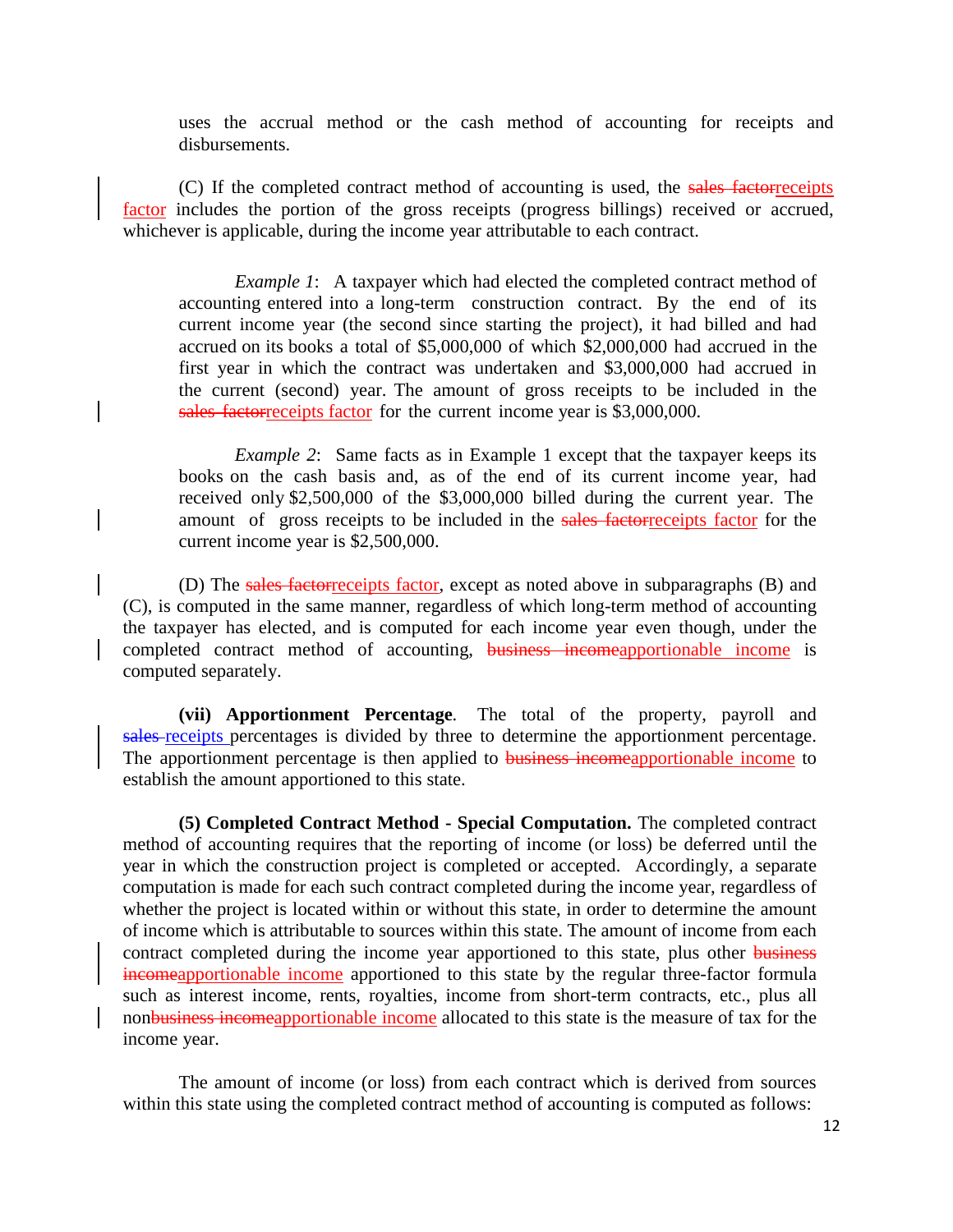uses the accrual method or the cash method of accounting for receipts and disbursements.

(C) If the completed contract method of accounting is used, the sales factorreceipts factor includes the portion of the gross receipts (progress billings) received or accrued, whichever is applicable, during the income year attributable to each contract.

*Example 1*: A taxpayer which had elected the completed contract method of accounting entered into a long-term construction contract. By the end of its current income year (the second since starting the project), it had billed and had accrued on its books a total of \$5,000,000 of which \$2,000,000 had accrued in the first year in which the contract was undertaken and \$3,000,000 had accrued in the current (second) year. The amount of gross receipts to be included in the sales factorreceipts factor for the current income year is \$3,000,000.

*Example 2*: Same facts as in Example 1 except that the taxpayer keeps its books on the cash basis and, as of the end of its current income year, had received only \$2,500,000 of the \$3,000,000 billed during the current year. The amount of gross receipts to be included in the sales factorreceipts factor for the current income year is \$2,500,000.

(D) The sales factorreceipts factor, except as noted above in subparagraphs (B) and (C), is computed in the same manner, regardless of which long-term method of accounting the taxpayer has elected, and is computed for each income year even though, under the completed contract method of accounting, **business incomeapportionable income** is computed separately.

**(vii) Apportionment Percentage***.* The total of the property, payroll and sales-receipts percentages is divided by three to determine the apportionment percentage. The apportionment percentage is then applied to **business incomeapportionable income to** establish the amount apportioned to this state.

**(5) Completed Contract Method - Special Computation.** The completed contract method of accounting requires that the reporting of income (or loss) be deferred until the year in which the construction project is completed or accepted. Accordingly, a separate computation is made for each such contract completed during the income year, regardless of whether the project is located within or without this state, in order to determine the amount of income which is attributable to sources within this state. The amount of income from each contract completed during the income year apportioned to this state, plus other business incomeapportionable income apportioned to this state by the regular three-factor formula such as interest income, rents, royalties, income from short-term contracts, etc., plus all nonbusiness incomeapportionable income allocated to this state is the measure of tax for the income year.

The amount of income (or loss) from each contract which is derived from sources within this state using the completed contract method of accounting is computed as follows: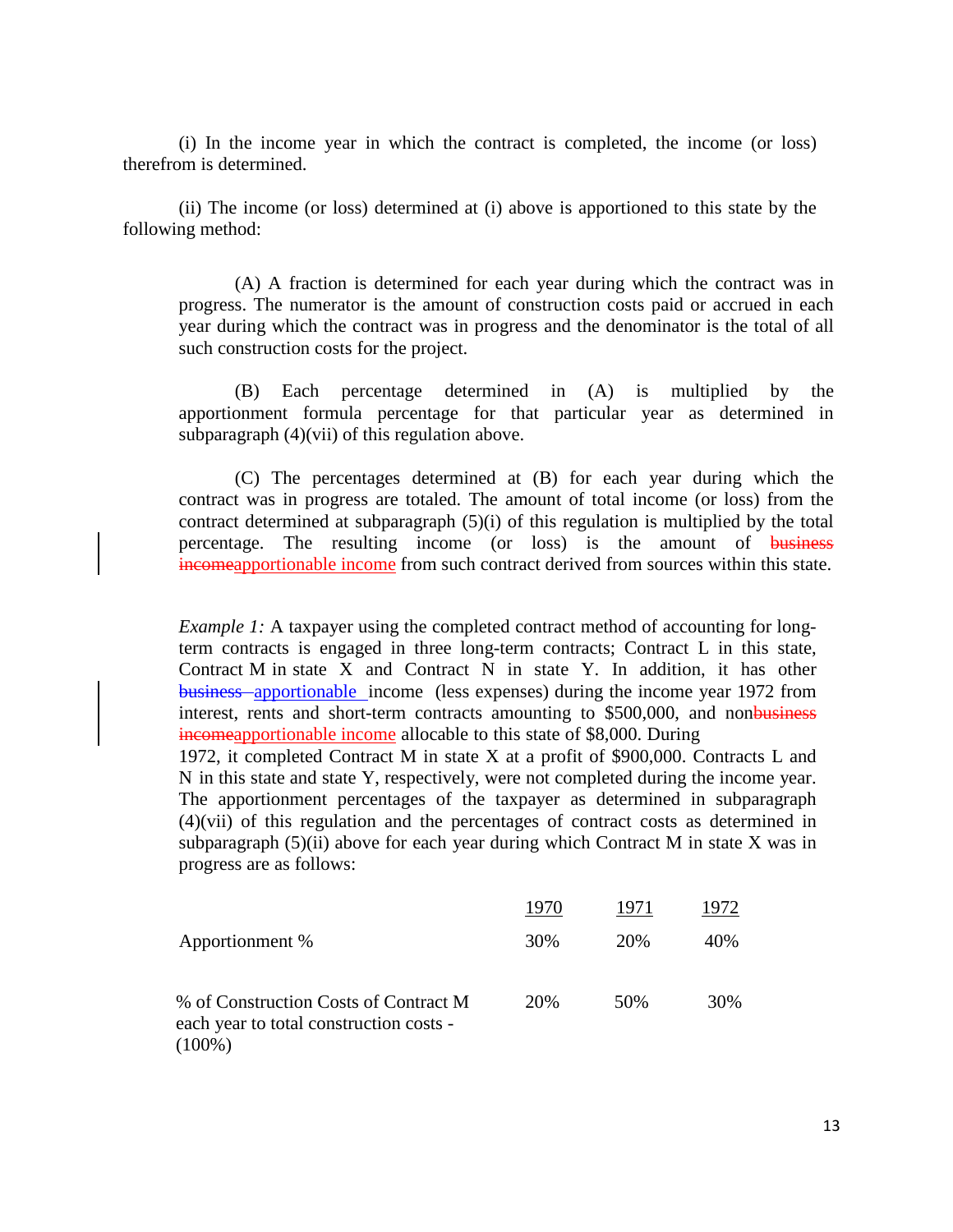(i) In the income year in which the contract is completed, the income (or loss) therefrom is determined.

(ii) The income (or loss) determined at (i) above is apportioned to this state by the following method:

(A) A fraction is determined for each year during which the contract was in progress. The numerator is the amount of construction costs paid or accrued in each year during which the contract was in progress and the denominator is the total of all such construction costs for the project.

(B) Each percentage determined in (A) is multiplied by the apportionment formula percentage for that particular year as determined in subparagraph (4)(vii) of this regulation above.

(C) The percentages determined at (B) for each year during which the contract was in progress are totaled. The amount of total income (or loss) from the contract determined at subparagraph (5)(i) of this regulation is multiplied by the total percentage. The resulting income (or loss) is the amount of business incomeapportionable income from such contract derived from sources within this state.

*Example 1:* A taxpayer using the completed contract method of accounting for longterm contracts is engaged in three long-term contracts; Contract L in this state, Contract M in state X and Contract N in state Y. In addition, it has other business apportionable income (less expenses) during the income year 1972 from interest, rents and short-term contracts amounting to \$500,000, and nonbusiness incomeapportionable income allocable to this state of \$8,000. During

1972, it completed Contract M in state X at a profit of \$900,000. Contracts L and N in this state and state Y, respectively, were not completed during the income year. The apportionment percentages of the taxpayer as determined in subparagraph (4)(vii) of this regulation and the percentages of contract costs as determined in subparagraph  $(5)(ii)$  above for each year during which Contract M in state X was in progress are as follows:

|                                                                                               | 1970 | 1971 | 1972 |
|-----------------------------------------------------------------------------------------------|------|------|------|
| Apportionment %                                                                               | 30%  | 20%  | 40\% |
| % of Construction Costs of Contract M<br>each year to total construction costs -<br>$(100\%)$ | 20%  | 50%  | 30%  |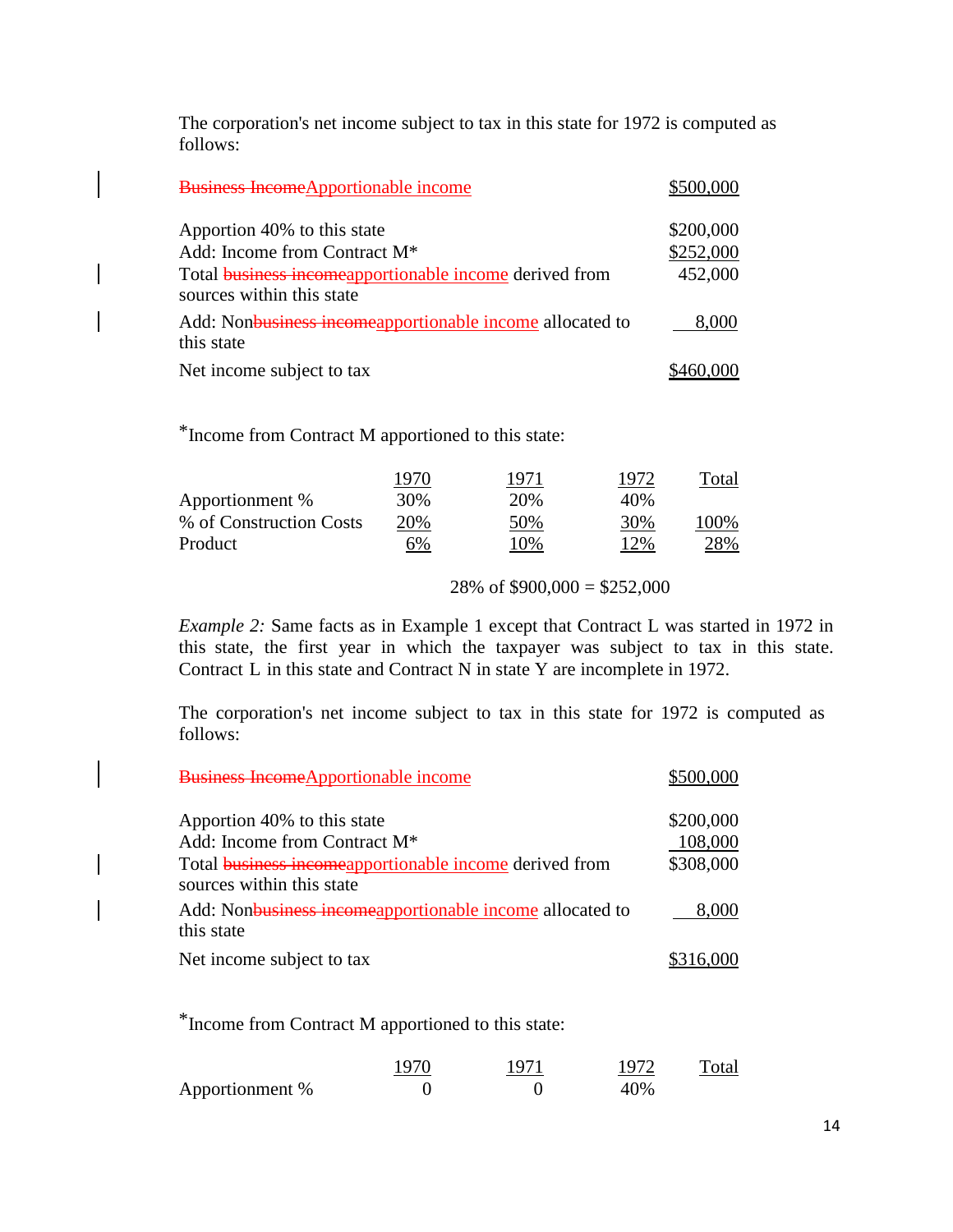The corporation's net income subject to tax in this state for 1972 is computed as follows:

| <b>Business Income</b> Apportionable income                                                | \$500,000 |
|--------------------------------------------------------------------------------------------|-----------|
| Apportion 40% to this state                                                                | \$200,000 |
| Add: Income from Contract M <sup>*</sup>                                                   | \$252,000 |
| Total <b>business incomeapportionable income derived from</b><br>sources within this state | 452,000   |
| Add: Nonbusiness incomeapportionable income allocated to<br>this state                     | 8,000     |
| Net income subject to tax                                                                  |           |

\*Income from Contract M apportioned to this state:

|                         | 1970 | 1971 | 1972 | Total |
|-------------------------|------|------|------|-------|
| Apportionment %         | 30%  | 20%  | 40%  |       |
| % of Construction Costs | 20%  | 50%  | 30%  | 100\% |
| Product                 | 6%   | 10%  | 12%  | 28%   |

28% of  $$900,000 = $252,000$ 

*Example 2:* Same facts as in Example 1 except that Contract L was started in 1972 in this state, the first year in which the taxpayer was subject to tax in this state. Contract L in this state and Contract N in state Y are incomplete in 1972.

The corporation's net income subject to tax in this state for 1972 is computed as follows:

| <b>Business Income</b> Apportionable income                                                | \$500,000 |
|--------------------------------------------------------------------------------------------|-----------|
| Apportion 40% to this state                                                                | \$200,000 |
| Add: Income from Contract M <sup>*</sup>                                                   | 108,000   |
| Total <b>business incomeapportionable income derived from</b><br>sources within this state | \$308,000 |
| Add: Nonbusiness incomeapportionable income allocated to<br>this state                     | 8,000     |
| Net income subject to tax                                                                  | \$316.000 |

\*Income from Contract M apportioned to this state:

|                 | 1970 | 1971 | 1972 | Total |
|-----------------|------|------|------|-------|
| Apportionment % |      |      | 40%  |       |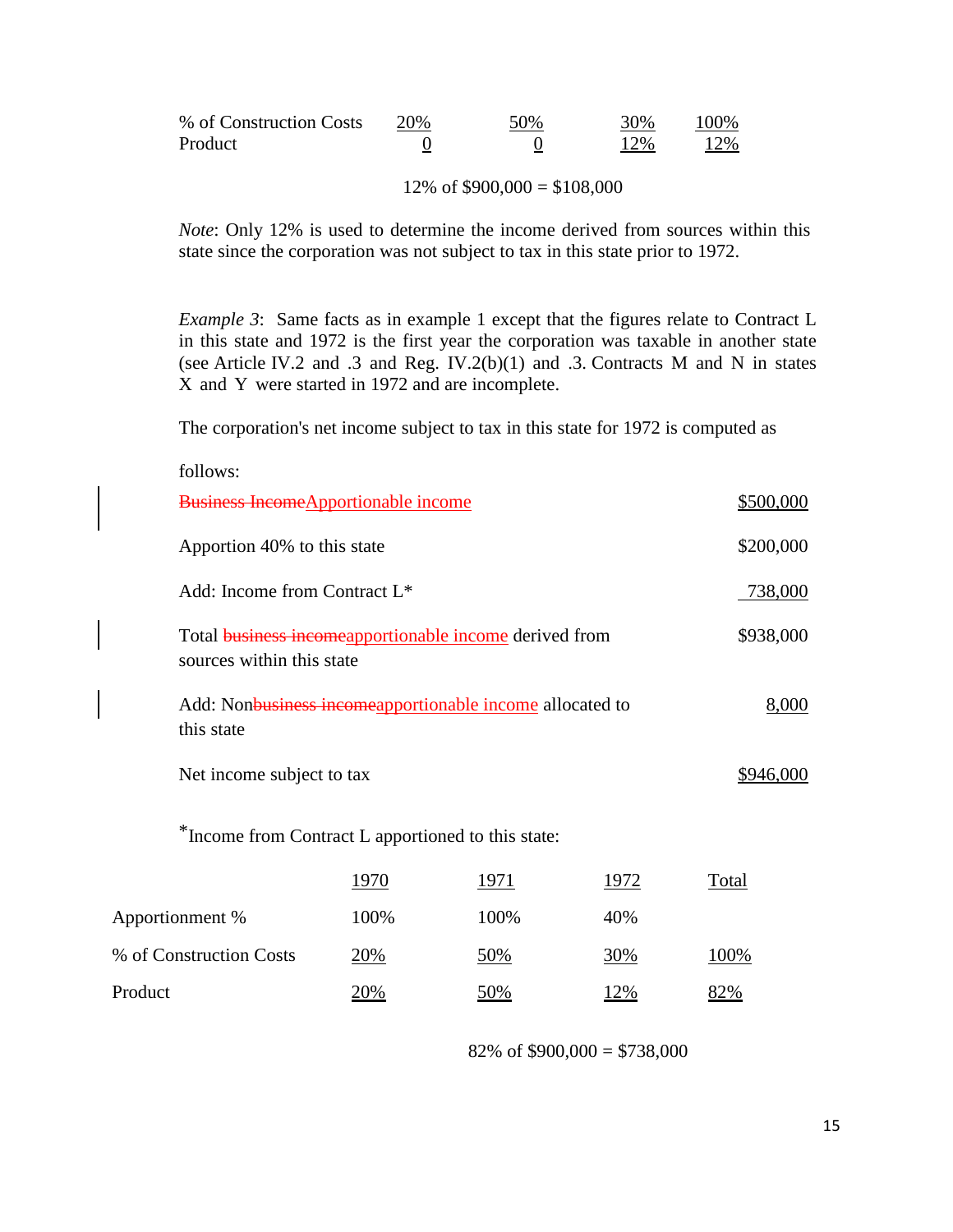| % of Construction Costs | 20% | 50% | 30% | 100% |
|-------------------------|-----|-----|-----|------|
| Product                 |     |     | 12% | 12%  |

12% of  $$900,000 = $108,000$ 

*Note*: Only 12% is used to determine the income derived from sources within this state since the corporation was not subject to tax in this state prior to 1972.

*Example 3*: Same facts as in example 1 except that the figures relate to Contract L in this state and 1972 is the first year the corporation was taxable in another state (see Article IV.2 and .3 and Reg. IV.2(b)(1) and .3. Contracts M and N in states X and Y were started in 1972 and are incomplete.

The corporation's net income subject to tax in this state for 1972 is computed as

| follows:                                                                                   |            |            |             |           |
|--------------------------------------------------------------------------------------------|------------|------------|-------------|-----------|
| <b>Business Income</b> Apportionable income                                                |            |            |             | \$500,000 |
| Apportion 40% to this state                                                                |            |            |             | \$200,000 |
| Add: Income from Contract L <sup>*</sup>                                                   |            |            |             | 738,000   |
| Total <b>business incomeapportionable income</b> derived from<br>sources within this state |            |            |             | \$938,000 |
| Add: Nonbusiness incomeapportionable income allocated to<br>this state                     |            |            |             | 8,000     |
| Net income subject to tax                                                                  |            |            |             | \$946,000 |
| *Income from Contract L apportioned to this state:                                         |            |            |             |           |
|                                                                                            | 1970       | 1971       | <u>1972</u> | Total     |
| Apportionment %                                                                            | 100%       | 100%       | 40%         |           |
| % of Construction Costs                                                                    | <u>20%</u> | <u>50%</u> | <u>30%</u>  | 100%      |
| Product                                                                                    | 20%        | 50%        | 12%         | 82%       |

82% of  $$900,000 = $738,000$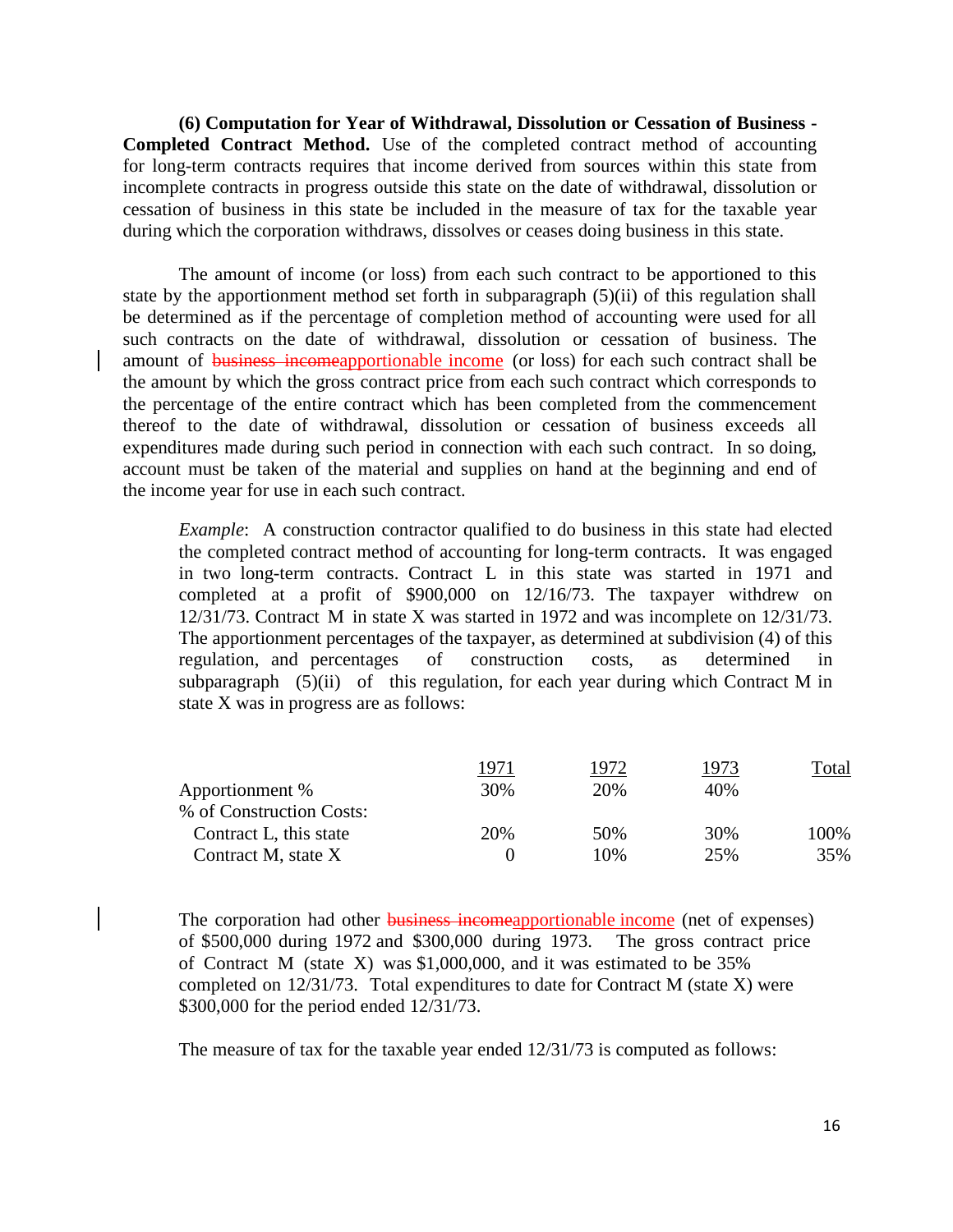**(6) Computation for Year of Withdrawal, Dissolution or Cessation of Business - Completed Contract Method.** Use of the completed contract method of accounting for long-term contracts requires that income derived from sources within this state from incomplete contracts in progress outside this state on the date of withdrawal, dissolution or cessation of business in this state be included in the measure of tax for the taxable year during which the corporation withdraws, dissolves or ceases doing business in this state.

The amount of income (or loss) from each such contract to be apportioned to this state by the apportionment method set forth in subparagraph (5)(ii) of this regulation shall be determined as if the percentage of completion method of accounting were used for all such contracts on the date of withdrawal, dissolution or cessation of business. The amount of business incomeapportionable income (or loss) for each such contract shall be the amount by which the gross contract price from each such contract which corresponds to the percentage of the entire contract which has been completed from the commencement thereof to the date of withdrawal, dissolution or cessation of business exceeds all expenditures made during such period in connection with each such contract. In so doing, account must be taken of the material and supplies on hand at the beginning and end of the income year for use in each such contract.

*Example*: A construction contractor qualified to do business in this state had elected the completed contract method of accounting for long-term contracts. It was engaged in two long-term contracts. Contract L in this state was started in 1971 and completed at a profit of \$900,000 on 12/16/73. The taxpayer withdrew on 12/31/73. Contract M in state X was started in 1972 and was incomplete on 12/31/73. The apportionment percentages of the taxpayer, as determined at subdivision (4) of this regulation, and percentages of construction costs, as determined in subparagraph  $(5)(ii)$  of this regulation, for each year during which Contract M in state X was in progress are as follows:

|                          | 1971 | 1972 | 1973 | Total |
|--------------------------|------|------|------|-------|
| Apportionment %          | 30%  | 20%  | 40%  |       |
| % of Construction Costs: |      |      |      |       |
| Contract L, this state   | 20%  | 50%  | 30%  | 100%  |
| Contract M, state X      |      | 10%  | 25%  | 35%   |
|                          |      |      |      |       |

The corporation had other **business incomeapportionable income** (net of expenses) of \$500,000 during 1972 and \$300,000 during 1973. The gross contract price of Contract M (state X) was \$1,000,000, and it was estimated to be 35% completed on 12/31/73. Total expenditures to date for Contract M (state X) were \$300,000 for the period ended 12/31/73.

The measure of tax for the taxable year ended 12/31/73 is computed as follows: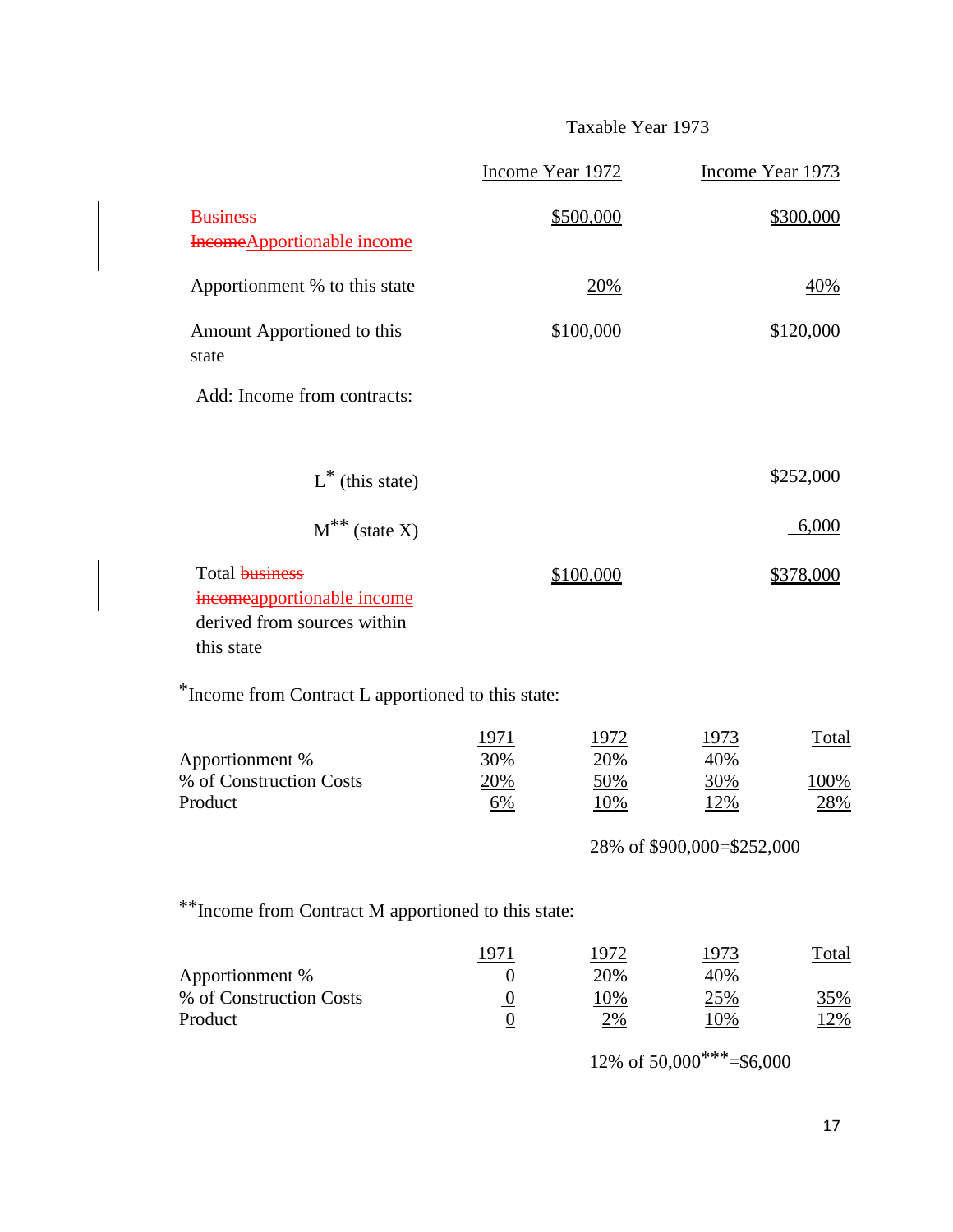# Taxable Year 1973

|                                                                                                  |                                          | Income Year 1972                          |                                                                | Income Year 1973                  |
|--------------------------------------------------------------------------------------------------|------------------------------------------|-------------------------------------------|----------------------------------------------------------------|-----------------------------------|
| <b>Business</b><br>Income Apportionable income                                                   |                                          | \$500,000                                 |                                                                | \$300,000                         |
| Apportionment % to this state                                                                    |                                          | <u>20%</u>                                |                                                                | <u>40%</u>                        |
| Amount Apportioned to this<br>state                                                              |                                          | \$100,000                                 |                                                                | \$120,000                         |
| Add: Income from contracts:                                                                      |                                          |                                           |                                                                |                                   |
| $L^*$ (this state)                                                                               |                                          |                                           |                                                                | \$252,000                         |
| $M^*$ (state X)                                                                                  |                                          |                                           |                                                                | 6,000                             |
| Total <b>business</b><br>incomeapportionable income<br>derived from sources within<br>this state |                                          | \$100,000                                 |                                                                | \$378,000                         |
| *Income from Contract L apportioned to this state:                                               |                                          |                                           |                                                                |                                   |
| Apportionment %<br>% of Construction Costs<br>Product                                            | <u> 1971 </u><br>30%<br>20%<br><u>6%</u> | <u> 1972 </u><br>20%<br>50%<br><u>10%</u> | <u> 1973 </u><br>40%<br>30%<br><u>12%</u>                      | <b>Total</b><br>100%<br>28%       |
|                                                                                                  |                                          |                                           | 28% of \$900,000=\$252,000                                     |                                   |
| ** Income from Contract M apportioned to this state:                                             |                                          |                                           |                                                                |                                   |
| Apportionment %<br>% of Construction Costs<br>Product                                            | $\boldsymbol{0}$<br>$\frac{0}{0}$        | 1972<br>20%<br>10%<br>2%                  | <u> 1973 </u><br>40%<br>25%<br>10%<br>12% of 50,000***=\$6,000 | <u>Total</u><br>35%<br><u>12%</u> |
|                                                                                                  |                                          |                                           |                                                                |                                   |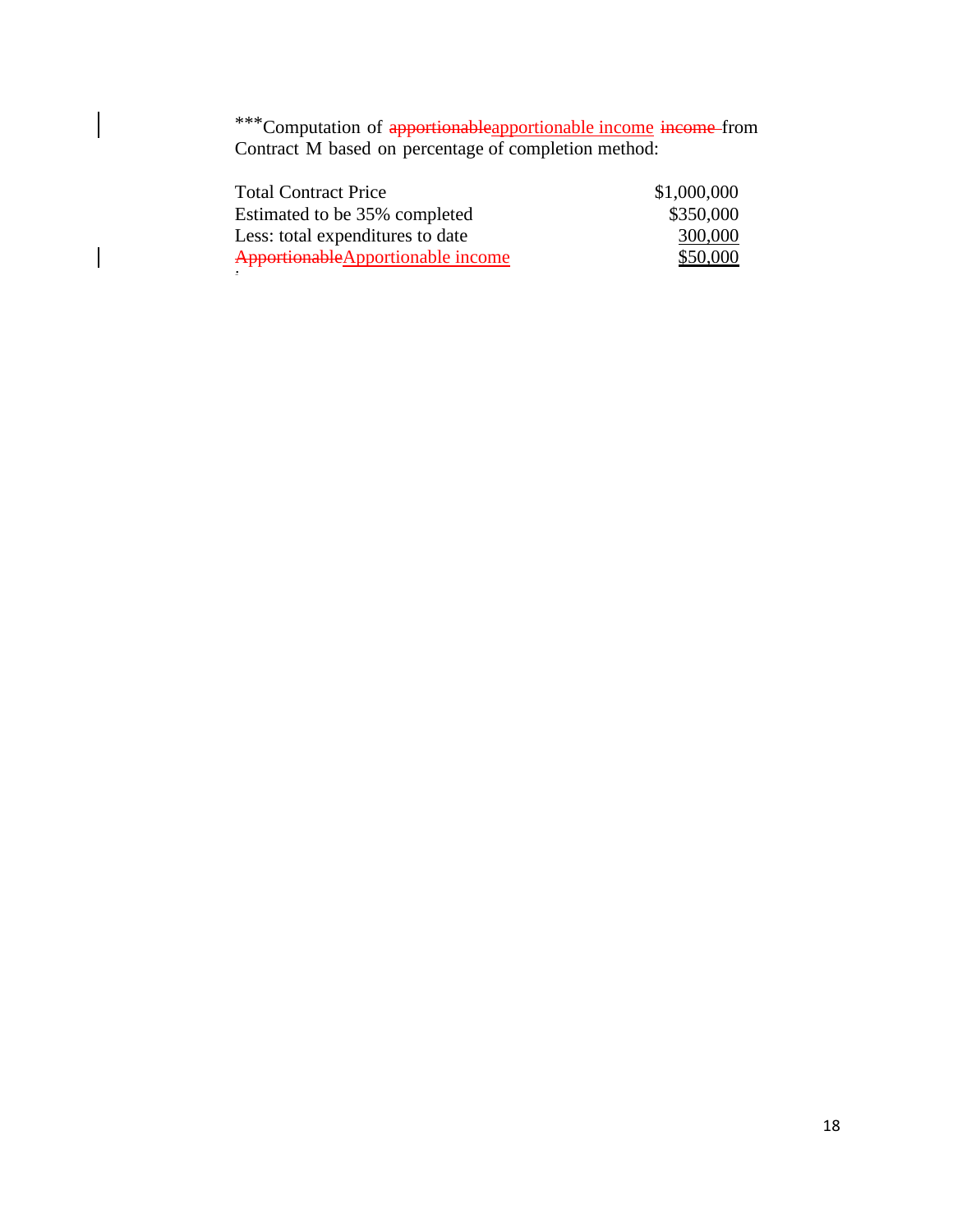\*\*\*Computation of apportionableapportionable income income-from Contract M based on percentage of completion method:

 $\begin{array}{c} \hline \end{array}$ 

 $\vert$ 

| <b>Total Contract Price</b>        | \$1,000,000 |
|------------------------------------|-------------|
| Estimated to be 35% completed      | \$350,000   |
| Less: total expenditures to date   | 300,000     |
| Apportionable Apportionable income | \$50,000    |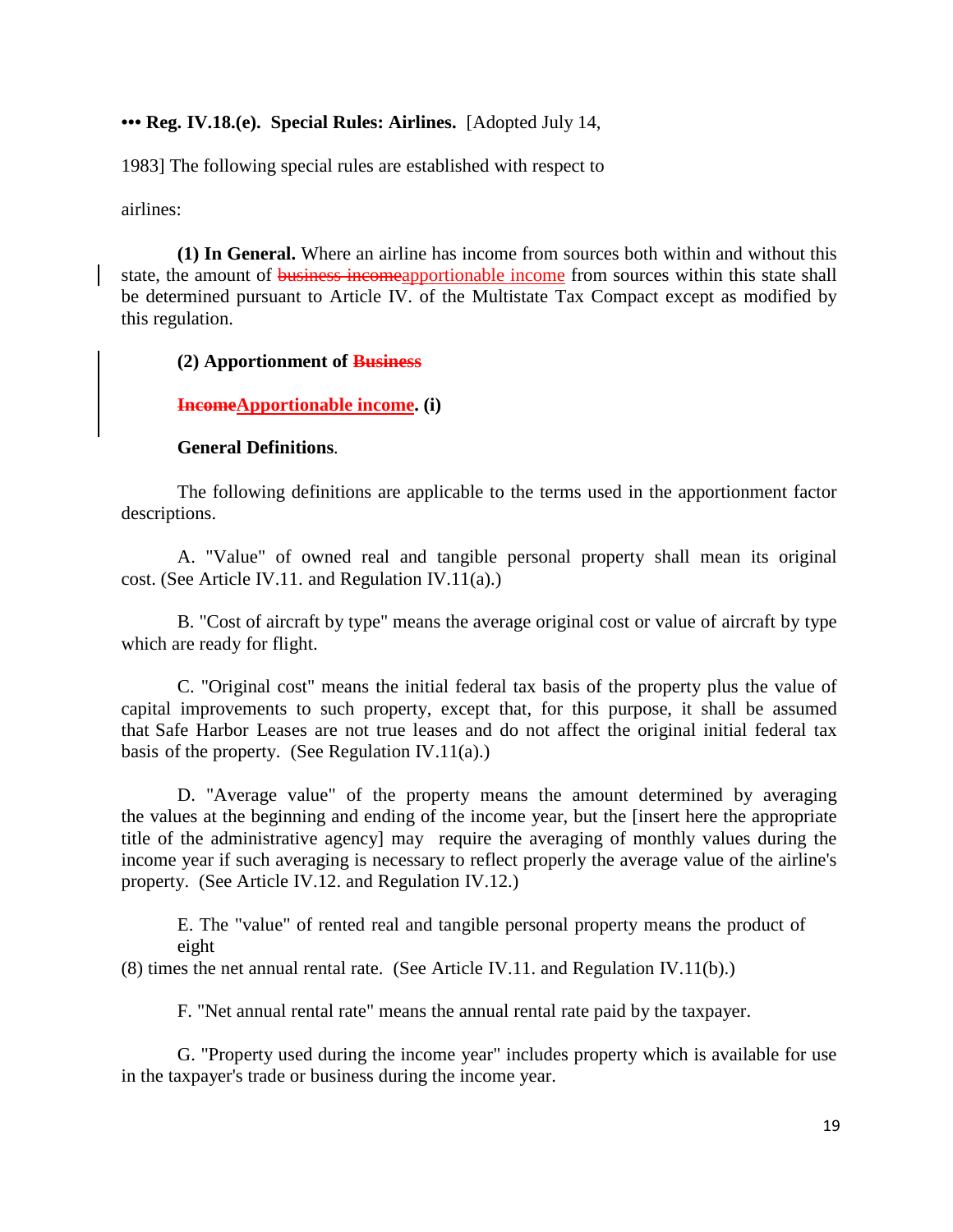### **••• Reg. IV.18.(e). Special Rules: Airlines.** [Adopted July 14,

1983] The following special rules are established with respect to

airlines:

**(1) In General.** Where an airline has income from sources both within and without this state, the amount of business incomeapportionable income from sources within this state shall be determined pursuant to Article IV. of the Multistate Tax Compact except as modified by this regulation.

#### **(2) Apportionment of Business**

### **IncomeApportionable income. (i)**

#### **General Definitions***.*

The following definitions are applicable to the terms used in the apportionment factor descriptions.

A. "Value" of owned real and tangible personal property shall mean its original cost. (See Article IV.11. and Regulation IV.11(a).)

B. "Cost of aircraft by type" means the average original cost or value of aircraft by type which are ready for flight.

C. "Original cost" means the initial federal tax basis of the property plus the value of capital improvements to such property, except that, for this purpose, it shall be assumed that Safe Harbor Leases are not true leases and do not affect the original initial federal tax basis of the property. (See Regulation IV.11(a).)

D. "Average value" of the property means the amount determined by averaging the values at the beginning and ending of the income year, but the [insert here the appropriate title of the administrative agency] may require the averaging of monthly values during the income year if such averaging is necessary to reflect properly the average value of the airline's property. (See Article IV.12. and Regulation IV.12.)

E. The "value" of rented real and tangible personal property means the product of eight

(8) times the net annual rental rate. (See Article IV.11. and Regulation IV.11(b).)

F. "Net annual rental rate" means the annual rental rate paid by the taxpayer.

G. "Property used during the income year" includes property which is available for use in the taxpayer's trade or business during the income year.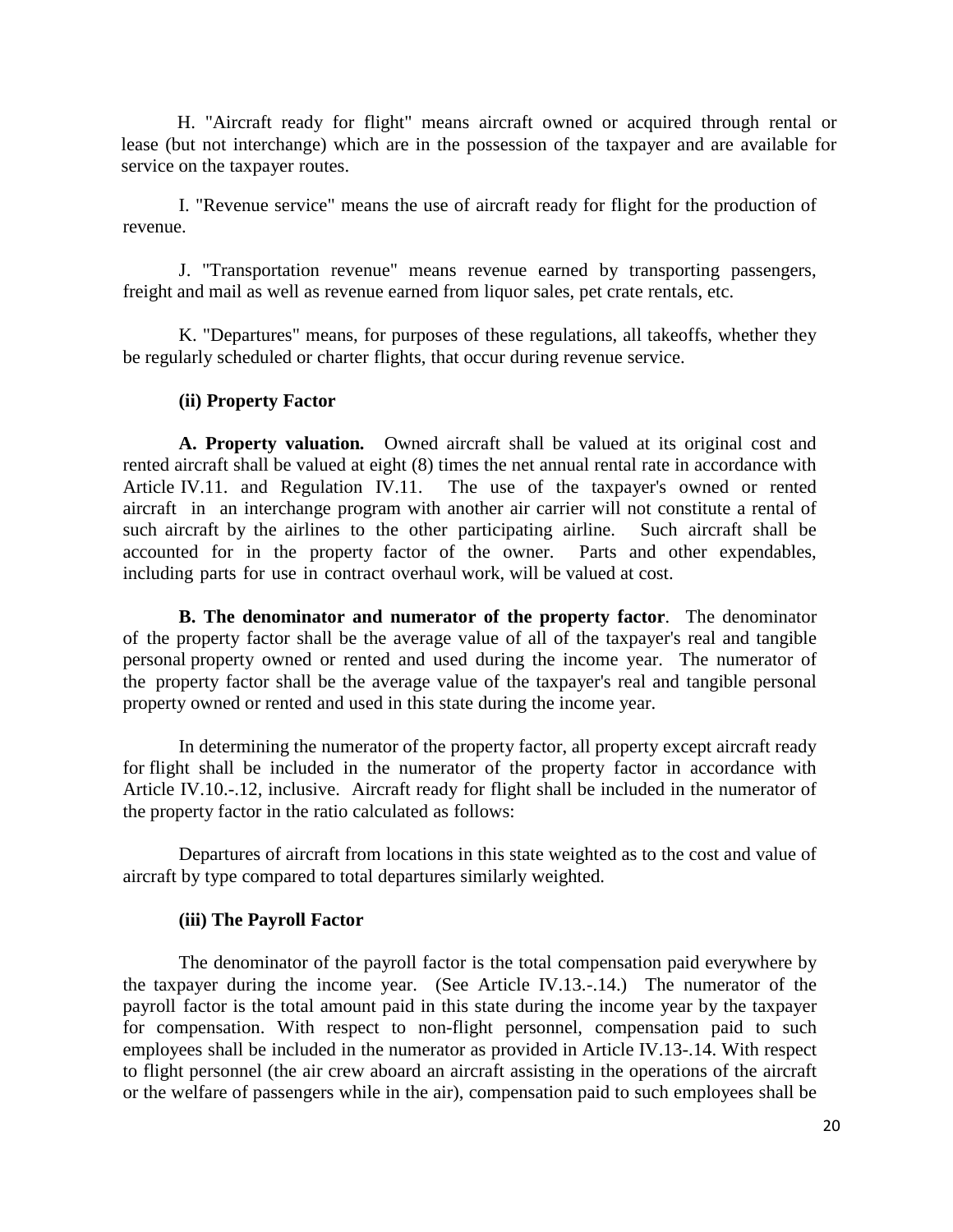H. "Aircraft ready for flight" means aircraft owned or acquired through rental or lease (but not interchange) which are in the possession of the taxpayer and are available for service on the taxpayer routes.

I. "Revenue service" means the use of aircraft ready for flight for the production of revenue.

J. "Transportation revenue" means revenue earned by transporting passengers, freight and mail as well as revenue earned from liquor sales, pet crate rentals, etc.

K. "Departures" means, for purposes of these regulations, all takeoffs, whether they be regularly scheduled or charter flights, that occur during revenue service.

#### **(ii) Property Factor**

**A. Property valuation***.* Owned aircraft shall be valued at its original cost and rented aircraft shall be valued at eight (8) times the net annual rental rate in accordance with Article IV.11. and Regulation IV.11. The use of the taxpayer's owned or rented aircraft in an interchange program with another air carrier will not constitute a rental of such aircraft by the airlines to the other participating airline. Such aircraft shall be accounted for in the property factor of the owner. Parts and other expendables, including parts for use in contract overhaul work, will be valued at cost.

**B. The denominator and numerator of the property factor***.* The denominator of the property factor shall be the average value of all of the taxpayer's real and tangible personal property owned or rented and used during the income year. The numerator of the property factor shall be the average value of the taxpayer's real and tangible personal property owned or rented and used in this state during the income year.

In determining the numerator of the property factor, all property except aircraft ready for flight shall be included in the numerator of the property factor in accordance with Article IV.10.-.12, inclusive. Aircraft ready for flight shall be included in the numerator of the property factor in the ratio calculated as follows:

Departures of aircraft from locations in this state weighted as to the cost and value of aircraft by type compared to total departures similarly weighted.

#### **(iii) The Payroll Factor**

The denominator of the payroll factor is the total compensation paid everywhere by the taxpayer during the income year. (See Article IV.13.-.14.) The numerator of the payroll factor is the total amount paid in this state during the income year by the taxpayer for compensation. With respect to non-flight personnel, compensation paid to such employees shall be included in the numerator as provided in Article IV.13-.14. With respect to flight personnel (the air crew aboard an aircraft assisting in the operations of the aircraft or the welfare of passengers while in the air), compensation paid to such employees shall be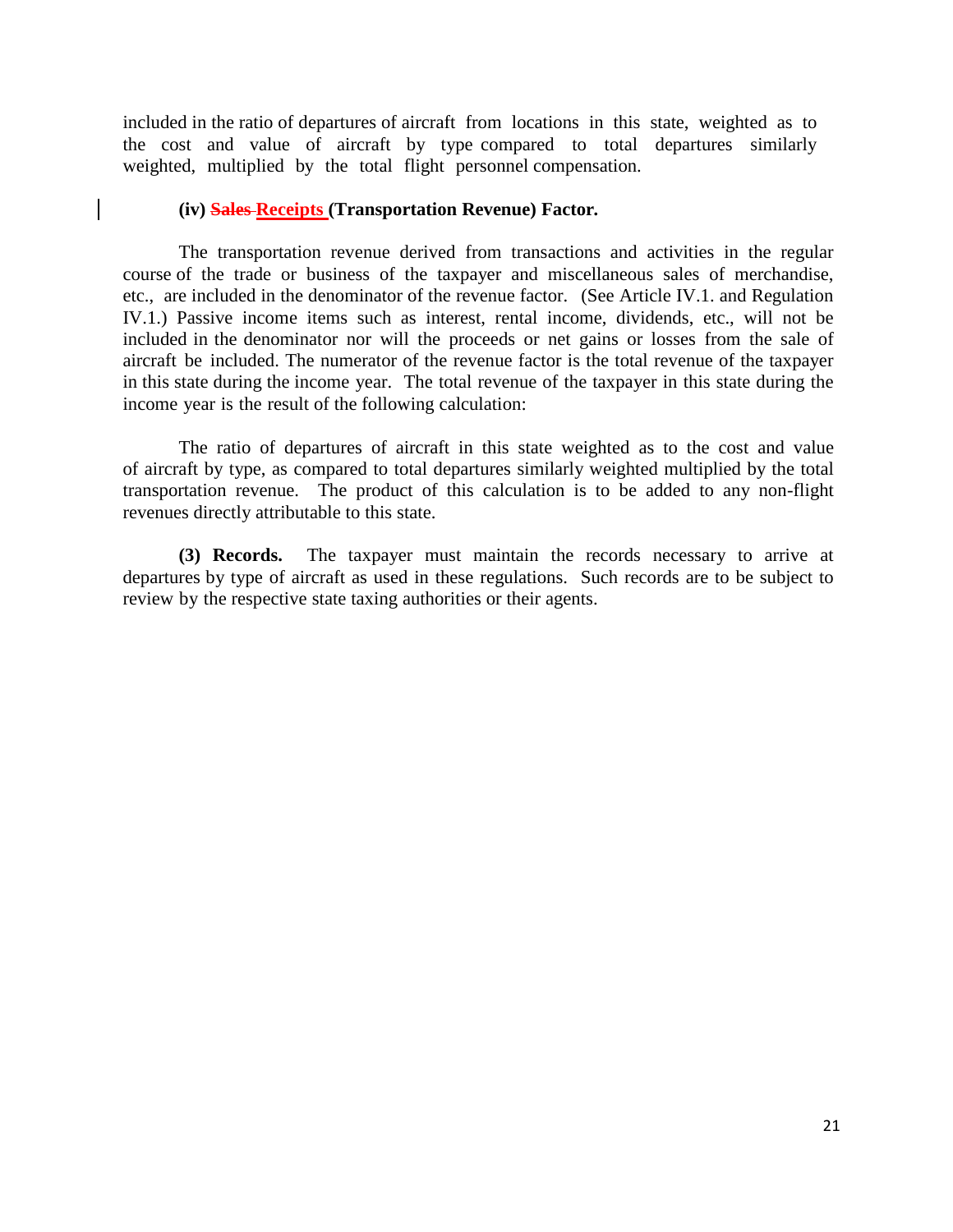included in the ratio of departures of aircraft from locations in this state, weighted as to the cost and value of aircraft by type compared to total departures similarly weighted, multiplied by the total flight personnel compensation.

### **(iv) Sales Receipts (Transportation Revenue) Factor***.*

 $\mathbf{I}$ 

The transportation revenue derived from transactions and activities in the regular course of the trade or business of the taxpayer and miscellaneous sales of merchandise, etc., are included in the denominator of the revenue factor. (See Article IV.1. and Regulation IV.1.) Passive income items such as interest, rental income, dividends, etc., will not be included in the denominator nor will the proceeds or net gains or losses from the sale of aircraft be included. The numerator of the revenue factor is the total revenue of the taxpayer in this state during the income year. The total revenue of the taxpayer in this state during the income year is the result of the following calculation:

The ratio of departures of aircraft in this state weighted as to the cost and value of aircraft by type, as compared to total departures similarly weighted multiplied by the total transportation revenue. The product of this calculation is to be added to any non-flight revenues directly attributable to this state.

**(3) Records.** The taxpayer must maintain the records necessary to arrive at departures by type of aircraft as used in these regulations. Such records are to be subject to review by the respective state taxing authorities or their agents.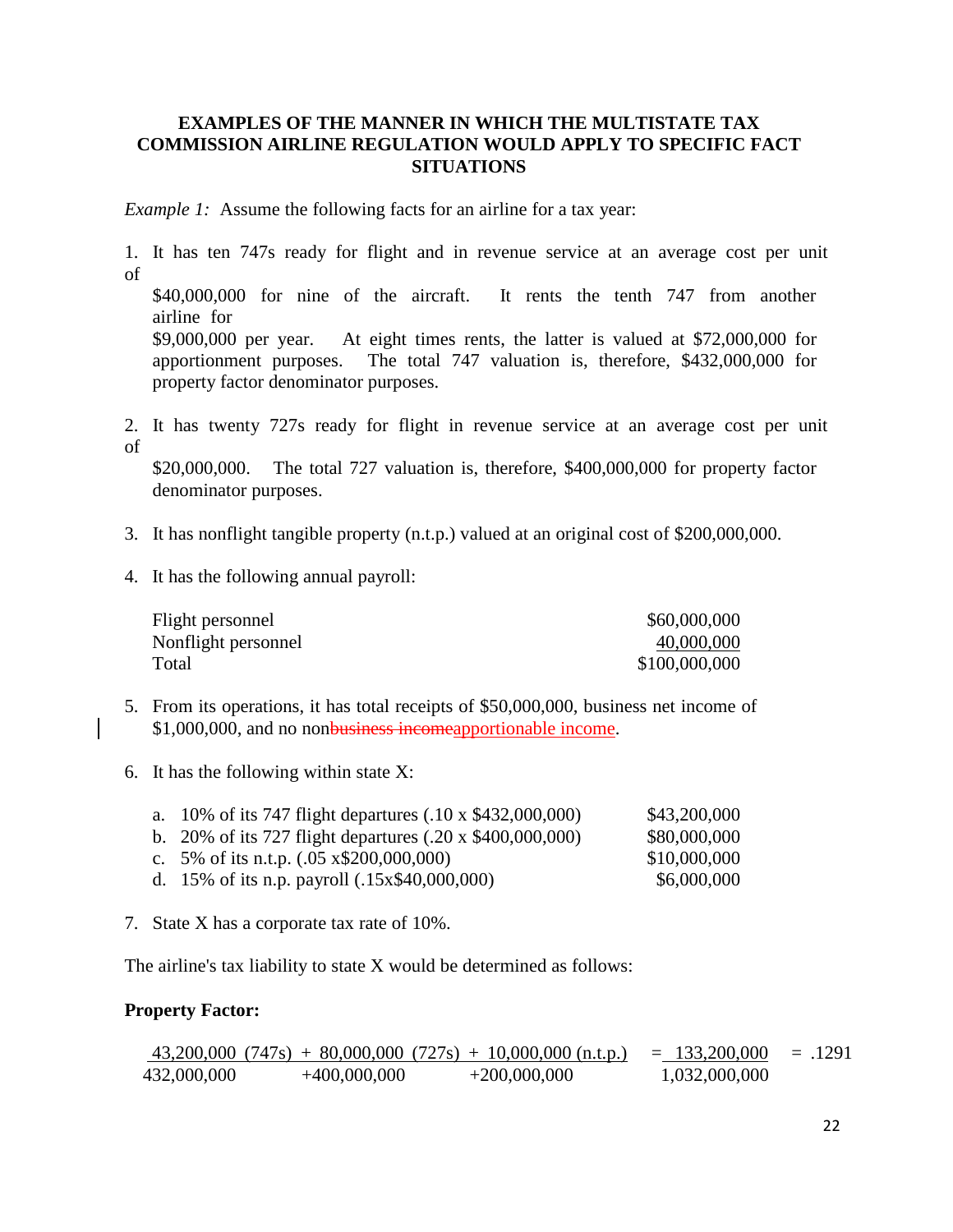# **EXAMPLES OF THE MANNER IN WHICH THE MULTISTATE TAX COMMISSION AIRLINE REGULATION WOULD APPLY TO SPECIFIC FACT SITUATIONS**

*Example 1:* Assume the following facts for an airline for a tax year:

1. It has ten 747s ready for flight and in revenue service at an average cost per unit of \$40,000,000 for nine of the aircraft. It rents the tenth 747 from another airline for \$9,000,000 per year. At eight times rents, the latter is valued at \$72,000,000 for apportionment purposes. The total 747 valuation is, therefore, \$432,000,000 for property factor denominator purposes.

2. It has twenty 727s ready for flight in revenue service at an average cost per unit of

\$20,000,000. The total 727 valuation is, therefore, \$400,000,000 for property factor denominator purposes.

- 3. It has nonflight tangible property (n.t.p.) valued at an original cost of \$200,000,000.
- 4. It has the following annual payroll:

| Flight personnel    | \$60,000,000  |
|---------------------|---------------|
| Nonflight personnel | 40,000,000    |
| Total               | \$100,000,000 |

- 5. From its operations, it has total receipts of \$50,000,000, business net income of \$1,000,000, and no nonbusiness incomeapportionable income.
- 6. It has the following within state X:

| a. 10% of its 747 flight departures $(.10 \times $432,000,000)$ | \$43,200,000 |
|-----------------------------------------------------------------|--------------|
| b. 20% of its 727 flight departures $(.20 \times $400,000,000)$ | \$80,000,000 |
| c. 5% of its n.t.p. $(.05 \times \$200,000,000)$                | \$10,000,000 |
| d. 15% of its n.p. payroll (.15x\$40,000,000)                   | \$6,000,000  |

7. State X has a corporate tax rate of 10%.

The airline's tax liability to state X would be determined as follows:

# **Property Factor:**

$$
\frac{43,200,000}{432,000,000} \quad \frac{(747\text{s}) + 80,000,000}{(727\text{s}) + 10,000,000} \quad \frac{(727\text{s}) + 10,000,000}{(727\text{s}) + 200,000,000} \quad \frac{(747\text{s}) + 80,000,000}{(727\text{s}) + 200,000,000} \quad \frac{(747\text{s}) + 80,000,000}{(727\text{s}) + 200,000,000} \quad \frac{(747\text{s}) + 80,000,000}{(727\text{s}) + 200,000,000} \quad \frac{(747\text{s}) + 80,000,000}{(727\text{s}) + 200,000,000} \quad \frac{(747\text{s}) + 80,000,000}{(727\text{s}) + 200,000,000} \quad \frac{(747\text{s}) + 80,000,000}{(727\text{s}) + 200,000,000} \quad \frac{(747\text{s}) + 80,000,000}{(727\text{s}) + 200,000,000} \quad \frac{(747\text{s}) + 80,000,000}{(727\text{s}) + 200,000,000} \quad \frac{(747\text{s}) + 80,000,000}{(727\text{s}) + 200,000,000} \quad \frac{(747\text{s}) + 80,000,000}{(727\text{s}) + 200,000,000} \quad \frac{(747\text{s}) + 80,000,000}{(727\text{s}) + 200,000,000} \quad \frac{(747\text{s}) + 80,000,000}{(727\text{s}) + 200,000,000} \quad \frac{(747\text{s}) + 80,000,000}{(727\text{s}) + 200,000,000} \quad \frac{(747\text{s}) + 80,000,000}{(727\
$$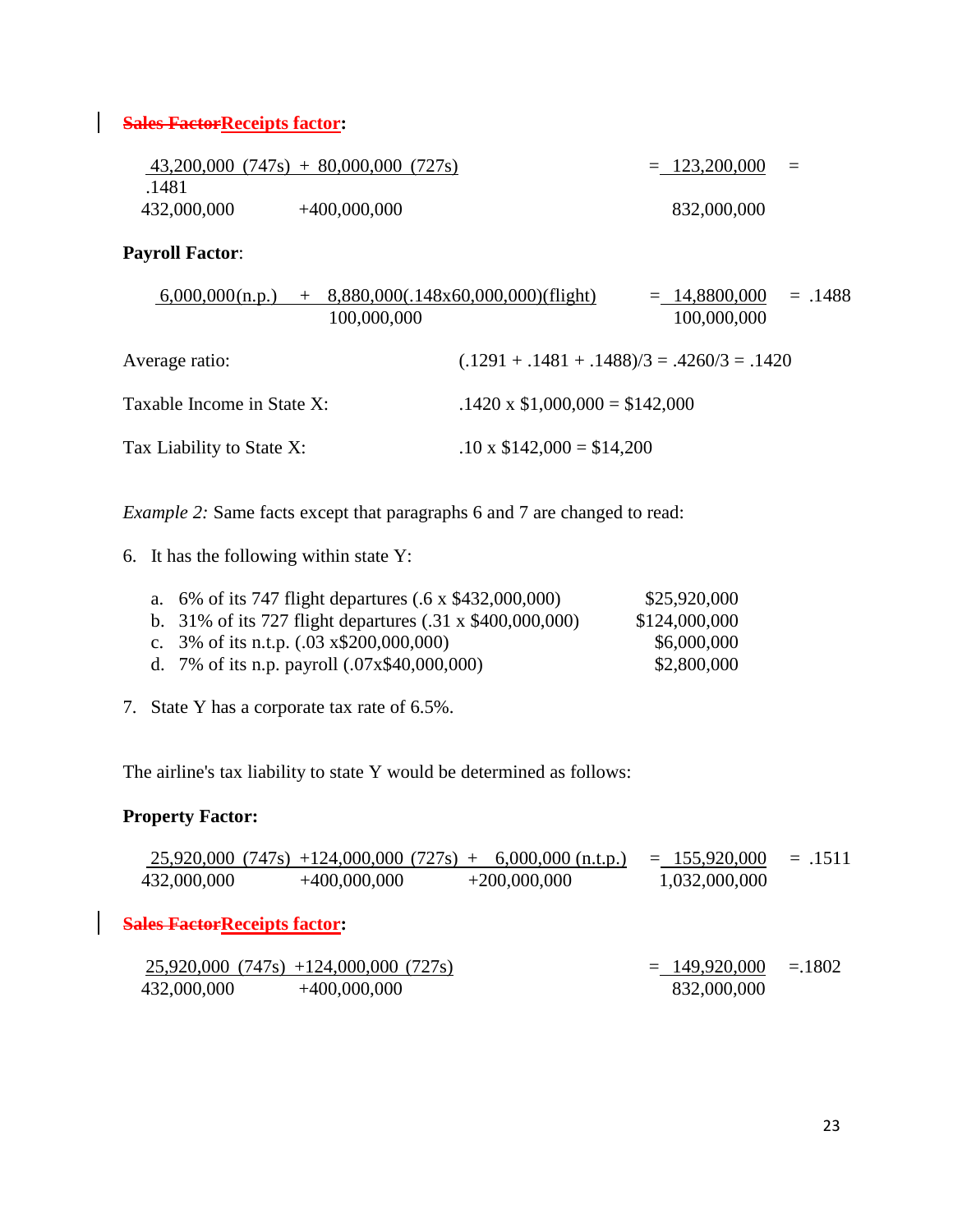# **Sales Factor Receipts factor:**

|             | $43,200,000$ $(747s) + 80,000,000$ $(727s)$ | $= 123,200,000$<br>$=$ |
|-------------|---------------------------------------------|------------------------|
| .1481       |                                             |                        |
| 432,000,000 | $+400,000,000$                              | 832,000,000            |

# **Payroll Factor**:

| $+$ 8,880,000(.148x60,000,000)(flight)<br>6,000,000(n.p.)<br>100,000,000 | $=.1488$<br>$= 14,8800,000$<br>100,000,000    |
|--------------------------------------------------------------------------|-----------------------------------------------|
| Average ratio:                                                           | $(.1291 + .1481 + .1488)/3 = .4260/3 = .1420$ |
| Taxable Income in State X:                                               | $.1420 \times $1,000,000 = $142,000$          |
| Tax Liability to State X:                                                | $.10 \times \$142,000 = \$14,200$             |

*Example* 2: Same facts except that paragraphs 6 and 7 are changed to read:

6. It has the following within state Y:

| a. 6% of its 747 flight departures (.6 x \$432,000,000)         | \$25,920,000  |
|-----------------------------------------------------------------|---------------|
| b. 31% of its 727 flight departures $(.31 \times $400,000,000)$ | \$124,000,000 |
| c. $3\%$ of its n.t.p. $(.03 \times \$200,000,000)$             | \$6,000,000   |
| d. 7% of its n.p. payroll (.07x\$40,000,000)                    | \$2,800,000   |

7. State Y has a corporate tax rate of 6.5%.

The airline's tax liability to state Y would be determined as follows:

# **Property Factor:**

$$
\frac{25,920,000 (747s) +124,000,000 (727s) + 6,000,000 (n.t.p.)}{432,000,000} = .1511
$$
  
432,000,000 +400,000,000 +200,000,000 +1,032,000,000 = .1511

**Sales Factor Receipts factor:** 

$$
\frac{25,920,000}{(747s) +124,000,000}{\begin{array}{r} +400,000,000\\ -400,000,000 \end{array}} \qquad \qquad \text{(727s)} \qquad \qquad \text{(727s)} \qquad \text{(727s)} \qquad \text{(732)} \qquad \text{(732)} \qquad \text{(747s)} \qquad \text{(747s)} \qquad \text{(747s)} \qquad \text{(747s)} \qquad \text{(747s)} \qquad \text{(747s)} \qquad \text{(747s)} \qquad \text{(747s)} \qquad \text{(747s)} \qquad \text{(747s)} \qquad \text{(747s)} \qquad \text{(747s)} \qquad \text{(747s)} \qquad \text{(747s)} \qquad \text{(747s)} \qquad \text{(747s)} \qquad \text{(747s)} \qquad \text{(747s)} \qquad \text{(747s)} \qquad \text{(747s)} \qquad \text{(747s)} \qquad \text{(747s)} \qquad \text{(747s)} \qquad \text{(747s)} \qquad \text{(747s)} \qquad \text{(747s)} \qquad \text{(747s)} \qquad \text{(747s)} \qquad \text{(747s)} \qquad \text{(747s)} \qquad \text{(747s)} \qquad \text{(747s)} \qquad \text{(747s)} \qquad \text{(747s)} \qquad \text{(747s)} \qquad \text{(747s)} \qquad \text{(747s)} \qquad \text{(747s)} \qquad \text{(747s)} \qquad \text{(747s)} \qquad \text{(747s)} \qquad \text{(747s)} \qquad \text{(747s)} \qquad \text{(747s)} \qquad \text{(747s)} \qquad \text{(747s)} \qquad \text{(747s)} \qquad \text{(747s)} \qquad \text{(747s)} \qquad \text{(747s)} \qquad \text{(747s)} \qquad \text{(747s)} \qquad \text{(747s)} \qquad \text{(747s)} \qquad \text{(747s)} \qquad \text{(747s)} \qquad \text{(747s)} \qquad \
$$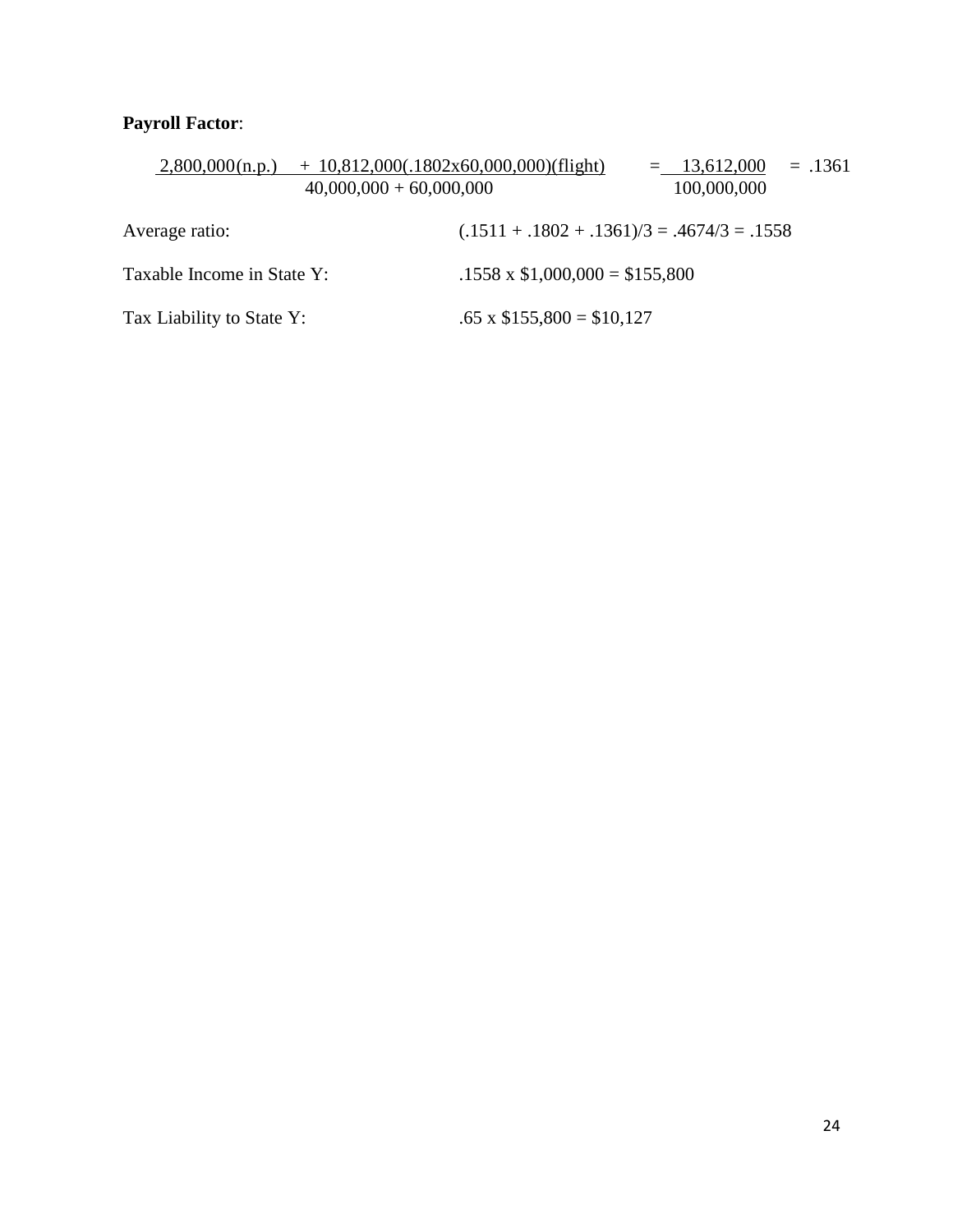# **Payroll Factor**:

| 2,800,000(n.p.)<br>$40,000,000 + 60,000,000$ | $+ 10,812,000(.1802x60,000,000)(flight)$ | $=$ 13,612,000<br>$=.1361$<br>100,000,000     |
|----------------------------------------------|------------------------------------------|-----------------------------------------------|
| Average ratio:                               |                                          | $(.1511 + .1802 + .1361)/3 = .4674/3 = .1558$ |
| Taxable Income in State Y:                   | $.1558 \times \$1,000,000 = \$155,800$   |                                               |
| Tax Liability to State Y:                    | $.65 \times \$155,800 = \$10,127$        |                                               |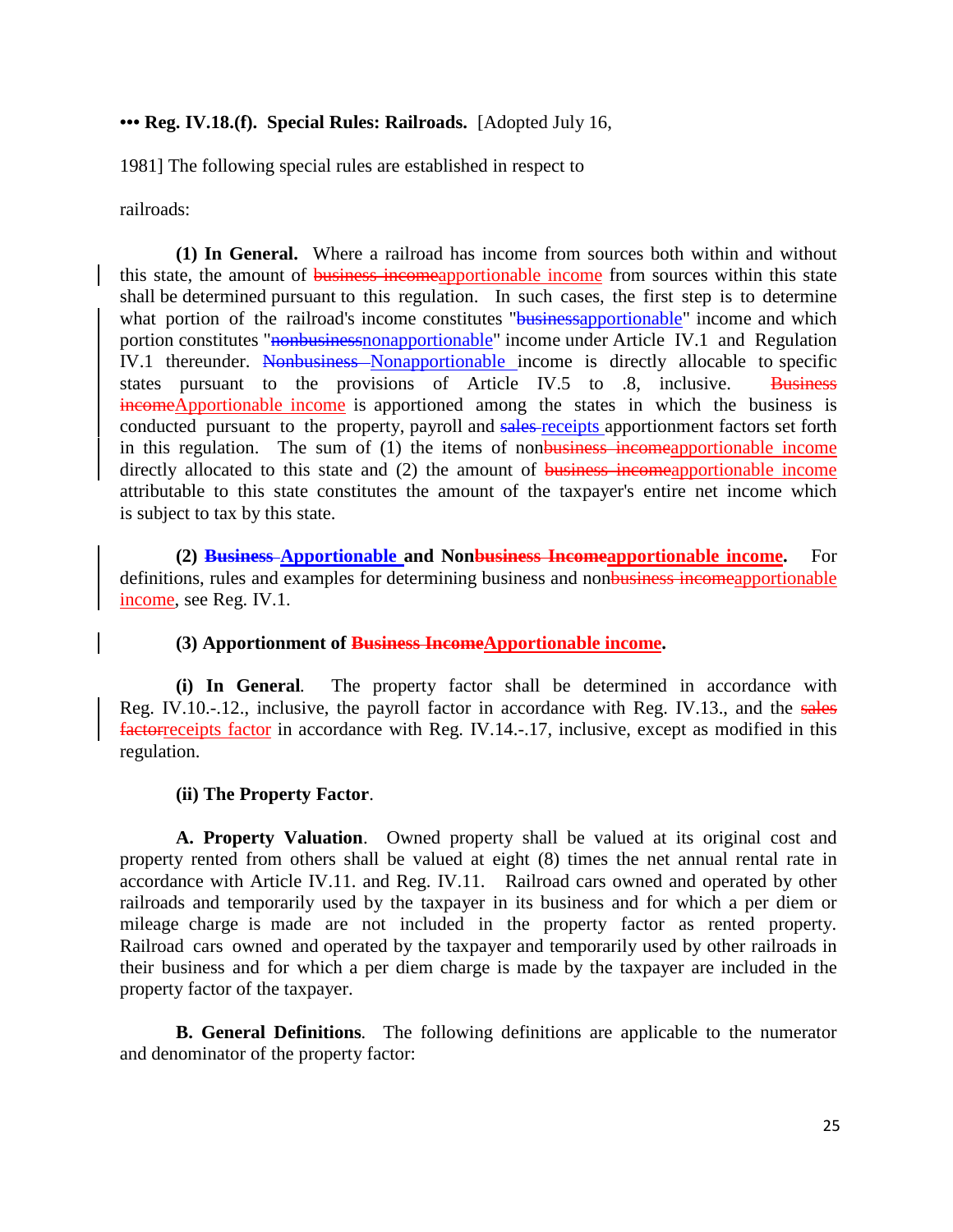### **••• Reg. IV.18.(f). Special Rules: Railroads.** [Adopted July 16,

1981] The following special rules are established in respect to

railroads:

**(1) In General.** Where a railroad has income from sources both within and without this state, the amount of business incomeapportionable income from sources within this state shall be determined pursuant to this regulation. In such cases, the first step is to determine what portion of the railroad's income constitutes "businessapportionable" income and which portion constitutes "<del>nonbusiness</del>nonapportionable" income under Article IV.1 and Regulation IV.1 thereunder. Nonbusiness Nonapportionable income is directly allocable to specific states pursuant to the provisions of Article IV.5 to .8, inclusive. Business incomeApportionable income is apportioned among the states in which the business is conducted pursuant to the property, payroll and sales-receipts apportionment factors set forth in this regulation. The sum of (1) the items of nonbusiness incomeapportionable income directly allocated to this state and (2) the amount of business incomeapportionable income attributable to this state constitutes the amount of the taxpayer's entire net income which is subject to tax by this state.

**(2) Business Apportionable and Nonbusiness Incomeapportionable income.** For definitions, rules and examples for determining business and nonbusiness incomeapportionable income, see Reg. IV.1.

#### **(3) Apportionment of Business IncomeApportionable income.**

**(i) In General***.* The property factor shall be determined in accordance with Reg. IV.10.-.12., inclusive, the payroll factor in accordance with Reg. IV.13., and the sales factorreceipts factor in accordance with Reg. IV.14.-.17, inclusive, except as modified in this regulation.

#### **(ii) The Property Factor**.

**A. Property Valuation**. Owned property shall be valued at its original cost and property rented from others shall be valued at eight (8) times the net annual rental rate in accordance with Article IV.11. and Reg. IV.11. Railroad cars owned and operated by other railroads and temporarily used by the taxpayer in its business and for which a per diem or mileage charge is made are not included in the property factor as rented property. Railroad cars owned and operated by the taxpayer and temporarily used by other railroads in their business and for which a per diem charge is made by the taxpayer are included in the property factor of the taxpayer.

**B. General Definitions***.* The following definitions are applicable to the numerator and denominator of the property factor: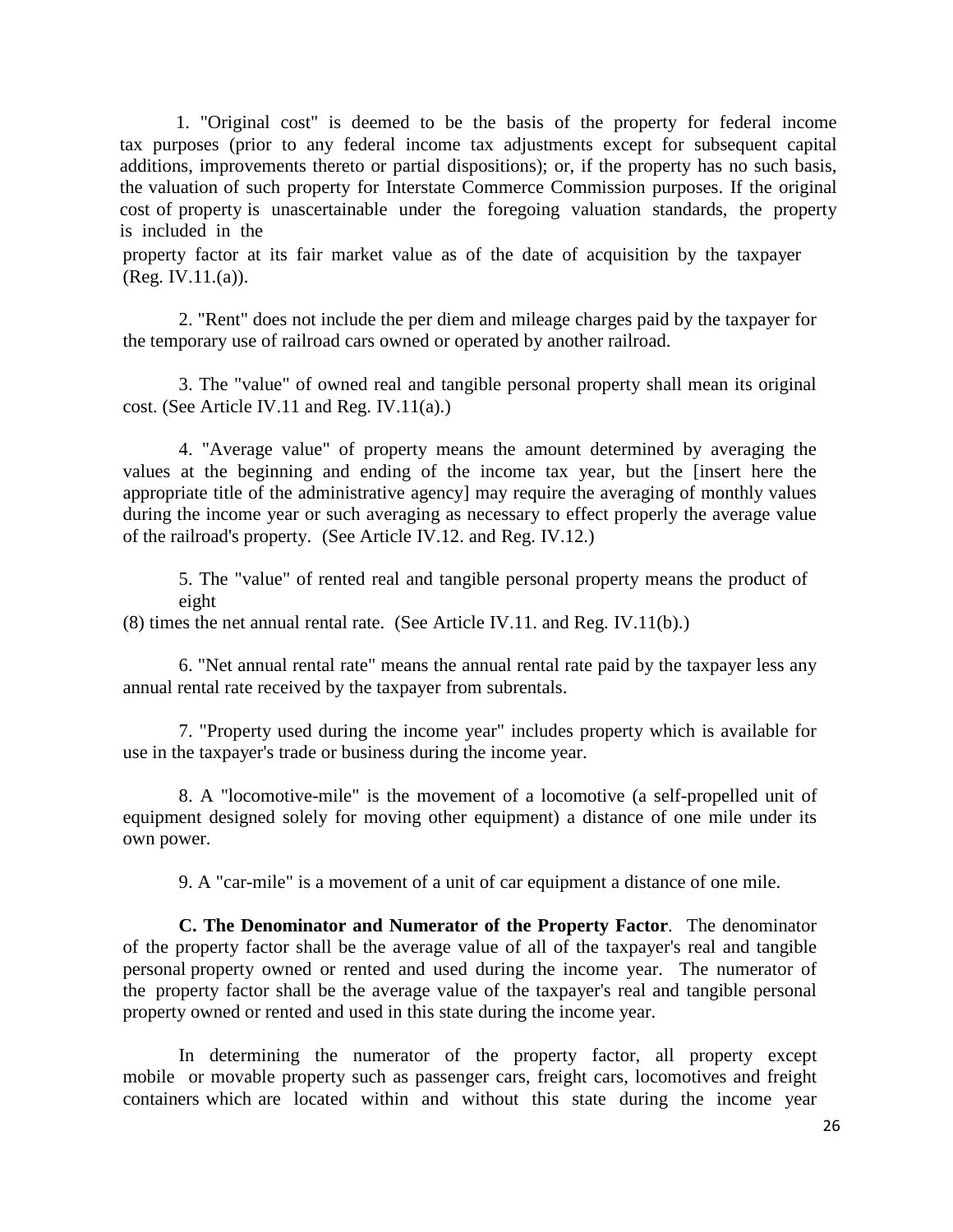1. "Original cost" is deemed to be the basis of the property for federal income tax purposes (prior to any federal income tax adjustments except for subsequent capital additions, improvements thereto or partial dispositions); or, if the property has no such basis, the valuation of such property for Interstate Commerce Commission purposes. If the original cost of property is unascertainable under the foregoing valuation standards, the property is included in the

property factor at its fair market value as of the date of acquisition by the taxpayer (Reg. IV.11.(a)).

2. "Rent" does not include the per diem and mileage charges paid by the taxpayer for the temporary use of railroad cars owned or operated by another railroad.

3. The "value" of owned real and tangible personal property shall mean its original cost. (See Article IV.11 and Reg. IV.11(a).)

4. "Average value" of property means the amount determined by averaging the values at the beginning and ending of the income tax year, but the [insert here the appropriate title of the administrative agency] may require the averaging of monthly values during the income year or such averaging as necessary to effect properly the average value of the railroad's property. (See Article IV.12. and Reg. IV.12.)

5. The "value" of rented real and tangible personal property means the product of eight

(8) times the net annual rental rate. (See Article IV.11. and Reg. IV.11(b).)

6. "Net annual rental rate" means the annual rental rate paid by the taxpayer less any annual rental rate received by the taxpayer from subrentals.

7. "Property used during the income year" includes property which is available for use in the taxpayer's trade or business during the income year.

8. A "locomotive-mile" is the movement of a locomotive (a self-propelled unit of equipment designed solely for moving other equipment) a distance of one mile under its own power.

9. A "car-mile" is a movement of a unit of car equipment a distance of one mile.

**C. The Denominator and Numerator of the Property Factor***.* The denominator of the property factor shall be the average value of all of the taxpayer's real and tangible personal property owned or rented and used during the income year. The numerator of the property factor shall be the average value of the taxpayer's real and tangible personal property owned or rented and used in this state during the income year.

In determining the numerator of the property factor, all property except mobile or movable property such as passenger cars, freight cars, locomotives and freight containers which are located within and without this state during the income year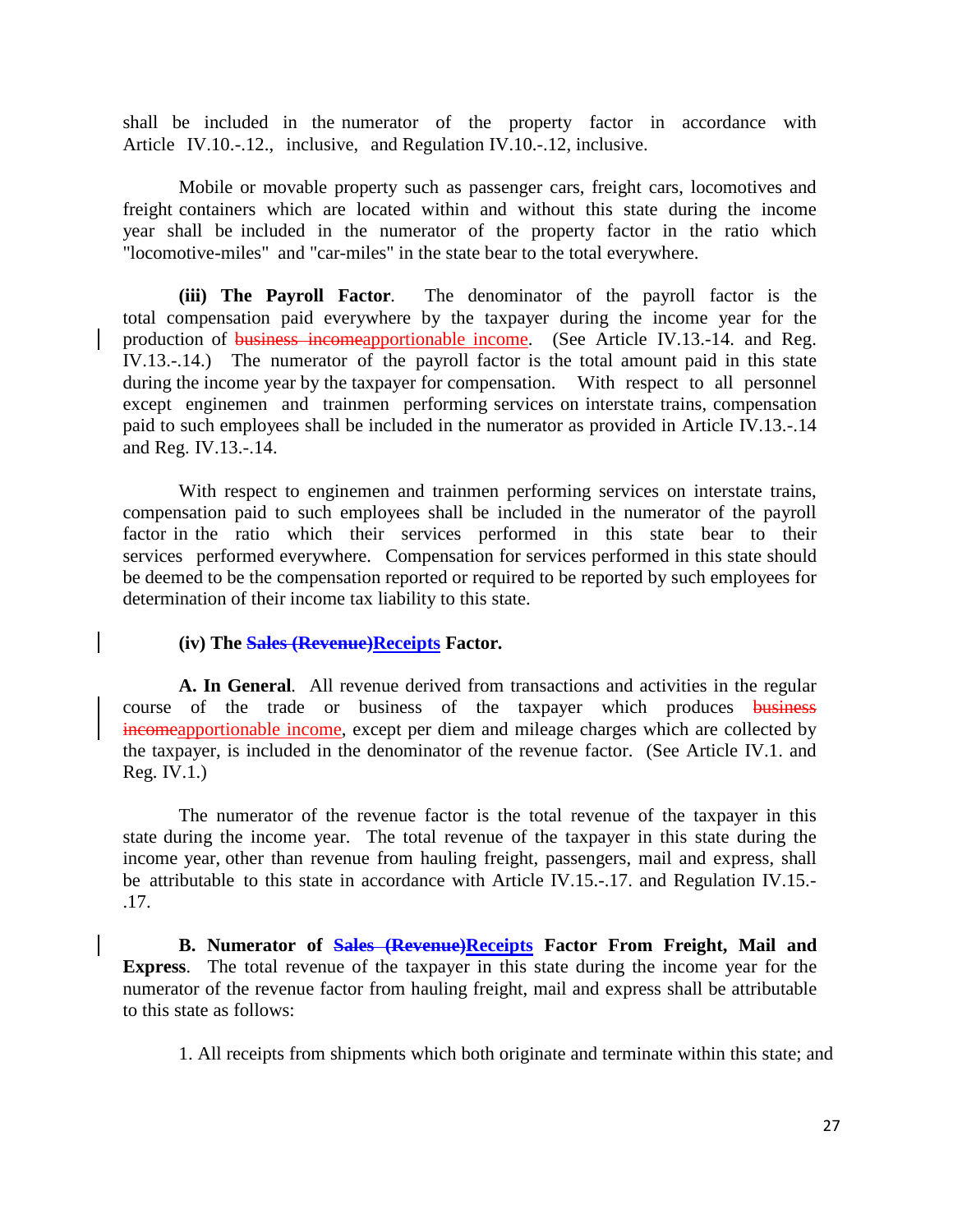shall be included in the numerator of the property factor in accordance with Article IV.10.-.12., inclusive, and Regulation IV.10.-.12, inclusive.

Mobile or movable property such as passenger cars, freight cars, locomotives and freight containers which are located within and without this state during the income year shall be included in the numerator of the property factor in the ratio which "locomotive-miles" and "car-miles" in the state bear to the total everywhere.

**(iii) The Payroll Factor***.* The denominator of the payroll factor is the total compensation paid everywhere by the taxpayer during the income year for the production of business incomeapportionable income. (See Article IV.13.-14. and Reg. IV.13.-.14.) The numerator of the payroll factor is the total amount paid in this state during the income year by the taxpayer for compensation. With respect to all personnel except enginemen and trainmen performing services on interstate trains, compensation paid to such employees shall be included in the numerator as provided in Article IV.13.-.14 and Reg. IV.13.-.14.

With respect to enginemen and trainmen performing services on interstate trains, compensation paid to such employees shall be included in the numerator of the payroll factor in the ratio which their services performed in this state bear to their services performed everywhere. Compensation for services performed in this state should be deemed to be the compensation reported or required to be reported by such employees for determination of their income tax liability to this state.

#### **(iv) The Sales (Revenue)Receipts Factor***.*

**A. In General***.* All revenue derived from transactions and activities in the regular course of the trade or business of the taxpayer which produces business incomeapportionable income, except per diem and mileage charges which are collected by the taxpayer, is included in the denominator of the revenue factor. (See Article IV.1. and Reg. IV.1.)

The numerator of the revenue factor is the total revenue of the taxpayer in this state during the income year. The total revenue of the taxpayer in this state during the income year, other than revenue from hauling freight, passengers, mail and express, shall be attributable to this state in accordance with Article IV.15.-.17. and Regulation IV.15.- .17.

**B. Numerator of Sales (Revenue)Receipts Factor From Freight, Mail and Express***.* The total revenue of the taxpayer in this state during the income year for the numerator of the revenue factor from hauling freight, mail and express shall be attributable to this state as follows:

1. All receipts from shipments which both originate and terminate within this state; and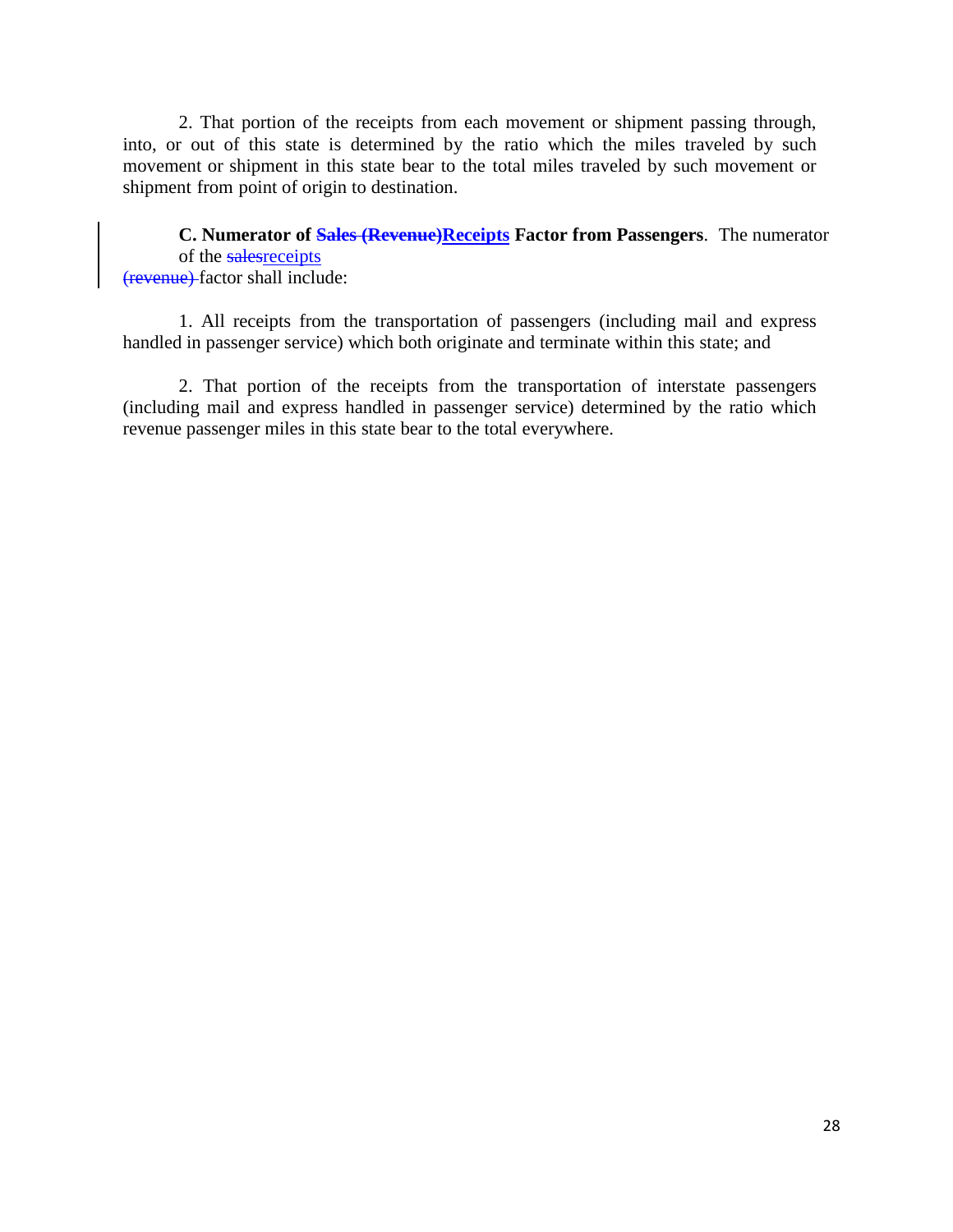2. That portion of the receipts from each movement or shipment passing through, into, or out of this state is determined by the ratio which the miles traveled by such movement or shipment in this state bear to the total miles traveled by such movement or shipment from point of origin to destination.

**C. Numerator of Sales (Revenue)Receipts Factor from Passengers***.* The numerator of the salesreceipts (revenue) factor shall include:

1. All receipts from the transportation of passengers (including mail and express handled in passenger service) which both originate and terminate within this state; and

2. That portion of the receipts from the transportation of interstate passengers (including mail and express handled in passenger service) determined by the ratio which revenue passenger miles in this state bear to the total everywhere.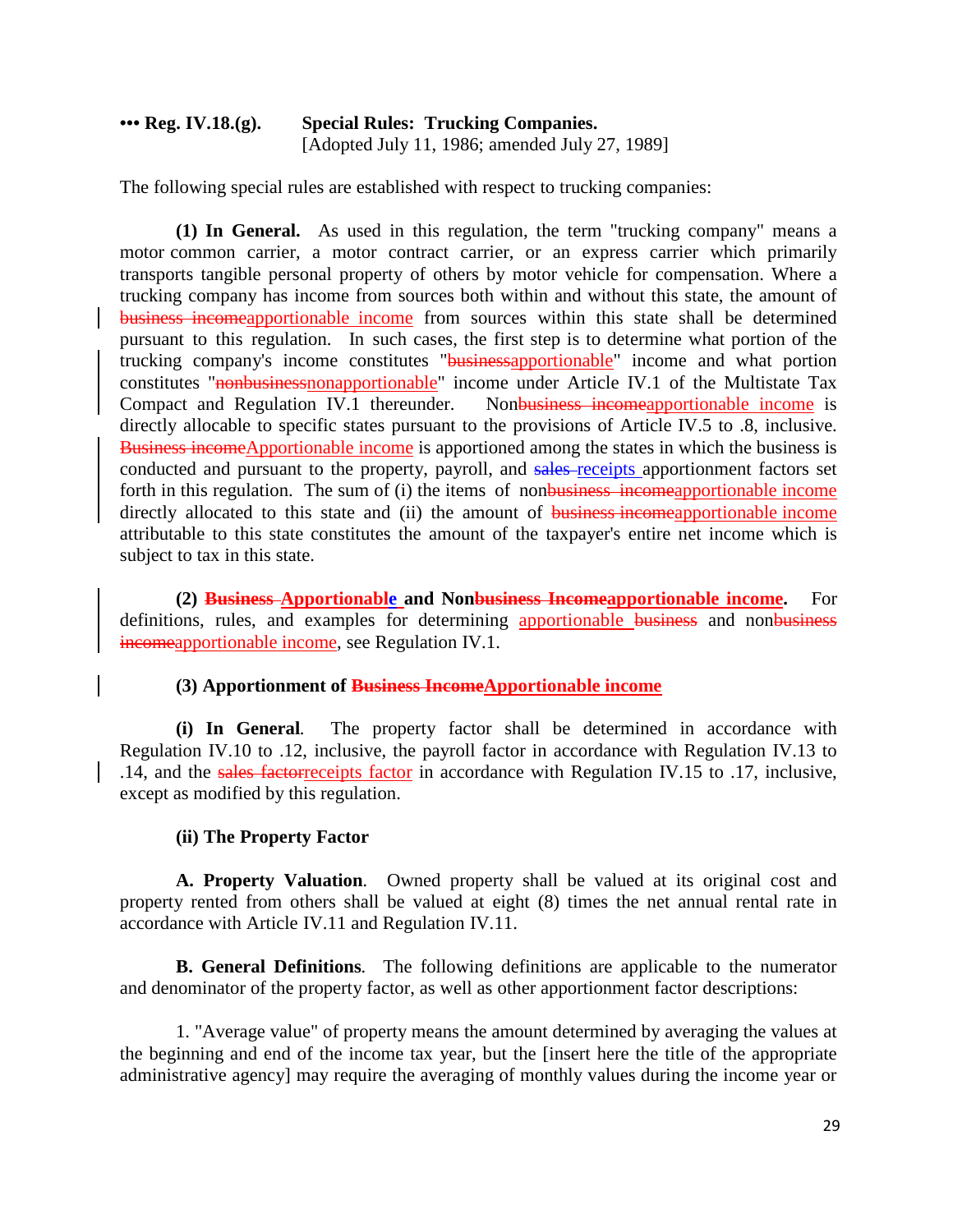# **••• Reg. IV.18.(g). Special Rules: Trucking Companies.** [Adopted July 11, 1986; amended July 27, 1989]

The following special rules are established with respect to trucking companies:

**(1) In General.** As used in this regulation, the term "trucking company" means a motor common carrier, a motor contract carrier, or an express carrier which primarily transports tangible personal property of others by motor vehicle for compensation. Where a trucking company has income from sources both within and without this state, the amount of business incomeapportionable income from sources within this state shall be determined pursuant to this regulation. In such cases, the first step is to determine what portion of the trucking company's income constitutes "businessapportionable" income and what portion constitutes "nonbusinessnonapportionable" income under Article IV.1 of the Multistate Tax Compact and Regulation IV.1 thereunder. Nonbusiness incomeapportionable income is directly allocable to specific states pursuant to the provisions of Article IV.5 to .8, inclusive. Business incomeApportionable income is apportioned among the states in which the business is conducted and pursuant to the property, payroll, and sales-receipts apportionment factors set forth in this regulation. The sum of (i) the items of nonbusiness incomeapportionable income directly allocated to this state and (ii) the amount of business incomeapportionable income attributable to this state constitutes the amount of the taxpayer's entire net income which is subject to tax in this state.

**(2) Business Apportionable and Nonbusiness Incomeapportionable income.** For definitions, rules, and examples for determining apportionable business and nonbusiness incomeapportionable income, see Regulation IV.1.

# **(3) Apportionment of Business IncomeApportionable income**

**(i) In General***.* The property factor shall be determined in accordance with Regulation IV.10 to .12, inclusive, the payroll factor in accordance with Regulation IV.13 to .14, and the sales factorreceipts factor in accordance with Regulation IV.15 to .17, inclusive, except as modified by this regulation.

# **(ii) The Property Factor**

**A. Property Valuation***.* Owned property shall be valued at its original cost and property rented from others shall be valued at eight (8) times the net annual rental rate in accordance with Article IV.11 and Regulation IV.11.

**B. General Definitions***.* The following definitions are applicable to the numerator and denominator of the property factor, as well as other apportionment factor descriptions:

1. "Average value" of property means the amount determined by averaging the values at the beginning and end of the income tax year, but the [insert here the title of the appropriate administrative agency] may require the averaging of monthly values during the income year or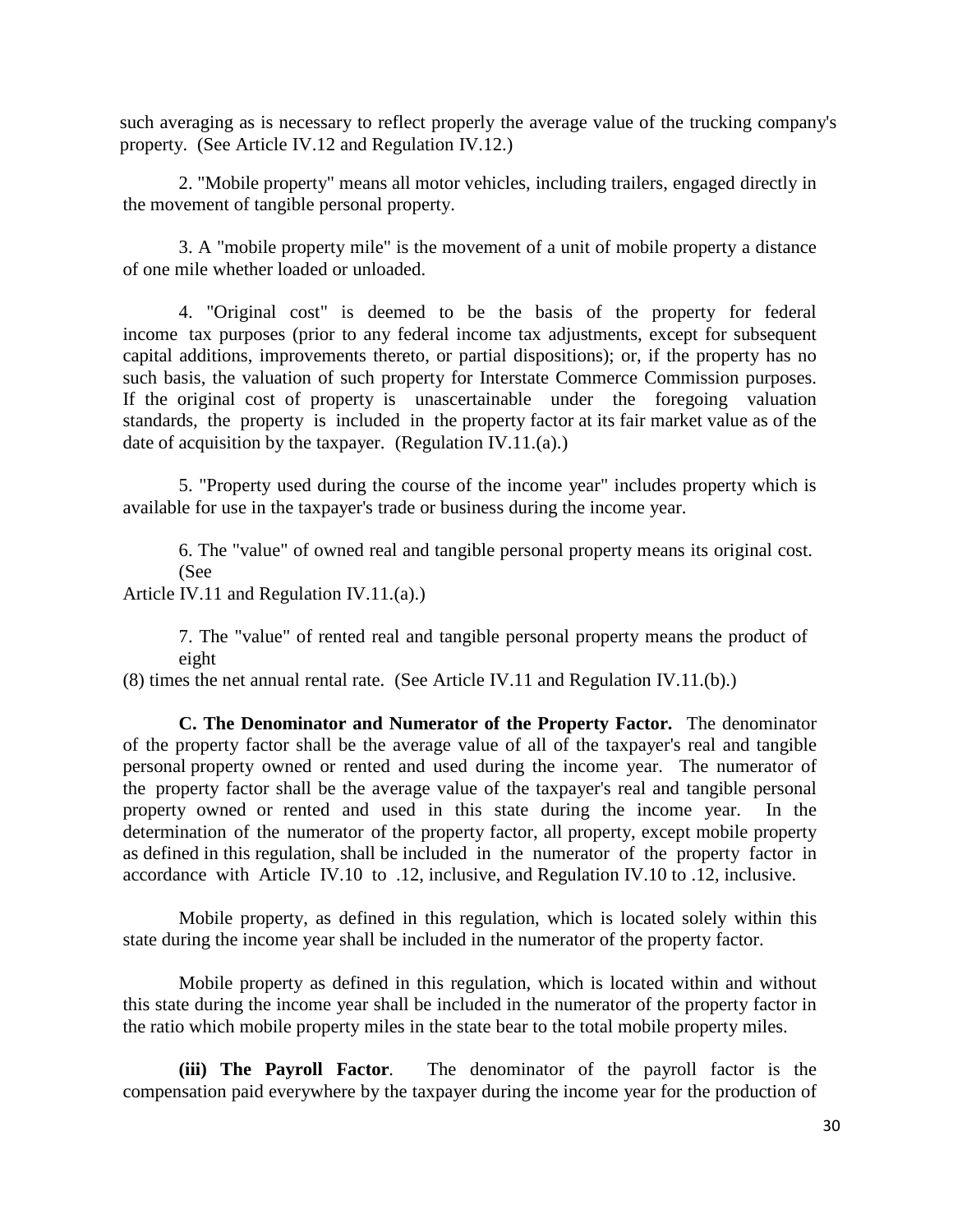such averaging as is necessary to reflect properly the average value of the trucking company's property. (See Article IV.12 and Regulation IV.12.)

2. "Mobile property" means all motor vehicles, including trailers, engaged directly in the movement of tangible personal property.

3. A "mobile property mile" is the movement of a unit of mobile property a distance of one mile whether loaded or unloaded.

4. "Original cost" is deemed to be the basis of the property for federal income tax purposes (prior to any federal income tax adjustments, except for subsequent capital additions, improvements thereto, or partial dispositions); or, if the property has no such basis, the valuation of such property for Interstate Commerce Commission purposes. If the original cost of property is unascertainable under the foregoing valuation standards, the property is included in the property factor at its fair market value as of the date of acquisition by the taxpayer. (Regulation IV.11.(a).)

5. "Property used during the course of the income year" includes property which is available for use in the taxpayer's trade or business during the income year.

6. The "value" of owned real and tangible personal property means its original cost. (See

Article IV.11 and Regulation IV.11.(a).)

7. The "value" of rented real and tangible personal property means the product of eight

(8) times the net annual rental rate. (See Article IV.11 and Regulation IV.11.(b).)

**C. The Denominator and Numerator of the Property Factor***.* The denominator of the property factor shall be the average value of all of the taxpayer's real and tangible personal property owned or rented and used during the income year. The numerator of the property factor shall be the average value of the taxpayer's real and tangible personal property owned or rented and used in this state during the income year. In the determination of the numerator of the property factor, all property, except mobile property as defined in this regulation, shall be included in the numerator of the property factor in accordance with Article IV.10 to .12, inclusive, and Regulation IV.10 to .12, inclusive.

Mobile property, as defined in this regulation, which is located solely within this state during the income year shall be included in the numerator of the property factor.

Mobile property as defined in this regulation, which is located within and without this state during the income year shall be included in the numerator of the property factor in the ratio which mobile property miles in the state bear to the total mobile property miles.

**(iii) The Payroll Factor***.* The denominator of the payroll factor is the compensation paid everywhere by the taxpayer during the income year for the production of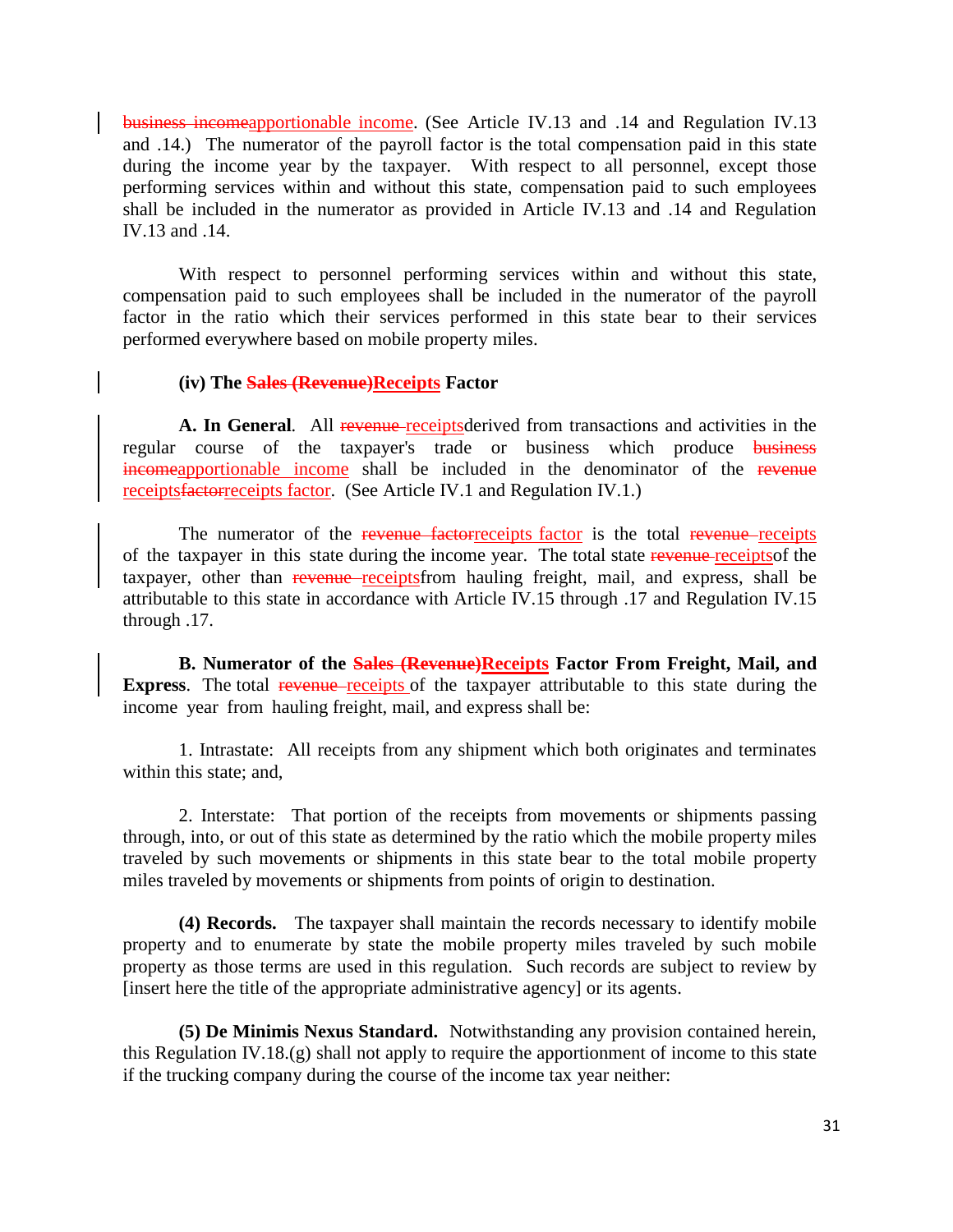business incomeapportionable income. (See Article IV.13 and .14 and Regulation IV.13 and .14.) The numerator of the payroll factor is the total compensation paid in this state during the income year by the taxpayer. With respect to all personnel, except those performing services within and without this state, compensation paid to such employees shall be included in the numerator as provided in Article IV.13 and .14 and Regulation IV.13 and .14.

With respect to personnel performing services within and without this state, compensation paid to such employees shall be included in the numerator of the payroll factor in the ratio which their services performed in this state bear to their services performed everywhere based on mobile property miles.

#### **(iv) The Sales (Revenue)Receipts Factor**

A. In General. All revenue receiptsderived from transactions and activities in the regular course of the taxpayer's trade or business which produce business incomeapportionable income shall be included in the denominator of the revenue receiptsfactorreceipts factor. (See Article IV.1 and Regulation IV.1.)

The numerator of the revenue factorreceipts factor is the total revenue receipts of the taxpayer in this state during the income year. The total state revenue receiptsof the taxpayer, other than revenue receiptsfrom hauling freight, mail, and express, shall be attributable to this state in accordance with Article IV.15 through .17 and Regulation IV.15 through .17.

**B. Numerator of the Sales (Revenue)Receipts Factor From Freight, Mail, and Express**. The total revenue receipts of the taxpayer attributable to this state during the income year from hauling freight, mail, and express shall be:

1. Intrastate: All receipts from any shipment which both originates and terminates within this state; and,

2. Interstate: That portion of the receipts from movements or shipments passing through, into, or out of this state as determined by the ratio which the mobile property miles traveled by such movements or shipments in this state bear to the total mobile property miles traveled by movements or shipments from points of origin to destination.

**(4) Records.** The taxpayer shall maintain the records necessary to identify mobile property and to enumerate by state the mobile property miles traveled by such mobile property as those terms are used in this regulation. Such records are subject to review by [insert here the title of the appropriate administrative agency] or its agents.

**(5) De Minimis Nexus Standard.** Notwithstanding any provision contained herein, this Regulation IV.18.(g) shall not apply to require the apportionment of income to this state if the trucking company during the course of the income tax year neither: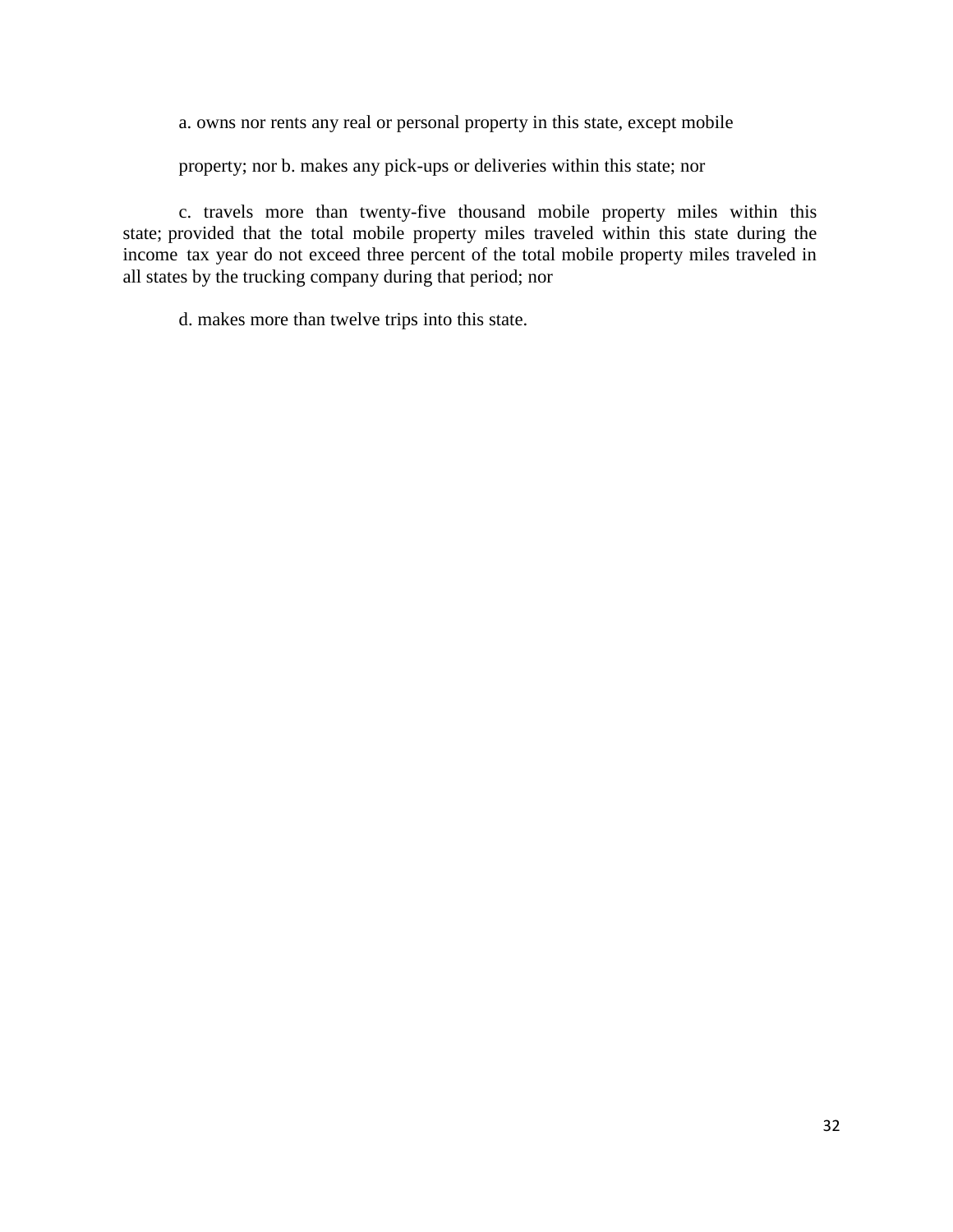a. owns nor rents any real or personal property in this state, except mobile

property; nor b. makes any pick-ups or deliveries within this state; nor

c. travels more than twenty-five thousand mobile property miles within this state; provided that the total mobile property miles traveled within this state during the income tax year do not exceed three percent of the total mobile property miles traveled in all states by the trucking company during that period; nor

d. makes more than twelve trips into this state.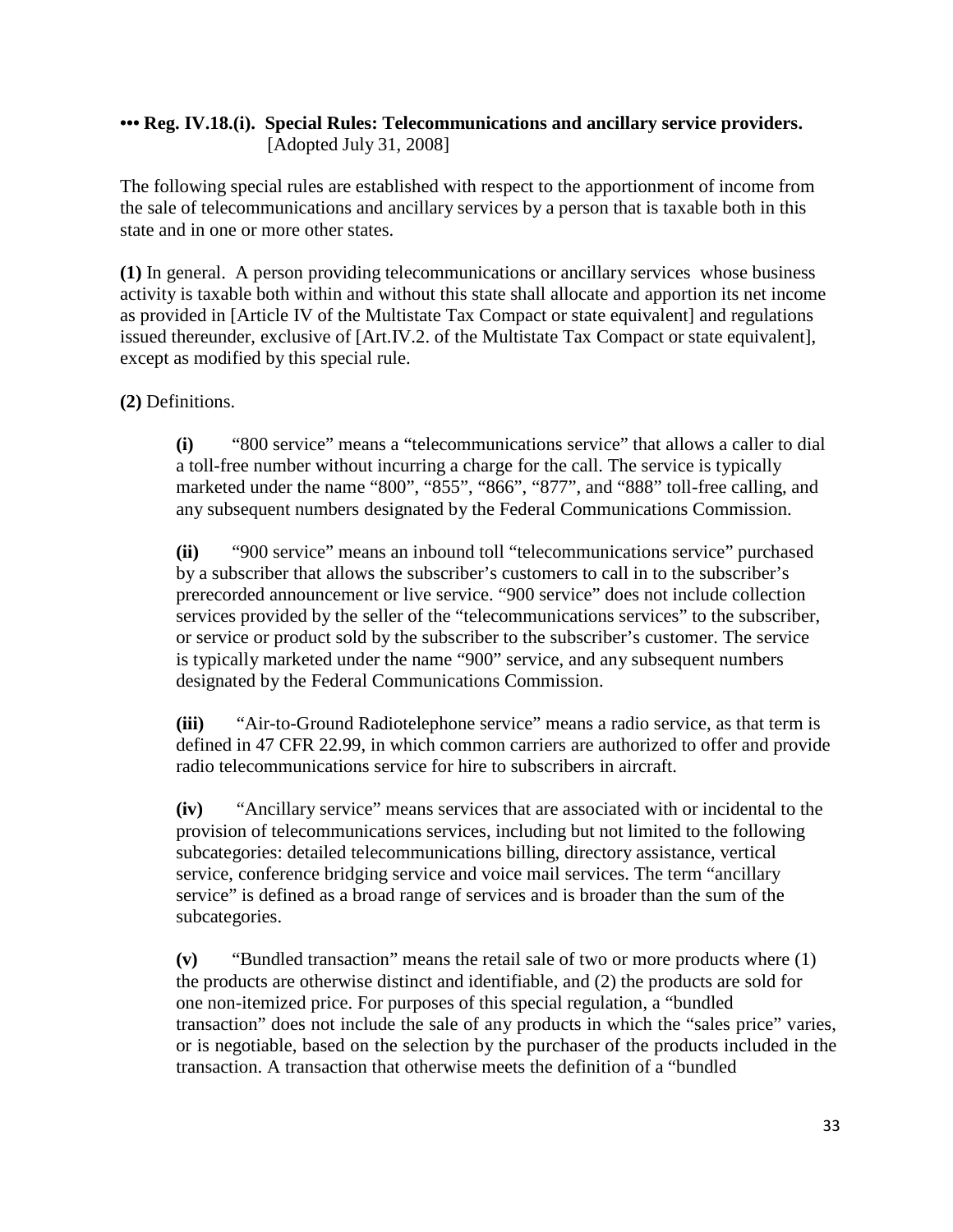# **••• Reg. IV.18.(i). Special Rules: Telecommunications and ancillary service providers.** [Adopted July 31, 2008]

The following special rules are established with respect to the apportionment of income from the sale of telecommunications and ancillary services by a person that is taxable both in this state and in one or more other states.

**(1)** In general. A person providing telecommunications or ancillary services whose business activity is taxable both within and without this state shall allocate and apportion its net income as provided in [Article IV of the Multistate Tax Compact or state equivalent] and regulations issued thereunder, exclusive of [Art.IV.2. of the Multistate Tax Compact or state equivalent], except as modified by this special rule.

**(2)** Definitions.

**(i)** "800 service" means a "telecommunications service" that allows a caller to dial a toll-free number without incurring a charge for the call. The service is typically marketed under the name "800", "855", "866", "877", and "888" toll-free calling, and any subsequent numbers designated by the Federal Communications Commission.

**(ii)** "900 service" means an inbound toll "telecommunications service" purchased by a subscriber that allows the subscriber's customers to call in to the subscriber's prerecorded announcement or live service. "900 service" does not include collection services provided by the seller of the "telecommunications services" to the subscriber, or service or product sold by the subscriber to the subscriber's customer. The service is typically marketed under the name "900" service, and any subsequent numbers designated by the Federal Communications Commission.

**(iii)** "Air-to-Ground Radiotelephone service" means a radio service, as that term is defined in 47 CFR 22.99, in which common carriers are authorized to offer and provide radio telecommunications service for hire to subscribers in aircraft.

**(iv)** "Ancillary service" means services that are associated with or incidental to the provision of telecommunications services, including but not limited to the following subcategories: detailed telecommunications billing, directory assistance, vertical service, conference bridging service and voice mail services. The term "ancillary service" is defined as a broad range of services and is broader than the sum of the subcategories.

**(v)** "Bundled transaction" means the retail sale of two or more products where (1) the products are otherwise distinct and identifiable, and (2) the products are sold for one non-itemized price. For purposes of this special regulation, a "bundled transaction" does not include the sale of any products in which the "sales price" varies, or is negotiable, based on the selection by the purchaser of the products included in the transaction. A transaction that otherwise meets the definition of a "bundled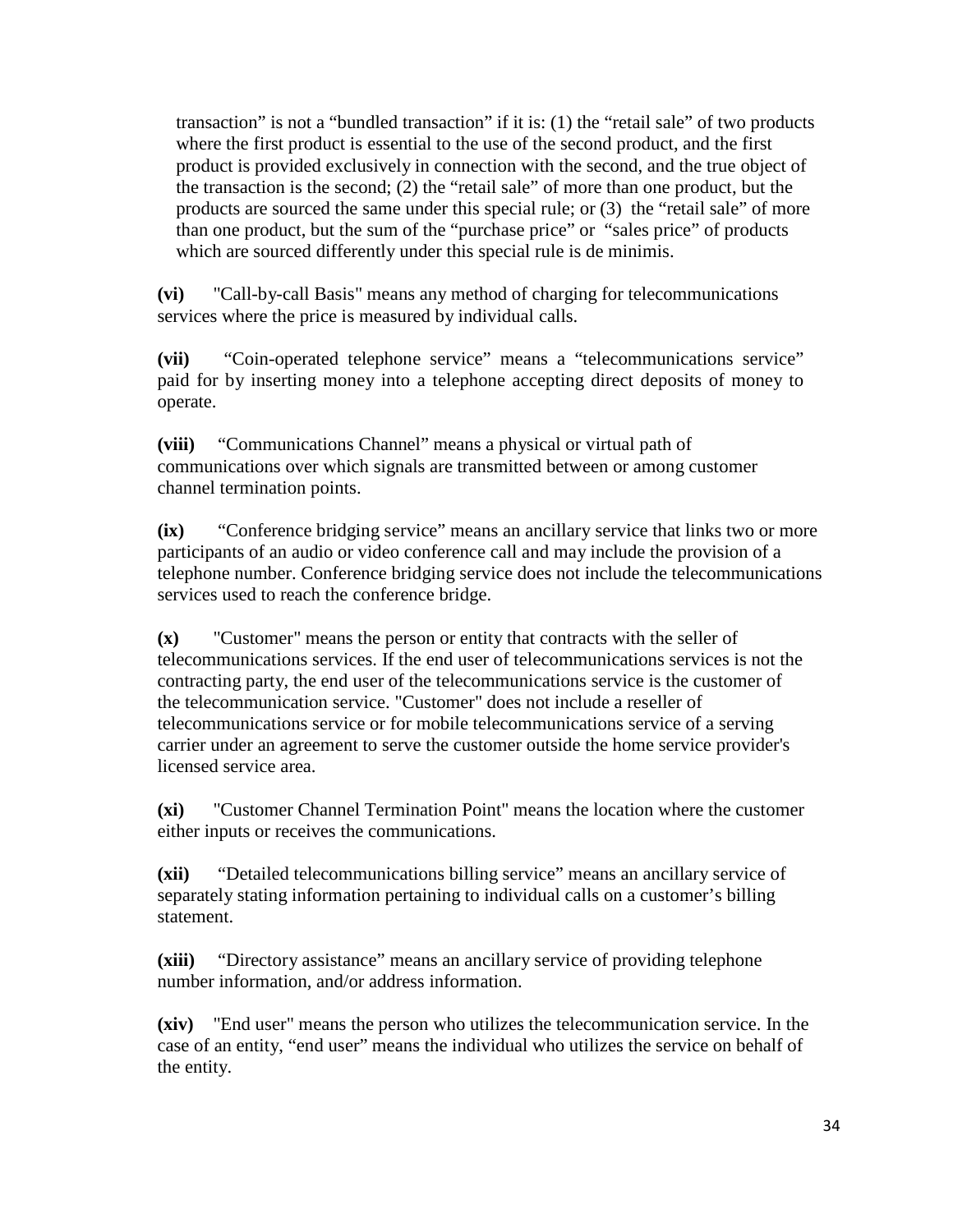transaction" is not a "bundled transaction" if it is: (1) the "retail sale" of two products where the first product is essential to the use of the second product, and the first product is provided exclusively in connection with the second, and the true object of the transaction is the second; (2) the "retail sale" of more than one product, but the products are sourced the same under this special rule; or (3) the "retail sale" of more than one product, but the sum of the "purchase price" or "sales price" of products which are sourced differently under this special rule is de minimis.

**(vi)** "Call-by-call Basis" means any method of charging for telecommunications services where the price is measured by individual calls.

**(vii)** "Coin-operated telephone service" means a "telecommunications service" paid for by inserting money into a telephone accepting direct deposits of money to operate.

**(viii)** "Communications Channel" means a physical or virtual path of communications over which signals are transmitted between or among customer channel termination points.

**(ix)** "Conference bridging service" means an ancillary service that links two or more participants of an audio or video conference call and may include the provision of a telephone number. Conference bridging service does not include the telecommunications services used to reach the conference bridge.

**(x)** "Customer" means the person or entity that contracts with the seller of telecommunications services. If the end user of telecommunications services is not the contracting party, the end user of the telecommunications service is the customer of the telecommunication service. "Customer" does not include a reseller of telecommunications service or for mobile telecommunications service of a serving carrier under an agreement to serve the customer outside the home service provider's licensed service area.

**(xi)** "Customer Channel Termination Point" means the location where the customer either inputs or receives the communications.

**(xii)** "Detailed telecommunications billing service" means an ancillary service of separately stating information pertaining to individual calls on a customer's billing statement.

**(xiii)** "Directory assistance" means an ancillary service of providing telephone number information, and/or address information.

**(xiv)** "End user" means the person who utilizes the telecommunication service. In the case of an entity, "end user" means the individual who utilizes the service on behalf of the entity.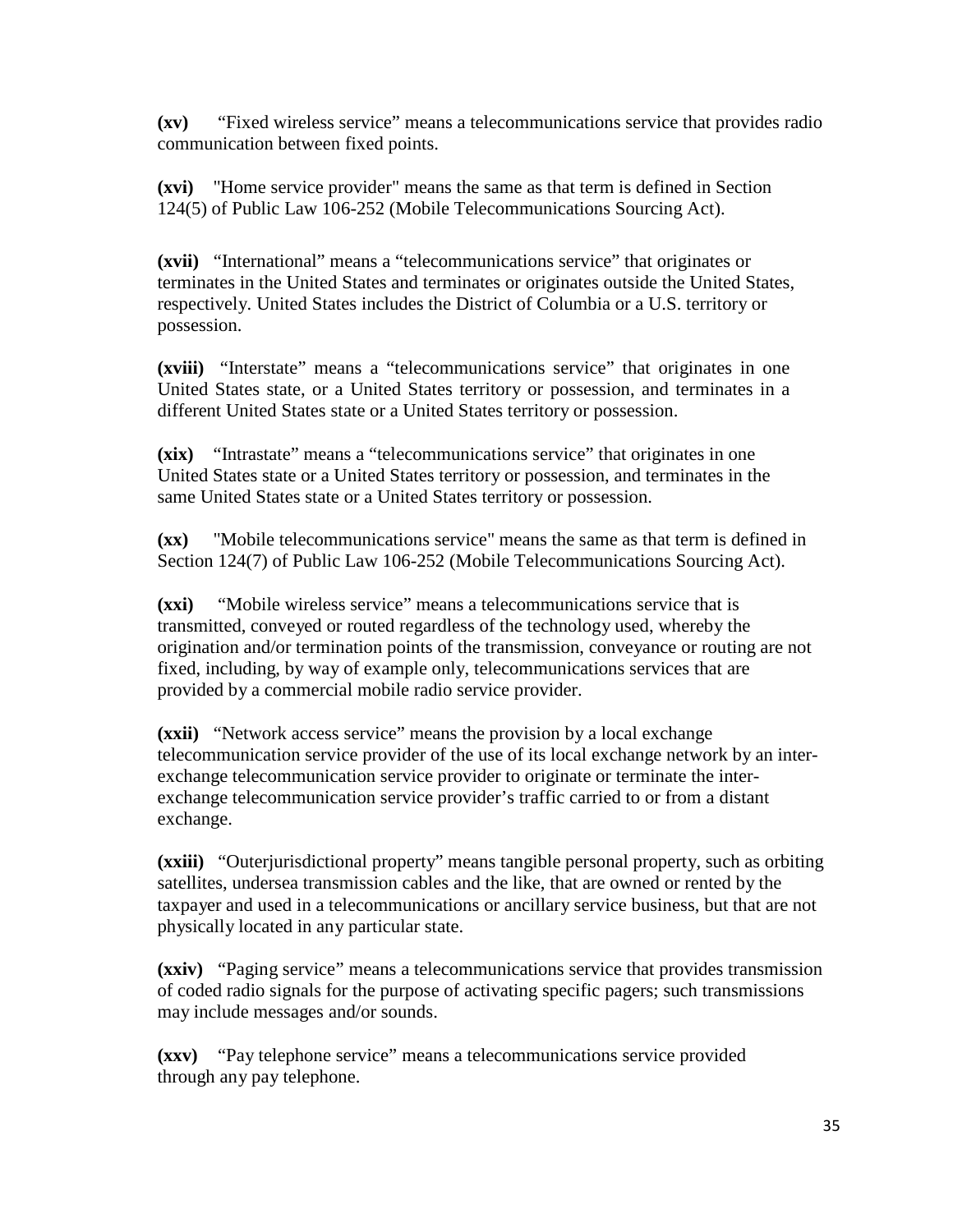**(xv)** "Fixed wireless service" means a telecommunications service that provides radio communication between fixed points.

**(xvi)** "Home service provider" means the same as that term is defined in Section 124(5) of Public Law 106-252 (Mobile Telecommunications Sourcing Act).

**(xvii)** "International" means a "telecommunications service" that originates or terminates in the United States and terminates or originates outside the United States, respectively. United States includes the District of Columbia or a U.S. territory or possession.

**(xviii)** "Interstate" means a "telecommunications service" that originates in one United States state, or a United States territory or possession, and terminates in a different United States state or a United States territory or possession.

**(xix)** "Intrastate" means a "telecommunications service" that originates in one United States state or a United States territory or possession, and terminates in the same United States state or a United States territory or possession.

**(xx)** "Mobile telecommunications service" means the same as that term is defined in Section 124(7) of Public Law 106-252 (Mobile Telecommunications Sourcing Act).

**(xxi)** "Mobile wireless service" means a telecommunications service that is transmitted, conveyed or routed regardless of the technology used, whereby the origination and/or termination points of the transmission, conveyance or routing are not fixed, including, by way of example only, telecommunications services that are provided by a commercial mobile radio service provider.

**(xxii)** "Network access service" means the provision by a local exchange telecommunication service provider of the use of its local exchange network by an interexchange telecommunication service provider to originate or terminate the interexchange telecommunication service provider's traffic carried to or from a distant exchange.

**(xxiii)** "Outerjurisdictional property" means tangible personal property, such as orbiting satellites, undersea transmission cables and the like, that are owned or rented by the taxpayer and used in a telecommunications or ancillary service business, but that are not physically located in any particular state.

**(xxiv)** "Paging service" means a telecommunications service that provides transmission of coded radio signals for the purpose of activating specific pagers; such transmissions may include messages and/or sounds.

**(xxv)** "Pay telephone service" means a telecommunications service provided through any pay telephone.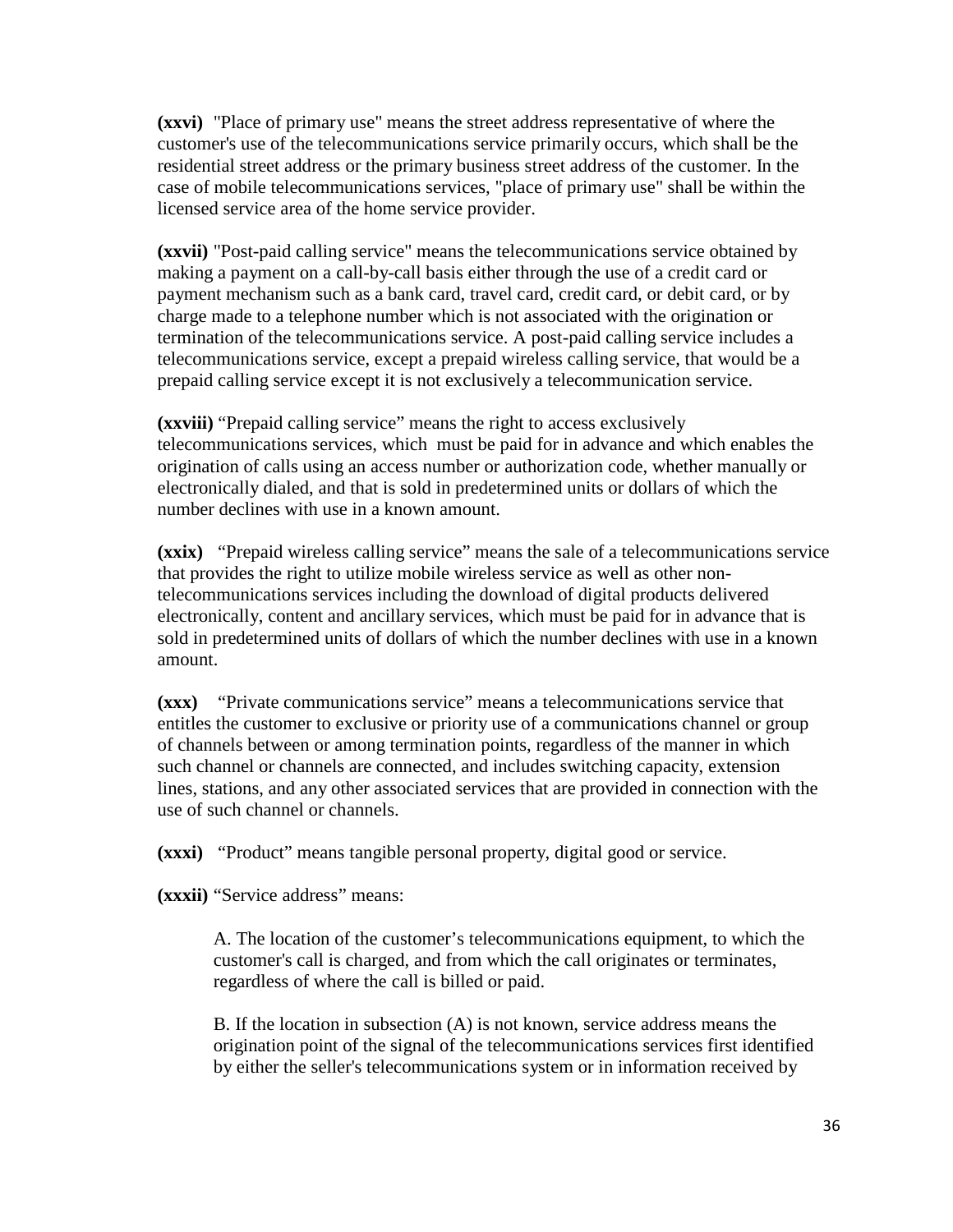**(xxvi)** "Place of primary use" means the street address representative of where the customer's use of the telecommunications service primarily occurs, which shall be the residential street address or the primary business street address of the customer. In the case of mobile telecommunications services, "place of primary use" shall be within the licensed service area of the home service provider.

**(xxvii)** "Post-paid calling service" means the telecommunications service obtained by making a payment on a call-by-call basis either through the use of a credit card or payment mechanism such as a bank card, travel card, credit card, or debit card, or by charge made to a telephone number which is not associated with the origination or termination of the telecommunications service. A post-paid calling service includes a telecommunications service, except a prepaid wireless calling service, that would be a prepaid calling service except it is not exclusively a telecommunication service.

**(xxviii)** "Prepaid calling service" means the right to access exclusively telecommunications services, which must be paid for in advance and which enables the origination of calls using an access number or authorization code, whether manually or electronically dialed, and that is sold in predetermined units or dollars of which the number declines with use in a known amount.

**(xxix)** "Prepaid wireless calling service" means the sale of a telecommunications service that provides the right to utilize mobile wireless service as well as other nontelecommunications services including the download of digital products delivered electronically, content and ancillary services, which must be paid for in advance that is sold in predetermined units of dollars of which the number declines with use in a known amount.

**(xxx)** "Private communications service" means a telecommunications service that entitles the customer to exclusive or priority use of a communications channel or group of channels between or among termination points, regardless of the manner in which such channel or channels are connected, and includes switching capacity, extension lines, stations, and any other associated services that are provided in connection with the use of such channel or channels.

**(xxxi)** "Product" means tangible personal property, digital good or service.

**(xxxii)** "Service address" means:

A. The location of the customer's telecommunications equipment, to which the customer's call is charged, and from which the call originates or terminates, regardless of where the call is billed or paid.

B. If the location in subsection (A) is not known, service address means the origination point of the signal of the telecommunications services first identified by either the seller's telecommunications system or in information received by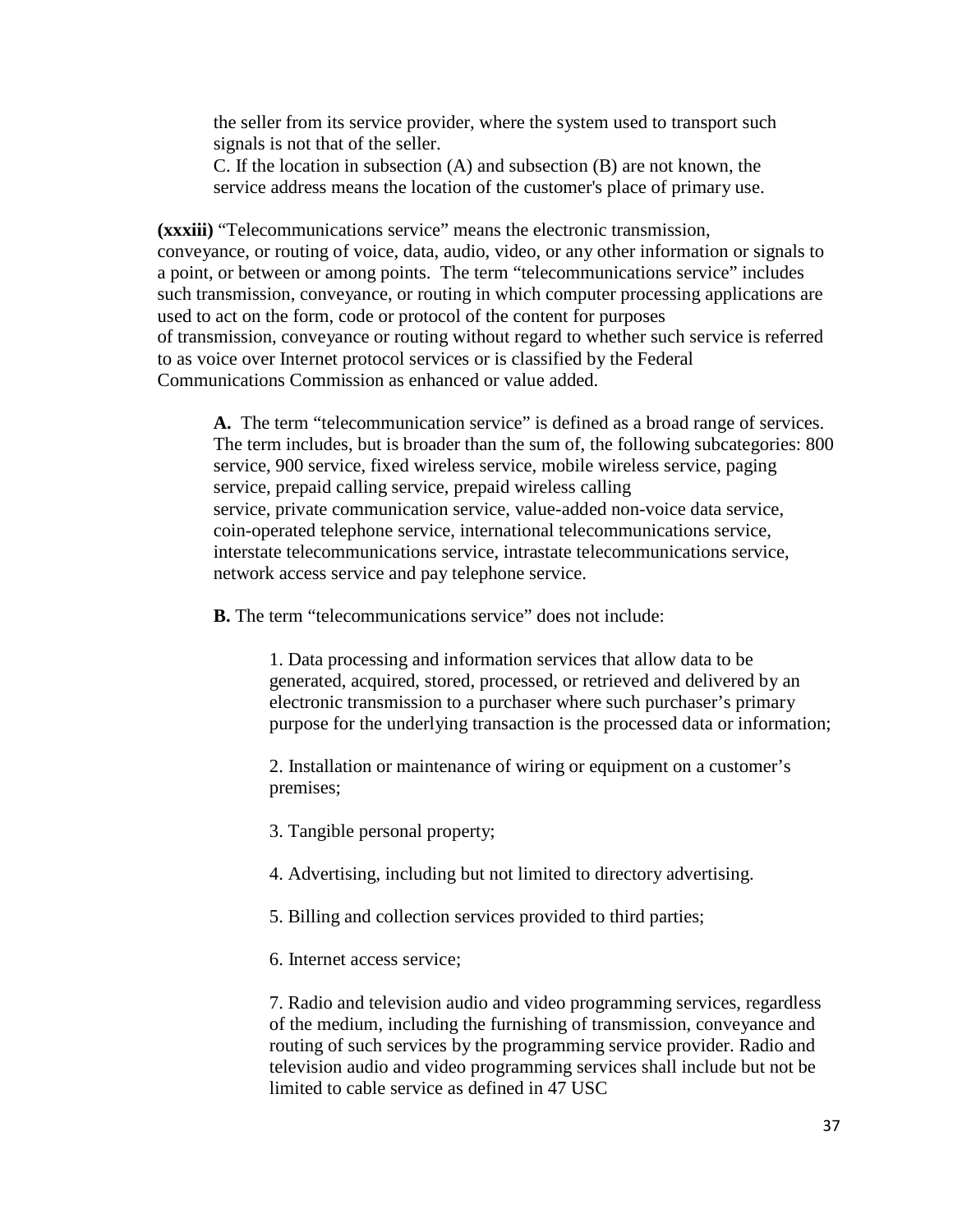the seller from its service provider, where the system used to transport such signals is not that of the seller.

C. If the location in subsection (A) and subsection (B) are not known, the service address means the location of the customer's place of primary use.

**(xxxiii)** "Telecommunications service" means the electronic transmission, conveyance, or routing of voice, data, audio, video, or any other information or signals to a point, or between or among points. The term "telecommunications service" includes such transmission, conveyance, or routing in which computer processing applications are used to act on the form, code or protocol of the content for purposes of transmission, conveyance or routing without regard to whether such service is referred to as voice over Internet protocol services or is classified by the Federal Communications Commission as enhanced or value added.

**A.** The term "telecommunication service" is defined as a broad range of services. The term includes, but is broader than the sum of, the following subcategories: 800 service, 900 service, fixed wireless service, mobile wireless service, paging service, prepaid calling service, prepaid wireless calling service, private communication service, value-added non-voice data service, coin-operated telephone service, international telecommunications service, interstate telecommunications service, intrastate telecommunications service, network access service and pay telephone service.

**B.** The term "telecommunications service" does not include:

1. Data processing and information services that allow data to be generated, acquired, stored, processed, or retrieved and delivered by an electronic transmission to a purchaser where such purchaser's primary purpose for the underlying transaction is the processed data or information;

2. Installation or maintenance of wiring or equipment on a customer's premises;

3. Tangible personal property;

4. Advertising, including but not limited to directory advertising.

5. Billing and collection services provided to third parties;

6. Internet access service;

7. Radio and television audio and video programming services, regardless of the medium, including the furnishing of transmission, conveyance and routing of such services by the programming service provider. Radio and television audio and video programming services shall include but not be limited to cable service as defined in 47 USC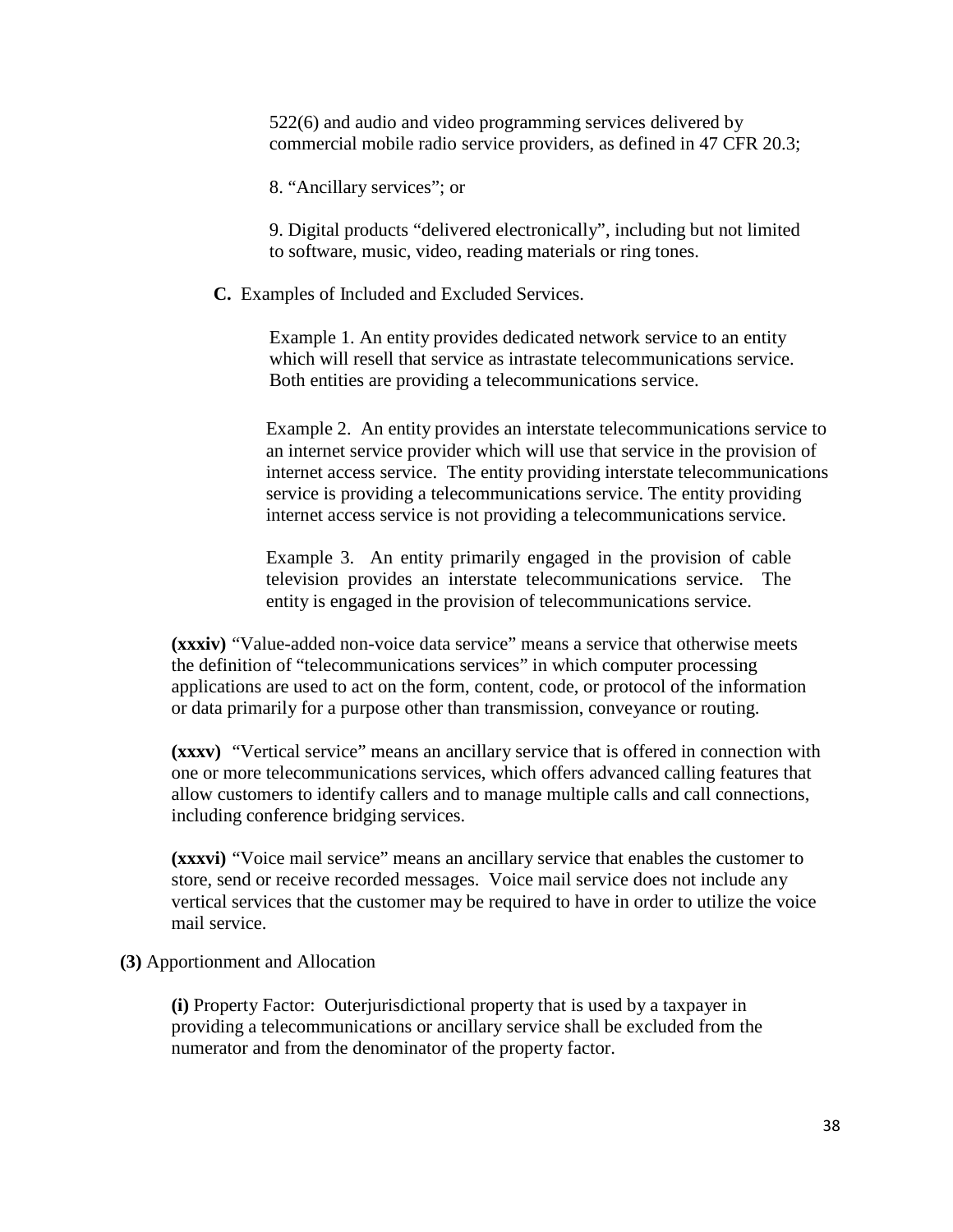522(6) and audio and video programming services delivered by commercial mobile radio service providers, as defined in 47 CFR 20.3;

8. "Ancillary services"; or

9. Digital products "delivered electronically", including but not limited to software, music, video, reading materials or ring tones.

**C.** Examples of Included and Excluded Services.

Example 1. An entity provides dedicated network service to an entity which will resell that service as intrastate telecommunications service. Both entities are providing a telecommunications service.

Example 2. An entity provides an interstate telecommunications service to an internet service provider which will use that service in the provision of internet access service. The entity providing interstate telecommunications service is providing a telecommunications service. The entity providing internet access service is not providing a telecommunications service.

Example 3. An entity primarily engaged in the provision of cable television provides an interstate telecommunications service. The entity is engaged in the provision of telecommunications service.

**(xxxiv)** "Value-added non-voice data service" means a service that otherwise meets the definition of "telecommunications services" in which computer processing applications are used to act on the form, content, code, or protocol of the information or data primarily for a purpose other than transmission, conveyance or routing.

**(xxxv)** "Vertical service" means an ancillary service that is offered in connection with one or more telecommunications services, which offers advanced calling features that allow customers to identify callers and to manage multiple calls and call connections, including conference bridging services.

**(xxxvi)** "Voice mail service" means an ancillary service that enables the customer to store, send or receive recorded messages. Voice mail service does not include any vertical services that the customer may be required to have in order to utilize the voice mail service.

**(3)** Apportionment and Allocation

**(i)** Property Factor: Outerjurisdictional property that is used by a taxpayer in providing a telecommunications or ancillary service shall be excluded from the numerator and from the denominator of the property factor.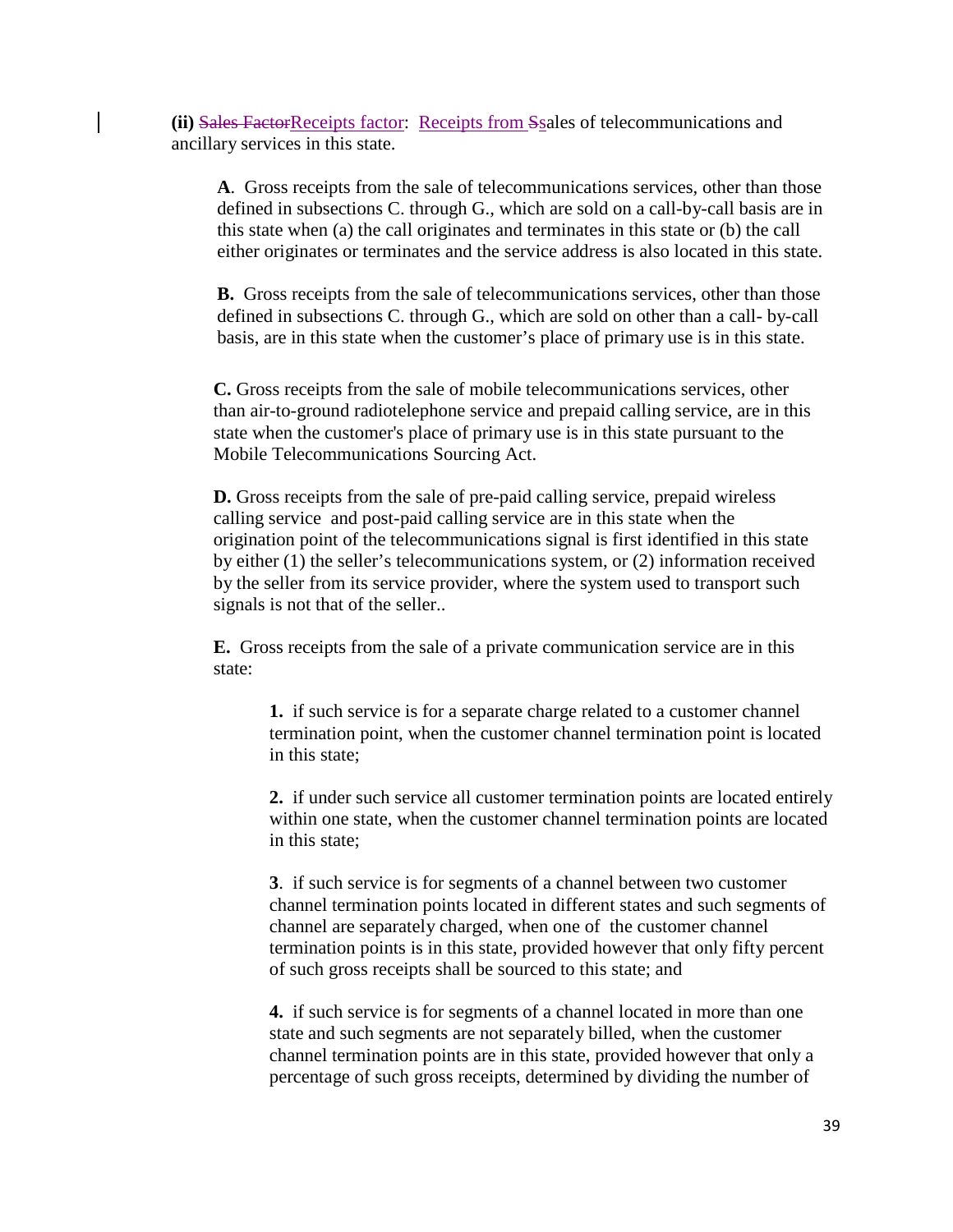**(ii)** Sales FactorReceipts factor: Receipts from Ssales of telecommunications and ancillary services in this state.

**A**. Gross receipts from the sale of telecommunications services, other than those defined in subsections C. through G., which are sold on a call-by-call basis are in this state when (a) the call originates and terminates in this state or (b) the call either originates or terminates and the service address is also located in this state.

**B.** Gross receipts from the sale of telecommunications services, other than those defined in subsections C. through G., which are sold on other than a call- by-call basis, are in this state when the customer's place of primary use is in this state.

**C.** Gross receipts from the sale of mobile telecommunications services, other than air-to-ground radiotelephone service and prepaid calling service, are in this state when the customer's place of primary use is in this state pursuant to the Mobile Telecommunications Sourcing Act.

**D.** Gross receipts from the sale of pre-paid calling service, prepaid wireless calling service and post-paid calling service are in this state when the origination point of the telecommunications signal is first identified in this state by either (1) the seller's telecommunications system, or (2) information received by the seller from its service provider, where the system used to transport such signals is not that of the seller..

**E.** Gross receipts from the sale of a private communication service are in this state:

**1.** if such service is for a separate charge related to a customer channel termination point, when the customer channel termination point is located in this state;

**2.** if under such service all customer termination points are located entirely within one state, when the customer channel termination points are located in this state;

**3**. if such service is for segments of a channel between two customer channel termination points located in different states and such segments of channel are separately charged, when one of the customer channel termination points is in this state, provided however that only fifty percent of such gross receipts shall be sourced to this state; and

**4.** if such service is for segments of a channel located in more than one state and such segments are not separately billed, when the customer channel termination points are in this state, provided however that only a percentage of such gross receipts, determined by dividing the number of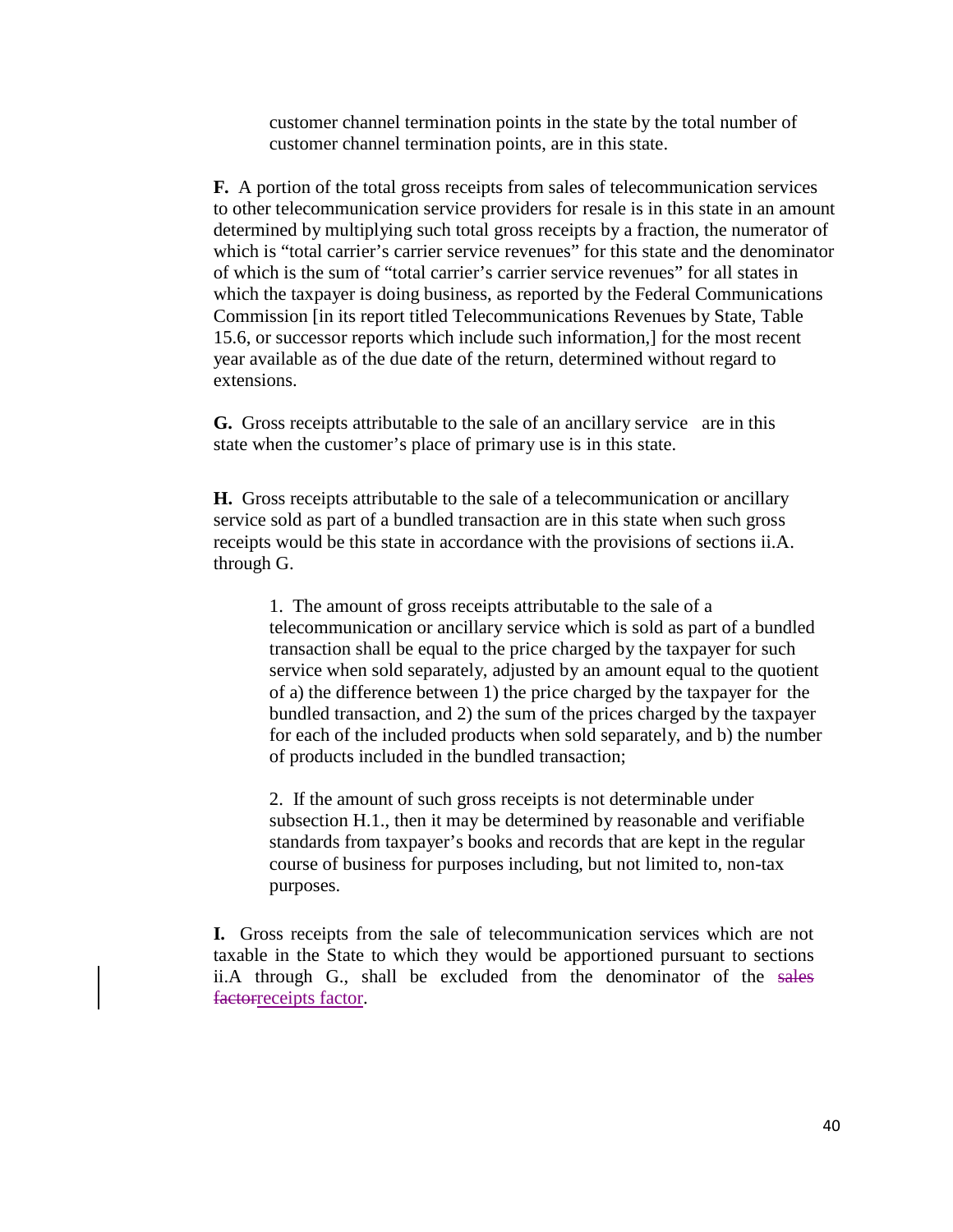customer channel termination points in the state by the total number of customer channel termination points, are in this state.

**F.** A portion of the total gross receipts from sales of telecommunication services to other telecommunication service providers for resale is in this state in an amount determined by multiplying such total gross receipts by a fraction, the numerator of which is "total carrier's carrier service revenues" for this state and the denominator of which is the sum of "total carrier's carrier service revenues" for all states in which the taxpayer is doing business, as reported by the Federal Communications Commission [in its report titled Telecommunications Revenues by State, Table 15.6, or successor reports which include such information,] for the most recent year available as of the due date of the return, determined without regard to extensions.

**G.** Gross receipts attributable to the sale of an ancillary service are in this state when the customer's place of primary use is in this state.

**H.** Gross receipts attributable to the sale of a telecommunication or ancillary service sold as part of a bundled transaction are in this state when such gross receipts would be this state in accordance with the provisions of sections ii.A. through G.

1. The amount of gross receipts attributable to the sale of a telecommunication or ancillary service which is sold as part of a bundled transaction shall be equal to the price charged by the taxpayer for such service when sold separately, adjusted by an amount equal to the quotient of a) the difference between 1) the price charged by the taxpayer for the bundled transaction, and 2) the sum of the prices charged by the taxpayer for each of the included products when sold separately, and b) the number of products included in the bundled transaction;

2. If the amount of such gross receipts is not determinable under subsection H.1., then it may be determined by reasonable and verifiable standards from taxpayer's books and records that are kept in the regular course of business for purposes including, but not limited to, non-tax purposes.

**I.** Gross receipts from the sale of telecommunication services which are not taxable in the State to which they would be apportioned pursuant to sections ii.A through G., shall be excluded from the denominator of the sales factorreceipts factor.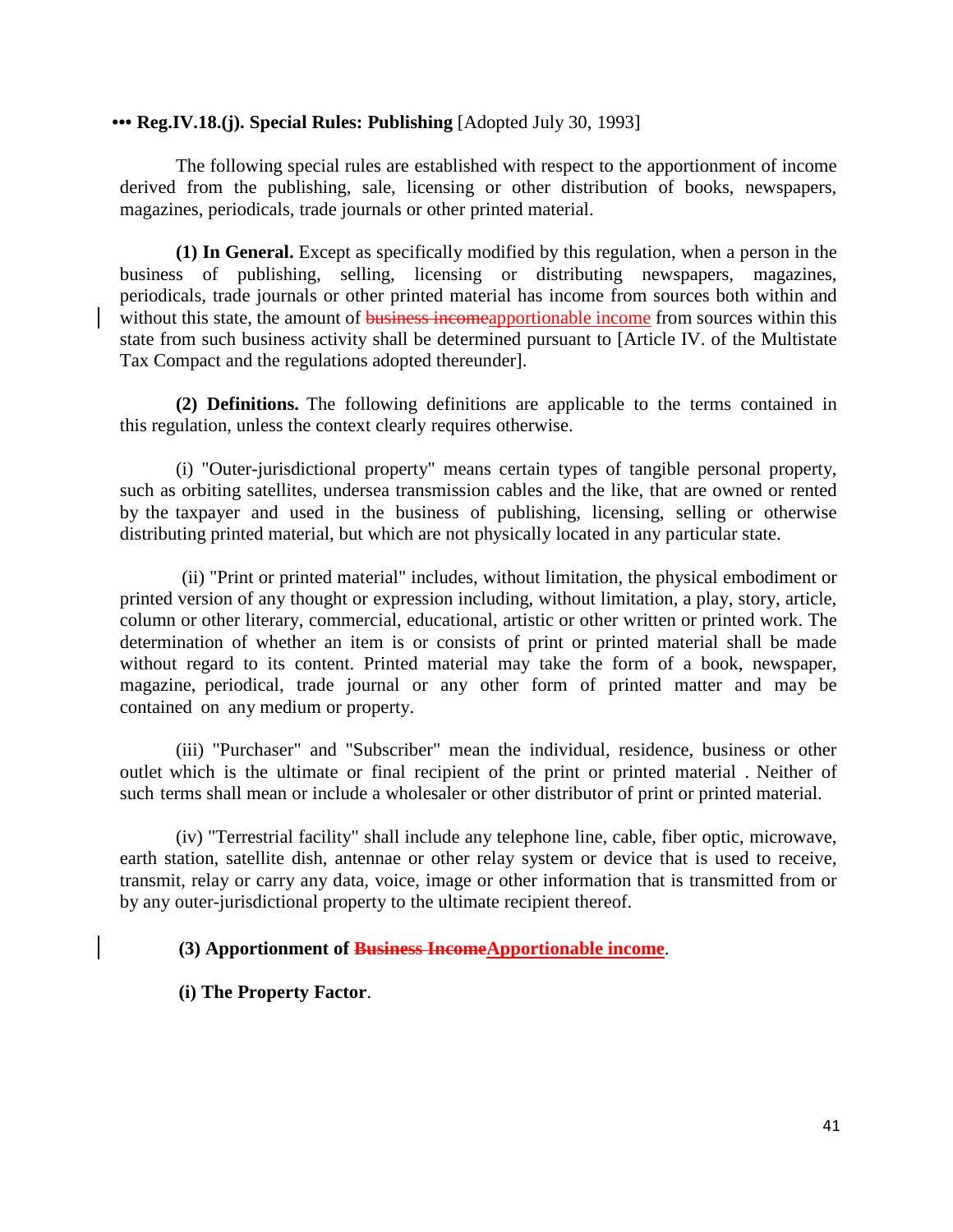#### **••• Reg.IV.18.(j). Special Rules: Publishing** [Adopted July 30, 1993]

The following special rules are established with respect to the apportionment of income derived from the publishing, sale, licensing or other distribution of books, newspapers, magazines, periodicals, trade journals or other printed material.

**(1) In General.** Except as specifically modified by this regulation, when a person in the business of publishing, selling, licensing or distributing newspapers, magazines, periodicals, trade journals or other printed material has income from sources both within and without this state, the amount of **business incomeapportionable income** from sources within this state from such business activity shall be determined pursuant to [Article IV. of the Multistate Tax Compact and the regulations adopted thereunder].

**(2) Definitions.** The following definitions are applicable to the terms contained in this regulation, unless the context clearly requires otherwise.

(i) "Outer-jurisdictional property" means certain types of tangible personal property, such as orbiting satellites, undersea transmission cables and the like, that are owned or rented by the taxpayer and used in the business of publishing, licensing, selling or otherwise distributing printed material, but which are not physically located in any particular state.

(ii) "Print or printed material" includes, without limitation, the physical embodiment or printed version of any thought or expression including, without limitation, a play, story, article, column or other literary, commercial, educational, artistic or other written or printed work. The determination of whether an item is or consists of print or printed material shall be made without regard to its content. Printed material may take the form of a book, newspaper, magazine, periodical, trade journal or any other form of printed matter and may be contained on any medium or property.

(iii) "Purchaser" and "Subscriber" mean the individual, residence, business or other outlet which is the ultimate or final recipient of the print or printed material . Neither of such terms shall mean or include a wholesaler or other distributor of print or printed material.

(iv) "Terrestrial facility" shall include any telephone line, cable, fiber optic, microwave, earth station, satellite dish, antennae or other relay system or device that is used to receive, transmit, relay or carry any data, voice, image or other information that is transmitted from or by any outer-jurisdictional property to the ultimate recipient thereof.

### **(3) Apportionment of Business IncomeApportionable income**.

**(i) The Property Factor**.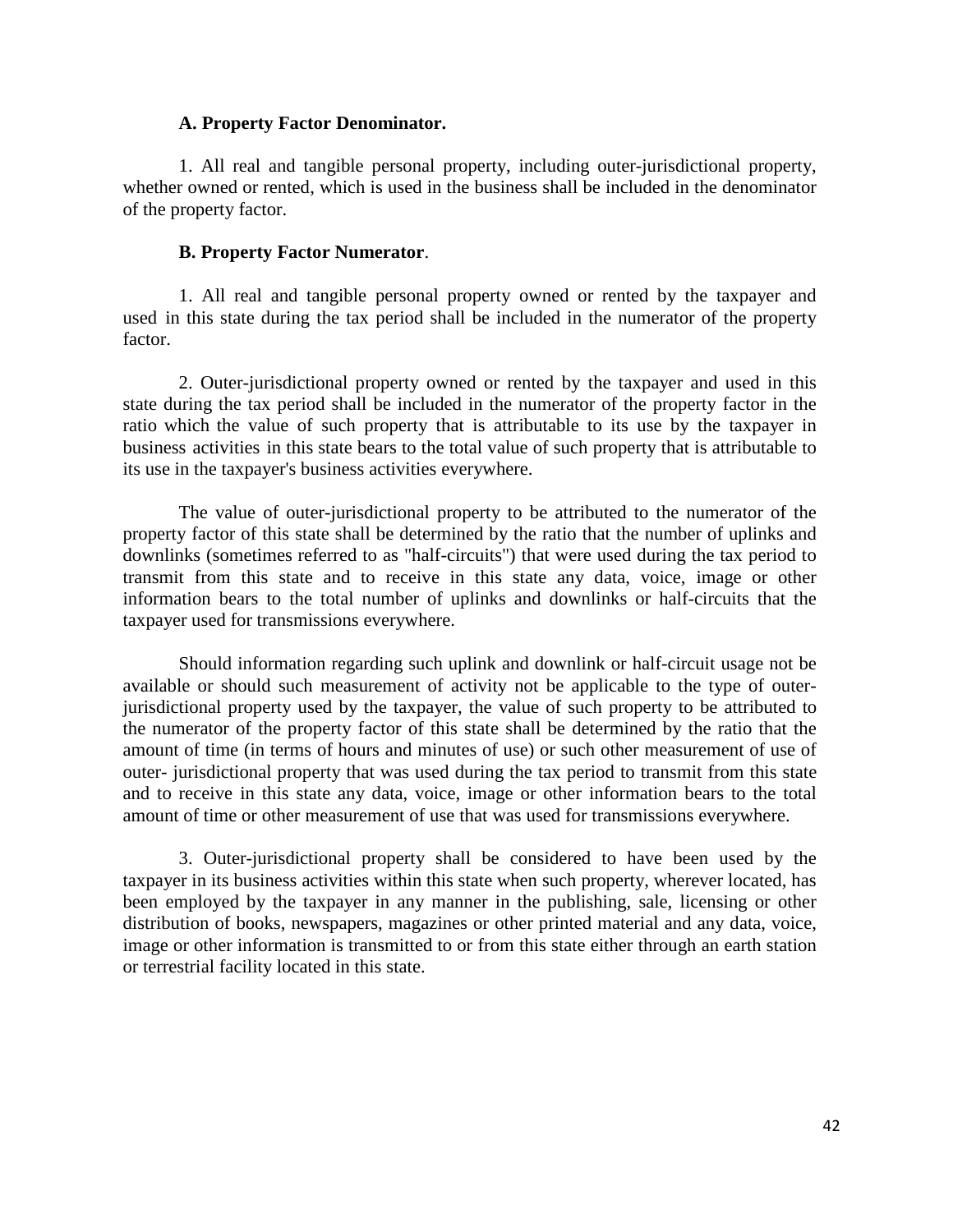#### **A. Property Factor Denominator.**

1. All real and tangible personal property, including outer-jurisdictional property, whether owned or rented, which is used in the business shall be included in the denominator of the property factor.

### **B. Property Factor Numerator**.

1. All real and tangible personal property owned or rented by the taxpayer and used in this state during the tax period shall be included in the numerator of the property factor.

2. Outer-jurisdictional property owned or rented by the taxpayer and used in this state during the tax period shall be included in the numerator of the property factor in the ratio which the value of such property that is attributable to its use by the taxpayer in business activities in this state bears to the total value of such property that is attributable to its use in the taxpayer's business activities everywhere.

The value of outer-jurisdictional property to be attributed to the numerator of the property factor of this state shall be determined by the ratio that the number of uplinks and downlinks (sometimes referred to as "half-circuits") that were used during the tax period to transmit from this state and to receive in this state any data, voice, image or other information bears to the total number of uplinks and downlinks or half-circuits that the taxpayer used for transmissions everywhere.

Should information regarding such uplink and downlink or half-circuit usage not be available or should such measurement of activity not be applicable to the type of outerjurisdictional property used by the taxpayer, the value of such property to be attributed to the numerator of the property factor of this state shall be determined by the ratio that the amount of time (in terms of hours and minutes of use) or such other measurement of use of outer- jurisdictional property that was used during the tax period to transmit from this state and to receive in this state any data, voice, image or other information bears to the total amount of time or other measurement of use that was used for transmissions everywhere.

3. Outer-jurisdictional property shall be considered to have been used by the taxpayer in its business activities within this state when such property, wherever located, has been employed by the taxpayer in any manner in the publishing, sale, licensing or other distribution of books, newspapers, magazines or other printed material and any data, voice, image or other information is transmitted to or from this state either through an earth station or terrestrial facility located in this state.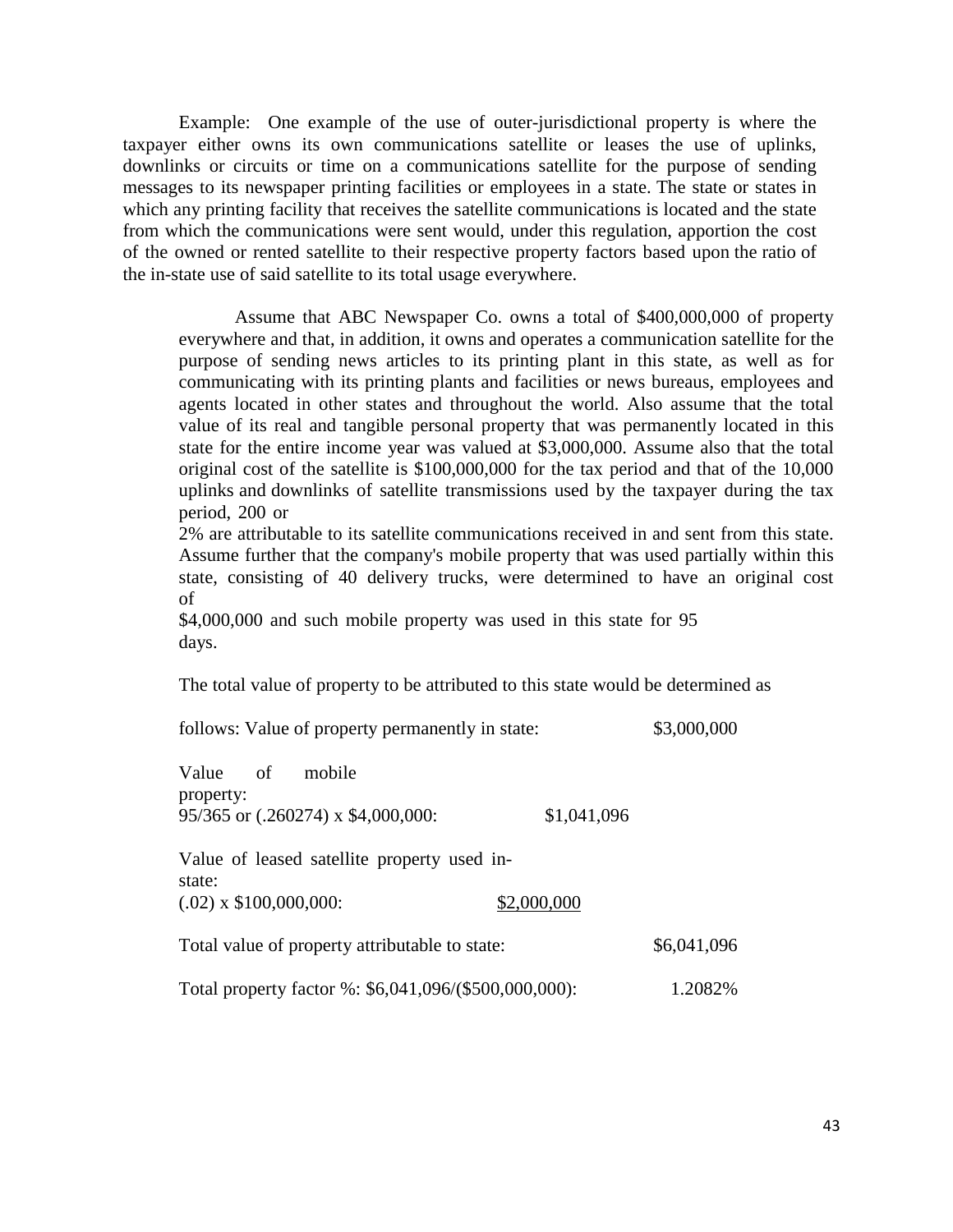Example: One example of the use of outer-jurisdictional property is where the taxpayer either owns its own communications satellite or leases the use of uplinks, downlinks or circuits or time on a communications satellite for the purpose of sending messages to its newspaper printing facilities or employees in a state. The state or states in which any printing facility that receives the satellite communications is located and the state from which the communications were sent would, under this regulation, apportion the cost of the owned or rented satellite to their respective property factors based upon the ratio of the in-state use of said satellite to its total usage everywhere.

Assume that ABC Newspaper Co. owns a total of \$400,000,000 of property everywhere and that, in addition, it owns and operates a communication satellite for the purpose of sending news articles to its printing plant in this state, as well as for communicating with its printing plants and facilities or news bureaus, employees and agents located in other states and throughout the world. Also assume that the total value of its real and tangible personal property that was permanently located in this state for the entire income year was valued at \$3,000,000. Assume also that the total original cost of the satellite is \$100,000,000 for the tax period and that of the 10,000 uplinks and downlinks of satellite transmissions used by the taxpayer during the tax period, 200 or

2% are attributable to its satellite communications received in and sent from this state. Assume further that the company's mobile property that was used partially within this state, consisting of 40 delivery trucks, were determined to have an original cost of

\$4,000,000 and such mobile property was used in this state for 95 days.

The total value of property to be attributed to this state would be determined as

follows: Value of property permanently in state:  $$3,000,000$ 

| Value of                 | mobile                                                |             |             |
|--------------------------|-------------------------------------------------------|-------------|-------------|
| property:                |                                                       |             |             |
|                          | 95/365 or (.260274) x \$4,000,000:                    | \$1,041,096 |             |
| state:                   | Value of leased satellite property used in-           |             |             |
| $(.02)$ x \$100,000,000: |                                                       | \$2,000,000 |             |
|                          | Total value of property attributable to state:        |             | \$6,041,096 |
|                          | Total property factor %: \$6,041,096/(\$500,000,000): |             | 1.2082%     |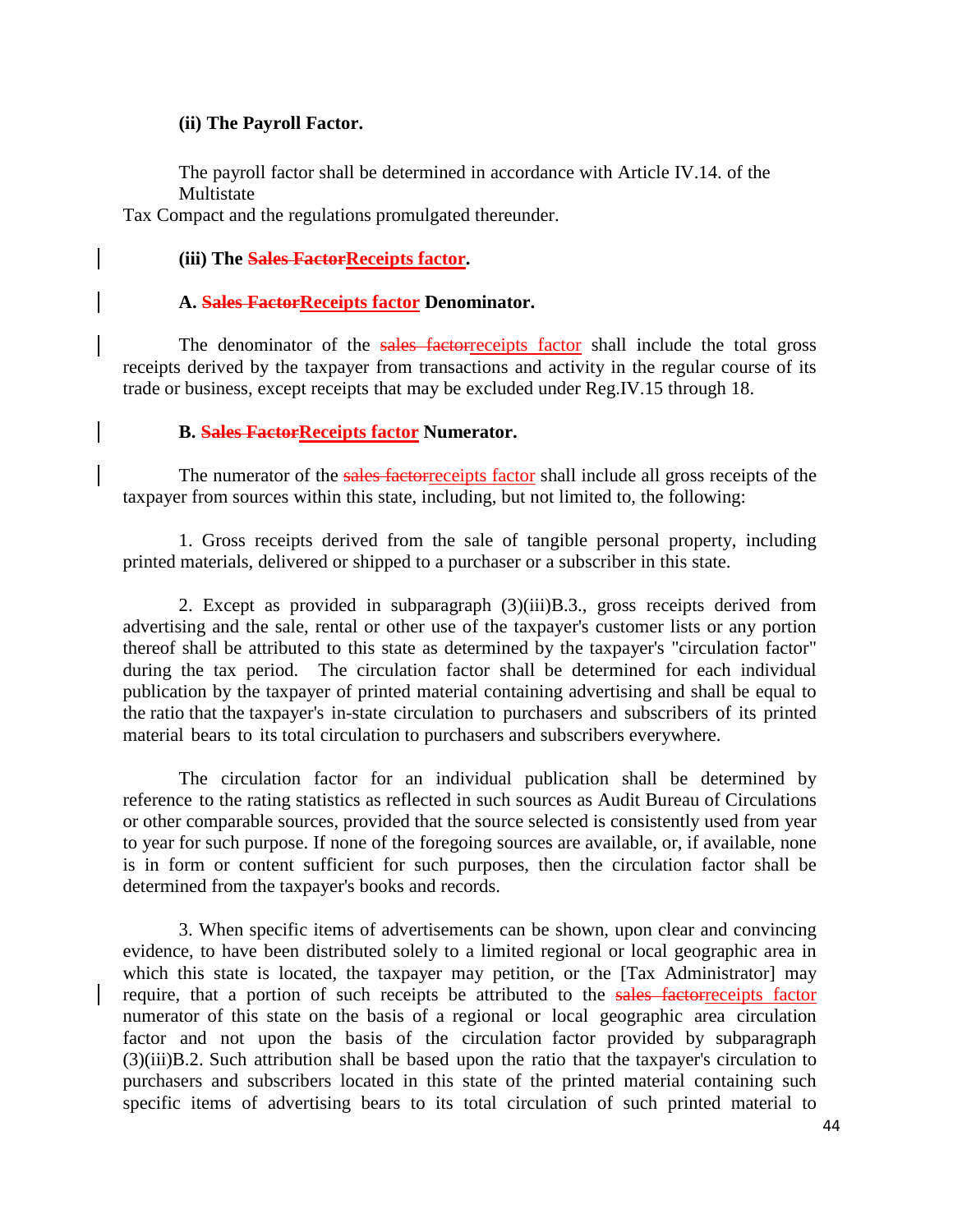#### **(ii) The Payroll Factor.**

The payroll factor shall be determined in accordance with Article IV.14. of the Multistate

Tax Compact and the regulations promulgated thereunder.

### **(iii) The Sales FactorReceipts factor.**

### **A. Sales FactorReceipts factor Denominator.**

The denominator of the sales factorreceipts factor shall include the total gross receipts derived by the taxpayer from transactions and activity in the regular course of its trade or business, except receipts that may be excluded under Reg.IV.15 through 18.

### **B. Sales FactorReceipts factor Numerator.**

The numerator of the sales factorreceipts factor shall include all gross receipts of the taxpayer from sources within this state, including, but not limited to, the following:

1. Gross receipts derived from the sale of tangible personal property, including printed materials, delivered or shipped to a purchaser or a subscriber in this state.

2. Except as provided in subparagraph (3)(iii)B.3., gross receipts derived from advertising and the sale, rental or other use of the taxpayer's customer lists or any portion thereof shall be attributed to this state as determined by the taxpayer's "circulation factor" during the tax period. The circulation factor shall be determined for each individual publication by the taxpayer of printed material containing advertising and shall be equal to the ratio that the taxpayer's in-state circulation to purchasers and subscribers of its printed material bears to its total circulation to purchasers and subscribers everywhere.

The circulation factor for an individual publication shall be determined by reference to the rating statistics as reflected in such sources as Audit Bureau of Circulations or other comparable sources, provided that the source selected is consistently used from year to year for such purpose. If none of the foregoing sources are available, or, if available, none is in form or content sufficient for such purposes, then the circulation factor shall be determined from the taxpayer's books and records.

3. When specific items of advertisements can be shown, upon clear and convincing evidence, to have been distributed solely to a limited regional or local geographic area in which this state is located, the taxpayer may petition, or the [Tax Administrator] may require, that a portion of such receipts be attributed to the sales factorreceipts factor numerator of this state on the basis of a regional or local geographic area circulation factor and not upon the basis of the circulation factor provided by subparagraph (3)(iii)B.2. Such attribution shall be based upon the ratio that the taxpayer's circulation to purchasers and subscribers located in this state of the printed material containing such specific items of advertising bears to its total circulation of such printed material to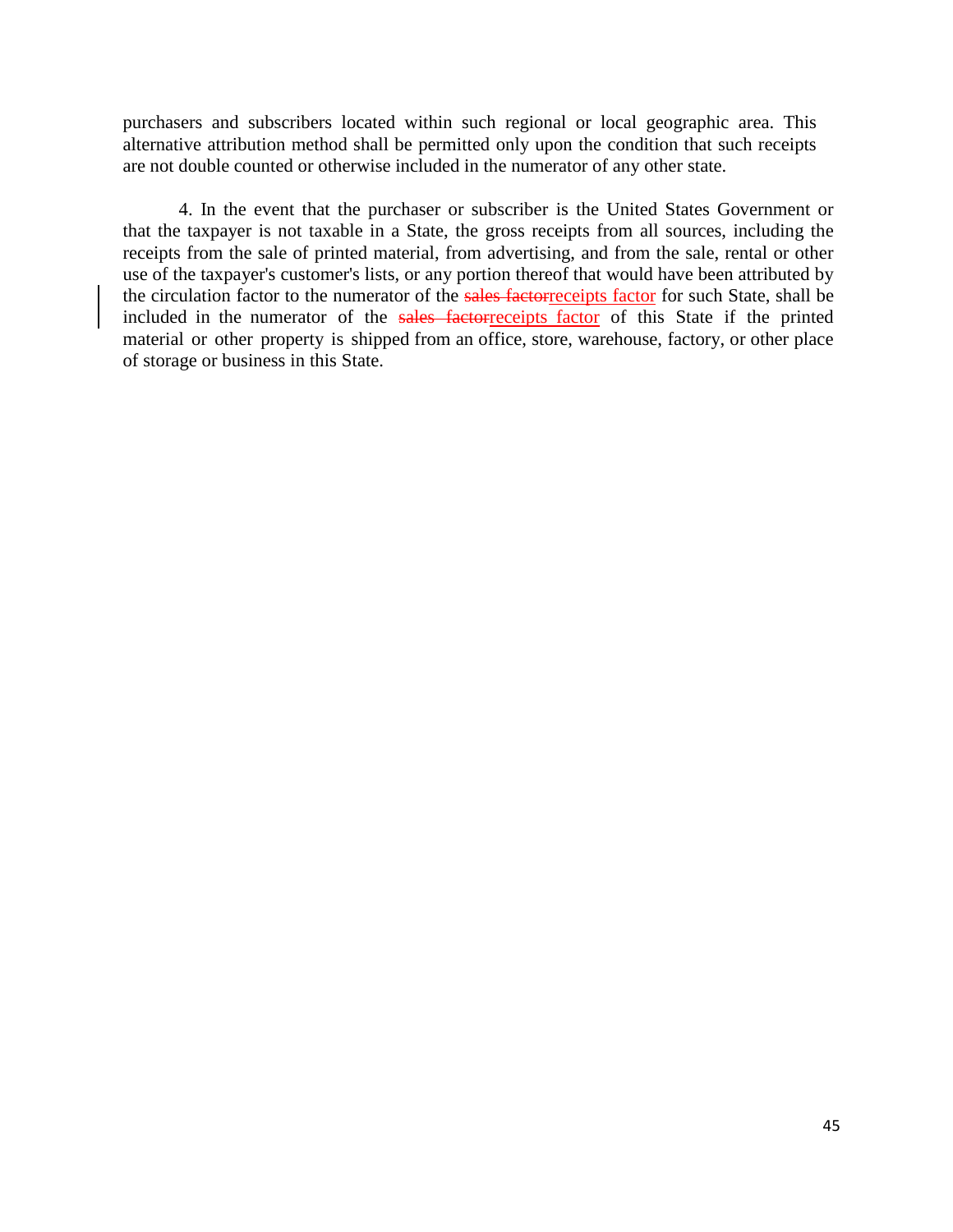purchasers and subscribers located within such regional or local geographic area. This alternative attribution method shall be permitted only upon the condition that such receipts are not double counted or otherwise included in the numerator of any other state.

4. In the event that the purchaser or subscriber is the United States Government or that the taxpayer is not taxable in a State, the gross receipts from all sources, including the receipts from the sale of printed material, from advertising, and from the sale, rental or other use of the taxpayer's customer's lists, or any portion thereof that would have been attributed by the circulation factor to the numerator of the sales factorreceipts factor for such State, shall be included in the numerator of the sales factorreceipts factor of this State if the printed material or other property is shipped from an office, store, warehouse, factory, or other place of storage or business in this State.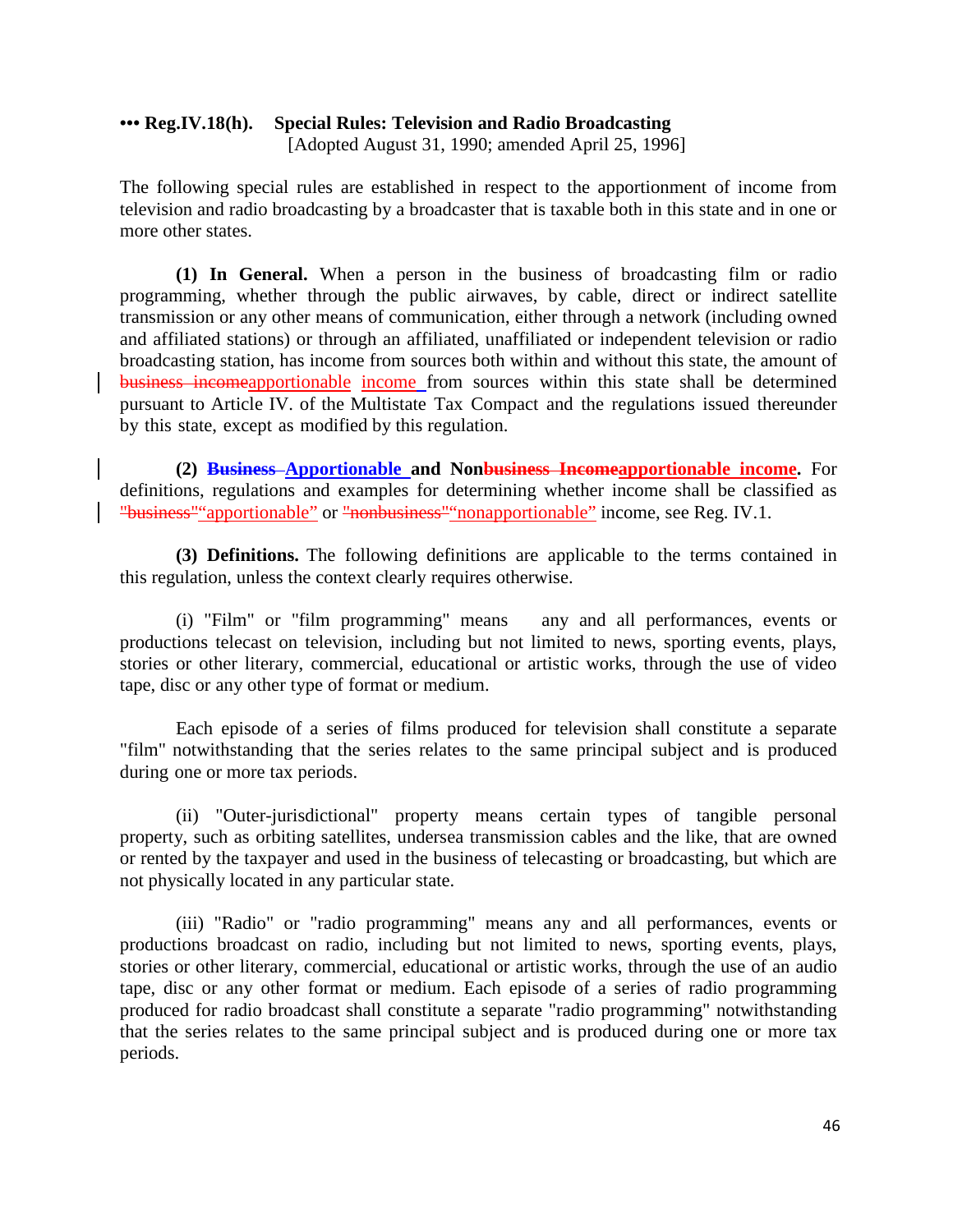### **••• Reg.IV.18(h). Special Rules: Television and Radio Broadcasting** [Adopted August 31, 1990; amended April 25, 1996]

The following special rules are established in respect to the apportionment of income from television and radio broadcasting by a broadcaster that is taxable both in this state and in one or more other states.

**(1) In General.** When a person in the business of broadcasting film or radio programming, whether through the public airwaves, by cable, direct or indirect satellite transmission or any other means of communication, either through a network (including owned and affiliated stations) or through an affiliated, unaffiliated or independent television or radio broadcasting station, has income from sources both within and without this state, the amount of business incomeapportionable income from sources within this state shall be determined pursuant to Article IV. of the Multistate Tax Compact and the regulations issued thereunder by this state, except as modified by this regulation.

**(2) Business Apportionable and Nonbusiness Incomeapportionable income.** For definitions, regulations and examples for determining whether income shall be classified as "business""apportionable" or "nonbusiness""nonapportionable" income, see Reg. IV.1.

**(3) Definitions.** The following definitions are applicable to the terms contained in this regulation, unless the context clearly requires otherwise.

(i) "Film" or "film programming" means any and all performances, events or productions telecast on television, including but not limited to news, sporting events, plays, stories or other literary, commercial, educational or artistic works, through the use of video tape, disc or any other type of format or medium.

Each episode of a series of films produced for television shall constitute a separate "film" notwithstanding that the series relates to the same principal subject and is produced during one or more tax periods.

(ii) "Outer-jurisdictional" property means certain types of tangible personal property, such as orbiting satellites, undersea transmission cables and the like, that are owned or rented by the taxpayer and used in the business of telecasting or broadcasting, but which are not physically located in any particular state.

(iii) "Radio" or "radio programming" means any and all performances, events or productions broadcast on radio, including but not limited to news, sporting events, plays, stories or other literary, commercial, educational or artistic works, through the use of an audio tape, disc or any other format or medium. Each episode of a series of radio programming produced for radio broadcast shall constitute a separate "radio programming" notwithstanding that the series relates to the same principal subject and is produced during one or more tax periods.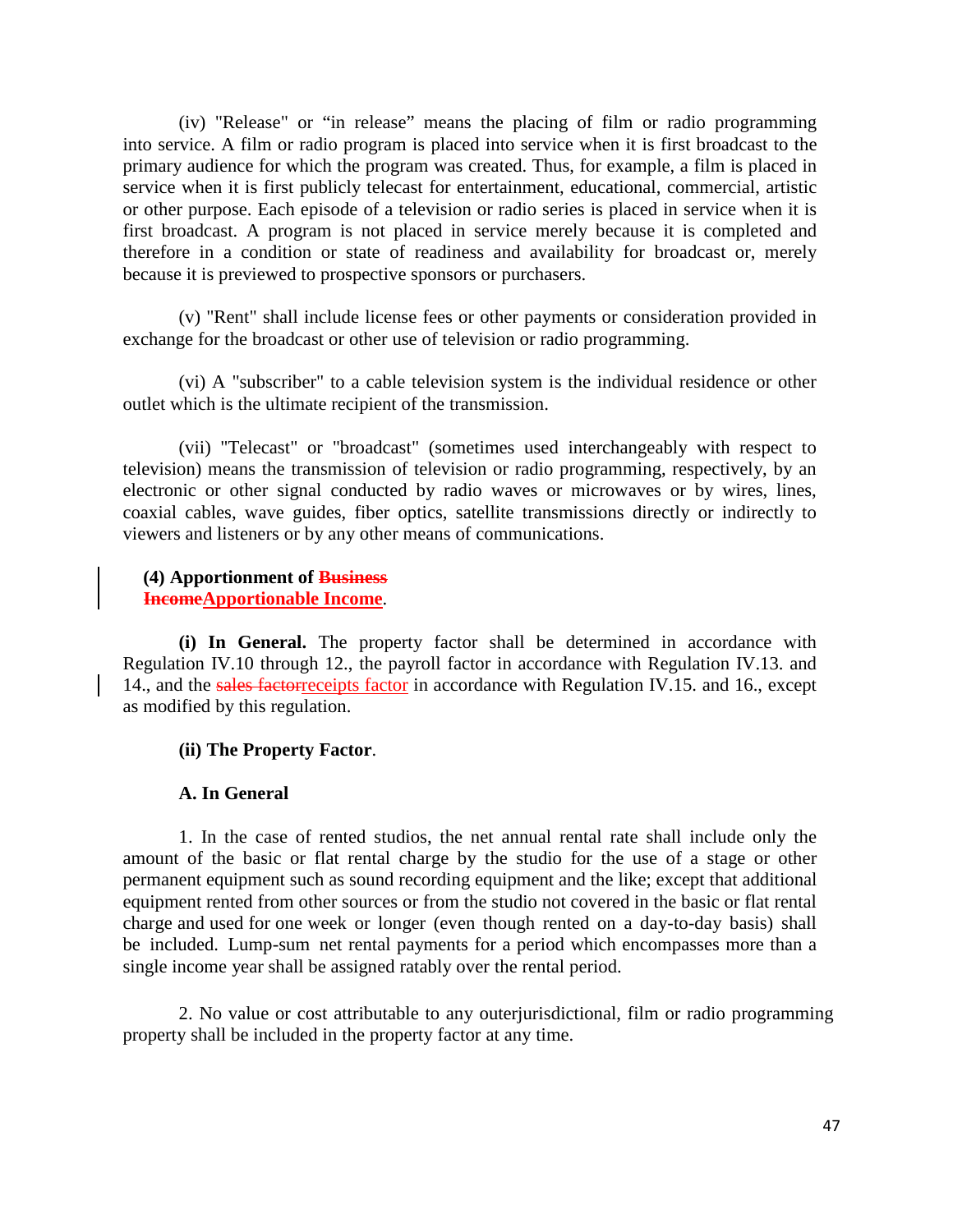(iv) "Release" or "in release" means the placing of film or radio programming into service. A film or radio program is placed into service when it is first broadcast to the primary audience for which the program was created. Thus, for example, a film is placed in service when it is first publicly telecast for entertainment, educational, commercial, artistic or other purpose. Each episode of a television or radio series is placed in service when it is first broadcast. A program is not placed in service merely because it is completed and therefore in a condition or state of readiness and availability for broadcast or, merely because it is previewed to prospective sponsors or purchasers.

(v) "Rent" shall include license fees or other payments or consideration provided in exchange for the broadcast or other use of television or radio programming.

(vi) A "subscriber" to a cable television system is the individual residence or other outlet which is the ultimate recipient of the transmission.

(vii) "Telecast" or "broadcast" (sometimes used interchangeably with respect to television) means the transmission of television or radio programming, respectively, by an electronic or other signal conducted by radio waves or microwaves or by wires, lines, coaxial cables, wave guides, fiber optics, satellite transmissions directly or indirectly to viewers and listeners or by any other means of communications.

#### **(4) Apportionment of Business IncomeApportionable Income**.

**(i) In General.** The property factor shall be determined in accordance with Regulation IV.10 through 12., the payroll factor in accordance with Regulation IV.13. and 14., and the sales factorreceipts factor in accordance with Regulation IV.15. and 16., except as modified by this regulation.

# **(ii) The Property Factor**.

# **A. In General**

1. In the case of rented studios, the net annual rental rate shall include only the amount of the basic or flat rental charge by the studio for the use of a stage or other permanent equipment such as sound recording equipment and the like; except that additional equipment rented from other sources or from the studio not covered in the basic or flat rental charge and used for one week or longer (even though rented on a day-to-day basis) shall be included. Lump-sum net rental payments for a period which encompasses more than a single income year shall be assigned ratably over the rental period.

2. No value or cost attributable to any outerjurisdictional, film or radio programming property shall be included in the property factor at any time.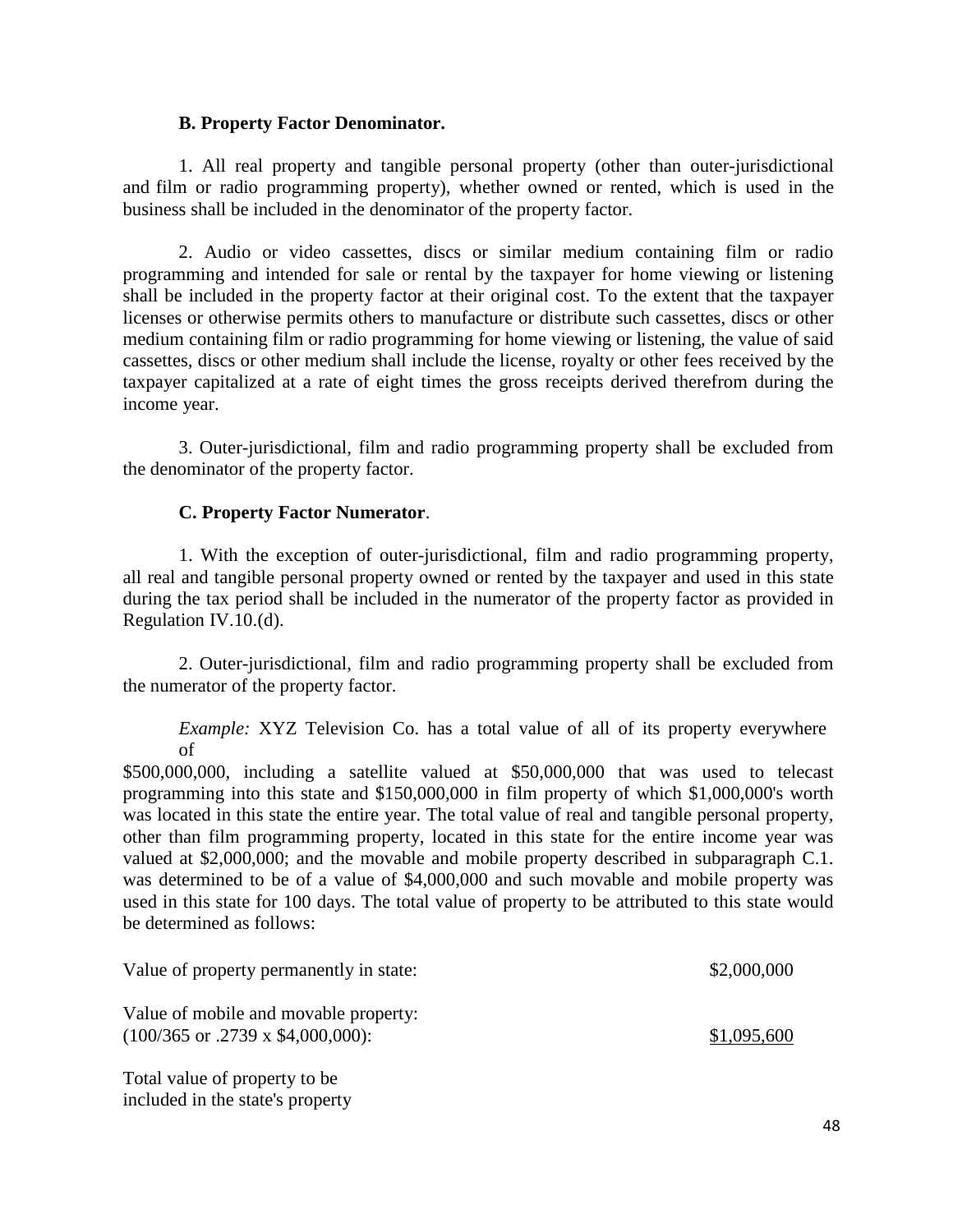### **B. Property Factor Denominator.**

1. All real property and tangible personal property (other than outer-jurisdictional and film or radio programming property), whether owned or rented, which is used in the business shall be included in the denominator of the property factor.

2. Audio or video cassettes, discs or similar medium containing film or radio programming and intended for sale or rental by the taxpayer for home viewing or listening shall be included in the property factor at their original cost. To the extent that the taxpayer licenses or otherwise permits others to manufacture or distribute such cassettes, discs or other medium containing film or radio programming for home viewing or listening, the value of said cassettes, discs or other medium shall include the license, royalty or other fees received by the taxpayer capitalized at a rate of eight times the gross receipts derived therefrom during the income year.

3. Outer-jurisdictional, film and radio programming property shall be excluded from the denominator of the property factor.

# **C. Property Factor Numerator**.

1. With the exception of outer-jurisdictional, film and radio programming property, all real and tangible personal property owned or rented by the taxpayer and used in this state during the tax period shall be included in the numerator of the property factor as provided in Regulation IV.10.(d).

2. Outer-jurisdictional, film and radio programming property shall be excluded from the numerator of the property factor.

*Example:* XYZ Television Co. has a total value of all of its property everywhere of

\$500,000,000, including a satellite valued at \$50,000,000 that was used to telecast programming into this state and \$150,000,000 in film property of which \$1,000,000's worth was located in this state the entire year. The total value of real and tangible personal property, other than film programming property, located in this state for the entire income year was valued at \$2,000,000; and the movable and mobile property described in subparagraph C.1. was determined to be of a value of \$4,000,000 and such movable and mobile property was used in this state for 100 days. The total value of property to be attributed to this state would be determined as follows:

| Value of property permanently in state:                                                         | \$2,000,000 |
|-------------------------------------------------------------------------------------------------|-------------|
| Value of mobile and movable property:<br>$(100/365 \text{ or } 0.2739 \text{ x } $4,000,000)$ : | \$1,095,600 |
|                                                                                                 |             |

Total value of property to be included in the state's property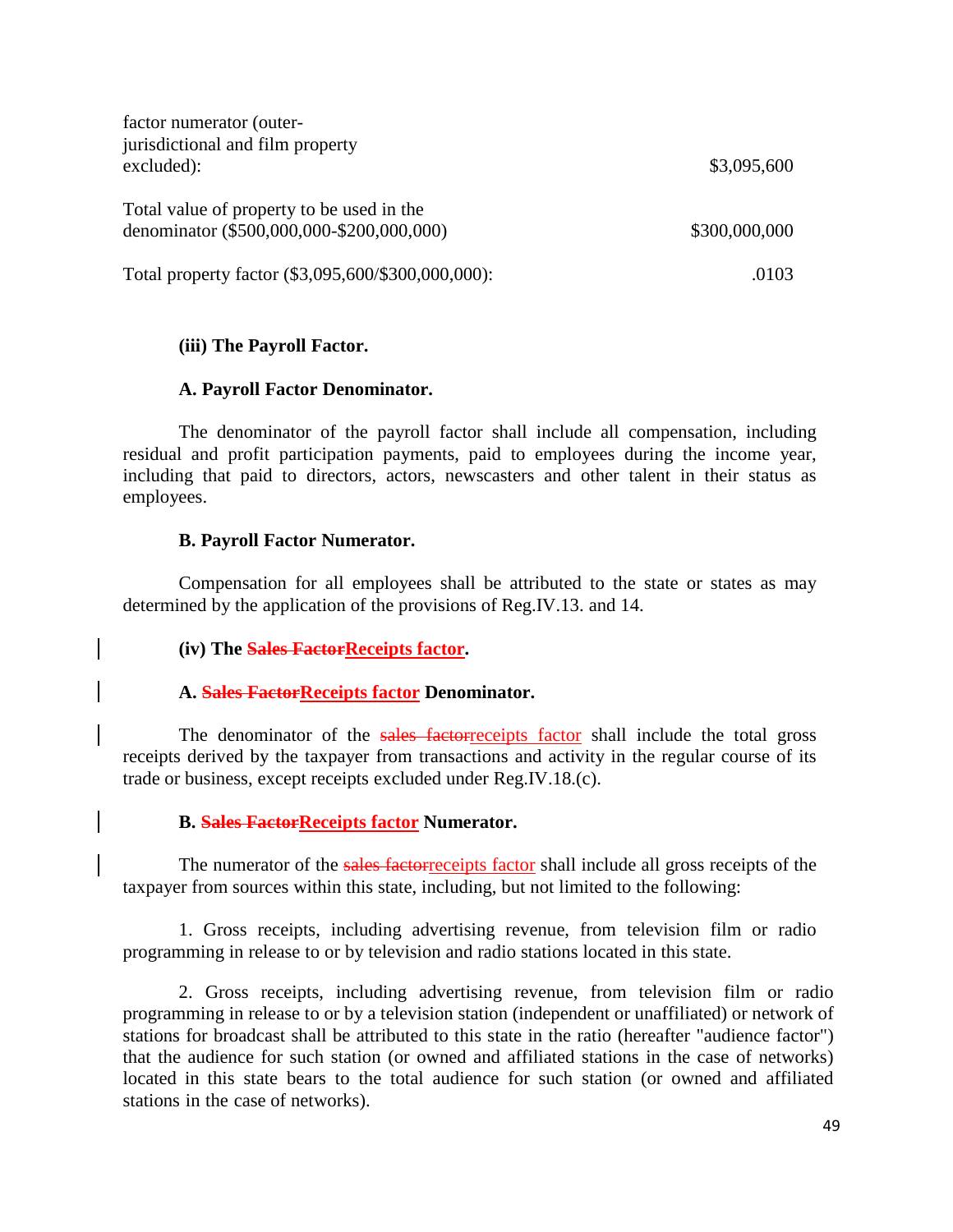| factor numerator (outer-<br>jurisdictional and film property<br>excluded):             | \$3,095,600   |
|----------------------------------------------------------------------------------------|---------------|
| Total value of property to be used in the<br>denominator (\$500,000,000-\$200,000,000) | \$300,000,000 |
| Total property factor (\$3,095,600/\$300,000,000):                                     | .0103         |

### **(iii) The Payroll Factor.**

#### **A. Payroll Factor Denominator.**

The denominator of the payroll factor shall include all compensation, including residual and profit participation payments, paid to employees during the income year, including that paid to directors, actors, newscasters and other talent in their status as employees.

#### **B. Payroll Factor Numerator.**

Compensation for all employees shall be attributed to the state or states as may determined by the application of the provisions of Reg.IV.13. and 14.

#### **(iv) The Sales FactorReceipts factor.**

#### A. **Sales Factor Receipts factor Denominator.**

The denominator of the sales factorreceipts factor shall include the total gross receipts derived by the taxpayer from transactions and activity in the regular course of its trade or business, except receipts excluded under Reg.IV.18.(c).

#### **B. Sales FactorReceipts factor Numerator.**

The numerator of the sales factorreceipts factor shall include all gross receipts of the taxpayer from sources within this state, including, but not limited to the following:

1. Gross receipts, including advertising revenue, from television film or radio programming in release to or by television and radio stations located in this state.

2. Gross receipts, including advertising revenue, from television film or radio programming in release to or by a television station (independent or unaffiliated) or network of stations for broadcast shall be attributed to this state in the ratio (hereafter "audience factor") that the audience for such station (or owned and affiliated stations in the case of networks) located in this state bears to the total audience for such station (or owned and affiliated stations in the case of networks).